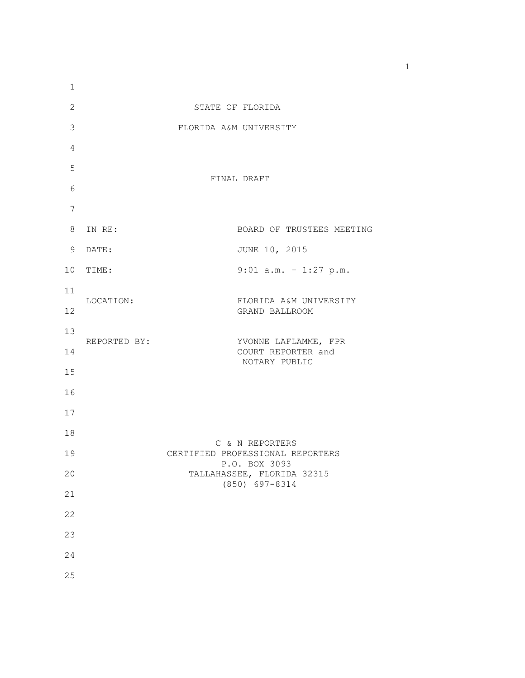| 1               |              |                                                   |
|-----------------|--------------|---------------------------------------------------|
| $\overline{c}$  |              | STATE OF FLORIDA                                  |
| 3               |              | FLORIDA A&M UNIVERSITY                            |
| $\overline{4}$  |              |                                                   |
| 5               |              | FINAL DRAFT                                       |
| 6               |              |                                                   |
| 7               |              |                                                   |
| 8               | IN RE:       | BOARD OF TRUSTEES MEETING                         |
| 9               | DATE:        | JUNE 10, 2015                                     |
| 10 <sub>o</sub> | TIME:        | $9:01$ a.m. - 1:27 p.m.                           |
| 11              | LOCATION:    | FLORIDA A&M UNIVERSITY                            |
| 12              |              | GRAND BALLROOM                                    |
| 13              | REPORTED BY: | YVONNE LAFLAMME, FPR                              |
| 14              |              | COURT REPORTER and<br>NOTARY PUBLIC               |
| 15              |              |                                                   |
| 16              |              |                                                   |
| 17              |              |                                                   |
| 18              |              | C & N REPORTERS                                   |
| 19              |              | CERTIFIED PROFESSIONAL REPORTERS<br>P.O. BOX 3093 |
| 20              |              | TALLAHASSEE, FLORIDA 32315<br>(850) 697-8314      |
| 21              |              |                                                   |
| 22              |              |                                                   |
| 23              |              |                                                   |
| 24              |              |                                                   |
| 25              |              |                                                   |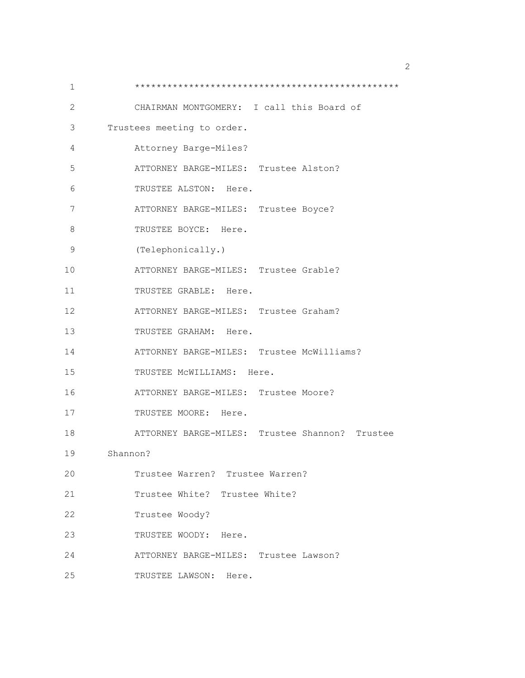| 1  |                                                |
|----|------------------------------------------------|
| 2  | CHAIRMAN MONTGOMERY: I call this Board of      |
| 3  | Trustees meeting to order.                     |
| 4  | Attorney Barge-Miles?                          |
| 5  | ATTORNEY BARGE-MILES: Trustee Alston?          |
| 6  | TRUSTEE ALSTON: Here.                          |
| 7  | ATTORNEY BARGE-MILES: Trustee Boyce?           |
| 8  | TRUSTEE BOYCE: Here.                           |
| 9  | (Telephonically.)                              |
| 10 | ATTORNEY BARGE-MILES: Trustee Grable?          |
| 11 | TRUSTEE GRABLE: Here.                          |
| 12 | ATTORNEY BARGE-MILES: Trustee Graham?          |
| 13 | TRUSTEE GRAHAM: Here.                          |
| 14 | ATTORNEY BARGE-MILES: Trustee McWilliams?      |
| 15 | TRUSTEE MCWILLIAMS: Here.                      |
| 16 | ATTORNEY BARGE-MILES: Trustee Moore?           |
| 17 | TRUSTEE MOORE: Here.                           |
| 18 | ATTORNEY BARGE-MILES: Trustee Shannon? Trustee |
| 19 | Shannon?                                       |
| 20 | Trustee Warren? Trustee Warren?                |
| 21 | Trustee White? Trustee White?                  |
| 22 | Trustee Woody?                                 |
| 23 | TRUSTEE WOODY:<br>Here.                        |
| 24 | ATTORNEY BARGE-MILES: Trustee Lawson?          |
| 25 | TRUSTEE LAWSON: Here.                          |

 $\sim$  2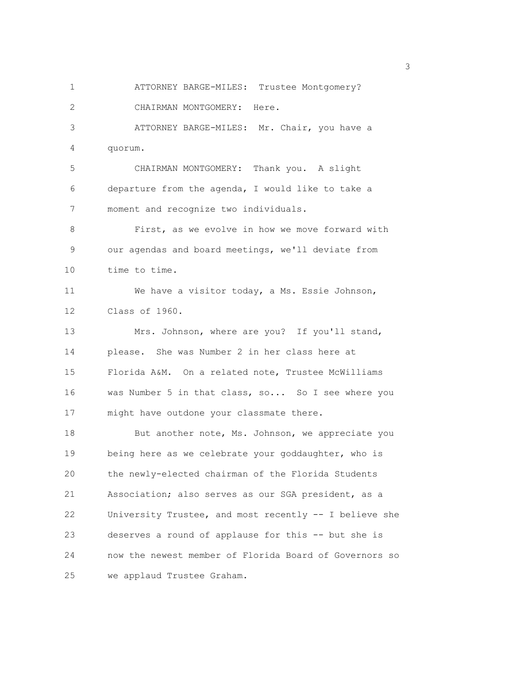1 ATTORNEY BARGE-MILES: Trustee Montgomery? 2 CHAIRMAN MONTGOMERY: Here. 3 ATTORNEY BARGE-MILES: Mr. Chair, you have a 4 quorum. 5 CHAIRMAN MONTGOMERY: Thank you. A slight 6 departure from the agenda, I would like to take a 7 moment and recognize two individuals. 8 First, as we evolve in how we move forward with 9 our agendas and board meetings, we'll deviate from 10 time to time. 11 We have a visitor today, a Ms. Essie Johnson, 12 Class of 1960. 13 Mrs. Johnson, where are you? If you'll stand, 14 please. She was Number 2 in her class here at 15 Florida A&M. On a related note, Trustee McWilliams 16 was Number 5 in that class, so... So I see where you 17 might have outdone your classmate there. 18 But another note, Ms. Johnson, we appreciate you 19 being here as we celebrate your goddaughter, who is 20 the newly-elected chairman of the Florida Students 21 Association; also serves as our SGA president, as a 22 University Trustee, and most recently -- I believe she 23 deserves a round of applause for this -- but she is 24 now the newest member of Florida Board of Governors so 25 we applaud Trustee Graham.

 $\sim$  3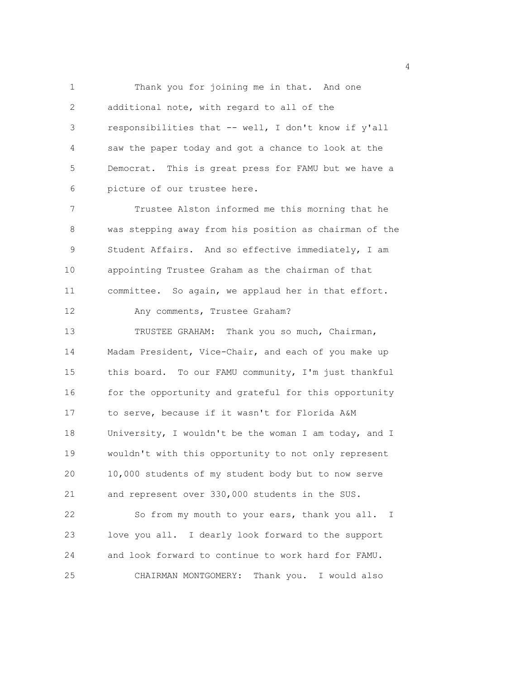1 Thank you for joining me in that. And one 2 additional note, with regard to all of the 3 responsibilities that -- well, I don't know if y'all 4 saw the paper today and got a chance to look at the 5 Democrat. This is great press for FAMU but we have a 6 picture of our trustee here.

7 Trustee Alston informed me this morning that he 8 was stepping away from his position as chairman of the 9 Student Affairs. And so effective immediately, I am 10 appointing Trustee Graham as the chairman of that 11 committee. So again, we applaud her in that effort.

12 Any comments, Trustee Graham?

13 TRUSTEE GRAHAM: Thank you so much, Chairman, 14 Madam President, Vice-Chair, and each of you make up 15 this board. To our FAMU community, I'm just thankful 16 for the opportunity and grateful for this opportunity 17 to serve, because if it wasn't for Florida A&M 18 University, I wouldn't be the woman I am today, and I 19 wouldn't with this opportunity to not only represent 20 10,000 students of my student body but to now serve 21 and represent over 330,000 students in the SUS.

22 So from my mouth to your ears, thank you all. I 23 love you all. I dearly look forward to the support 24 and look forward to continue to work hard for FAMU. 25 CHAIRMAN MONTGOMERY: Thank you. I would also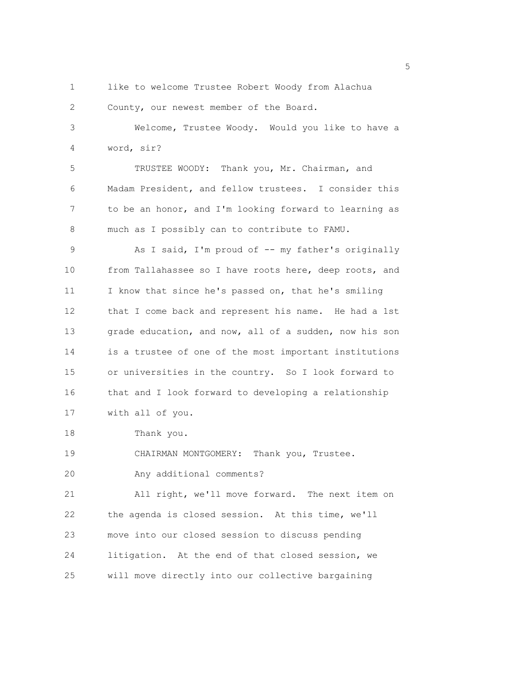- 
- 1 like to welcome Trustee Robert Woody from Alachua

2 County, our newest member of the Board.

3 Welcome, Trustee Woody. Would you like to have a 4 word, sir?

5 TRUSTEE WOODY: Thank you, Mr. Chairman, and 6 Madam President, and fellow trustees. I consider this 7 to be an honor, and I'm looking forward to learning as 8 much as I possibly can to contribute to FAMU.

9 As I said, I'm proud of -- my father's originally 10 from Tallahassee so I have roots here, deep roots, and 11 I know that since he's passed on, that he's smiling 12 that I come back and represent his name. He had a 1st 13 grade education, and now, all of a sudden, now his son 14 is a trustee of one of the most important institutions 15 or universities in the country. So I look forward to 16 that and I look forward to developing a relationship 17 with all of you.

18 Thank you.

19 CHAIRMAN MONTGOMERY: Thank you, Trustee. 20 Any additional comments?

21 All right, we'll move forward. The next item on 22 the agenda is closed session. At this time, we'll 23 move into our closed session to discuss pending 24 litigation. At the end of that closed session, we 25 will move directly into our collective bargaining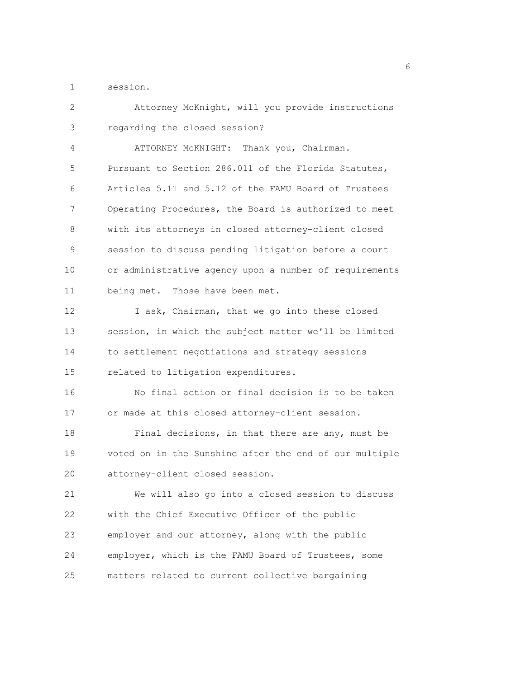1 session.

| 2           | Attorney McKnight, will you provide instructions       |
|-------------|--------------------------------------------------------|
| 3           | regarding the closed session?                          |
| 4           | ATTORNEY MCKNIGHT: Thank you, Chairman.                |
| 5           | Pursuant to Section 286.011 of the Florida Statutes,   |
| 6           | Articles 5.11 and 5.12 of the FAMU Board of Trustees   |
| 7           | Operating Procedures, the Board is authorized to meet  |
| 8           | with its attorneys in closed attorney-client closed    |
| $\mathsf 9$ | session to discuss pending litigation before a court   |
| 10          | or administrative agency upon a number of requirements |
| 11          | being met. Those have been met.                        |
| 12          | I ask, Chairman, that we go into these closed          |
| 13          | session, in which the subject matter we'll be limited  |
| 14          | to settlement negotiations and strategy sessions       |
| 15          | related to litigation expenditures.                    |
| 16          | No final action or final decision is to be taken       |
| 17          | or made at this closed attorney-client session.        |
| 18          | Final decisions, in that there are any, must be        |
| 19          | voted on in the Sunshine after the end of our multiple |
| 20          | attorney-client closed session.                        |
| 21          | We will also go into a closed session to discuss       |
| 22          | with the Chief Executive Officer of the public         |
| 23          | employer and our attorney, along with the public       |
| 24          | employer, which is the FAMU Board of Trustees, some    |
| 25          | matters related to current collective bargaining       |

<u>6</u> and the contract of the contract of the contract of the contract of the contract of the contract of the contract of the contract of the contract of the contract of the contract of the contract of the contract of the co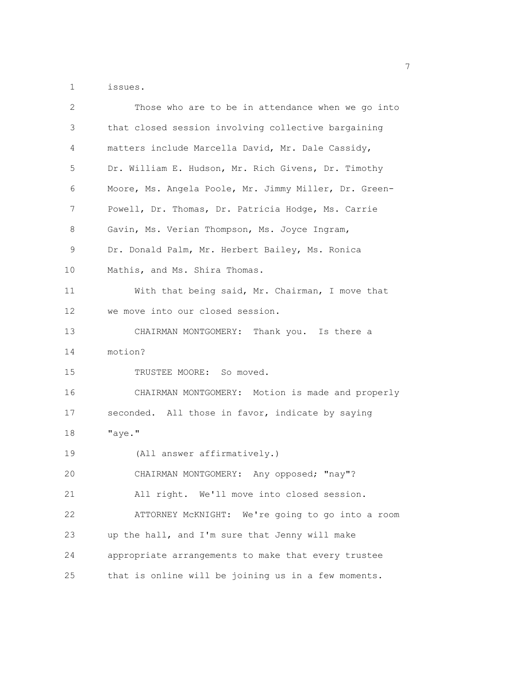1 issues.

| 2  | Those who are to be in attendance when we go into     |
|----|-------------------------------------------------------|
| 3  | that closed session involving collective bargaining   |
| 4  | matters include Marcella David, Mr. Dale Cassidy,     |
| 5  | Dr. William E. Hudson, Mr. Rich Givens, Dr. Timothy   |
| 6  | Moore, Ms. Angela Poole, Mr. Jimmy Miller, Dr. Green- |
| 7  | Powell, Dr. Thomas, Dr. Patricia Hodge, Ms. Carrie    |
| 8  | Gavin, Ms. Verian Thompson, Ms. Joyce Ingram,         |
| 9  | Dr. Donald Palm, Mr. Herbert Bailey, Ms. Ronica       |
| 10 | Mathis, and Ms. Shira Thomas.                         |
| 11 | With that being said, Mr. Chairman, I move that       |
| 12 | we move into our closed session.                      |
| 13 | CHAIRMAN MONTGOMERY: Thank you. Is there a            |
| 14 | motion?                                               |
| 15 | TRUSTEE MOORE: So moved.                              |
| 16 | CHAIRMAN MONTGOMERY: Motion is made and properly      |
| 17 | seconded. All those in favor, indicate by saying      |
| 18 | "aye."                                                |
| 19 | (All answer affirmatively.)                           |
| 20 | CHAIRMAN MONTGOMERY: Any opposed; "nay"?              |
| 21 | All right. We'll move into closed session.            |
| 22 | ATTORNEY McKNIGHT: We're going to go into a room      |
| 23 | up the hall, and I'm sure that Jenny will make        |
| 24 | appropriate arrangements to make that every trustee   |
| 25 | that is online will be joining us in a few moments.   |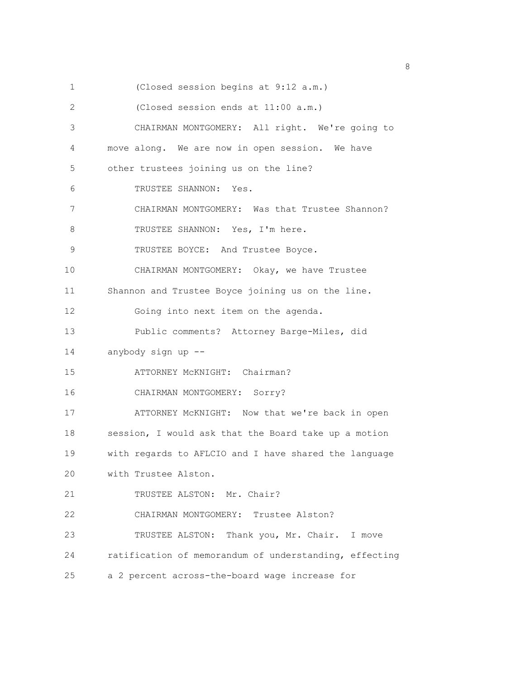1 (Closed session begins at 9:12 a.m.) 2 (Closed session ends at 11:00 a.m.) 3 CHAIRMAN MONTGOMERY: All right. We're going to 4 move along. We are now in open session. We have 5 other trustees joining us on the line? 6 TRUSTEE SHANNON: Yes. 7 CHAIRMAN MONTGOMERY: Was that Trustee Shannon? 8 TRUSTEE SHANNON: Yes, I'm here. 9 TRUSTEE BOYCE: And Trustee Boyce. 10 CHAIRMAN MONTGOMERY: Okay, we have Trustee 11 Shannon and Trustee Boyce joining us on the line. 12 Going into next item on the agenda. 13 Public comments? Attorney Barge-Miles, did 14 anybody sign up -- 15 ATTORNEY McKNIGHT: Chairman? 16 CHAIRMAN MONTGOMERY: Sorry? 17 ATTORNEY McKNIGHT: Now that we're back in open 18 session, I would ask that the Board take up a motion 19 with regards to AFLCIO and I have shared the language 20 with Trustee Alston. 21 TRUSTEE ALSTON: Mr. Chair? 22 CHAIRMAN MONTGOMERY: Trustee Alston? 23 TRUSTEE ALSTON: Thank you, Mr. Chair. I move 24 ratification of memorandum of understanding, effecting 25 a 2 percent across-the-board wage increase for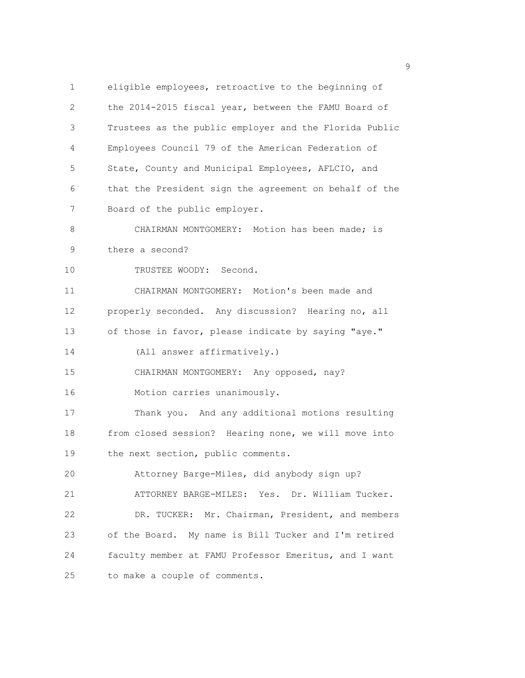1 eligible employees, retroactive to the beginning of 2 the 2014-2015 fiscal year, between the FAMU Board of 3 Trustees as the public employer and the Florida Public 4 Employees Council 79 of the American Federation of 5 State, County and Municipal Employees, AFLCIO, and 6 that the President sign the agreement on behalf of the 7 Board of the public employer. 8 CHAIRMAN MONTGOMERY: Motion has been made; is 9 there a second? 10 TRUSTEE WOODY: Second. 11 CHAIRMAN MONTGOMERY: Motion's been made and 12 properly seconded. Any discussion? Hearing no, all 13 of those in favor, please indicate by saying "aye." 14 (All answer affirmatively.) 15 CHAIRMAN MONTGOMERY: Any opposed, nay? 16 Motion carries unanimously. 17 Thank you. And any additional motions resulting 18 from closed session? Hearing none, we will move into 19 the next section, public comments. 20 Attorney Barge-Miles, did anybody sign up? 21 ATTORNEY BARGE-MILES: Yes. Dr. William Tucker. 22 DR. TUCKER: Mr. Chairman, President, and members 23 of the Board. My name is Bill Tucker and I'm retired 24 faculty member at FAMU Professor Emeritus, and I want 25 to make a couple of comments.

en de la provincia de la provincia de la provincia de la provincia de la provincia de la provincia de la provi<br>1900 : la provincia de la provincia de la provincia de la provincia de la provincia de la provincia de la prov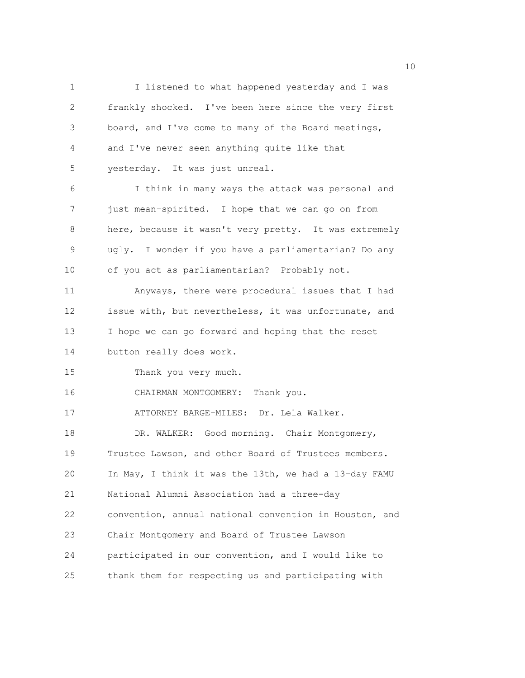1 I listened to what happened yesterday and I was 2 frankly shocked. I've been here since the very first 3 board, and I've come to many of the Board meetings, 4 and I've never seen anything quite like that 5 yesterday. It was just unreal. 6 I think in many ways the attack was personal and 7 just mean-spirited. I hope that we can go on from 8 here, because it wasn't very pretty. It was extremely 9 ugly. I wonder if you have a parliamentarian? Do any 10 of you act as parliamentarian? Probably not. 11 Anyways, there were procedural issues that I had 12 issue with, but nevertheless, it was unfortunate, and 13 I hope we can go forward and hoping that the reset 14 button really does work. 15 Thank you very much. 16 CHAIRMAN MONTGOMERY: Thank you. 17 ATTORNEY BARGE-MILES: Dr. Lela Walker. 18 DR. WALKER: Good morning. Chair Montgomery, 19 Trustee Lawson, and other Board of Trustees members. 20 In May, I think it was the 13th, we had a 13-day FAMU 21 National Alumni Association had a three-day 22 convention, annual national convention in Houston, and 23 Chair Montgomery and Board of Trustee Lawson 24 participated in our convention, and I would like to 25 thank them for respecting us and participating with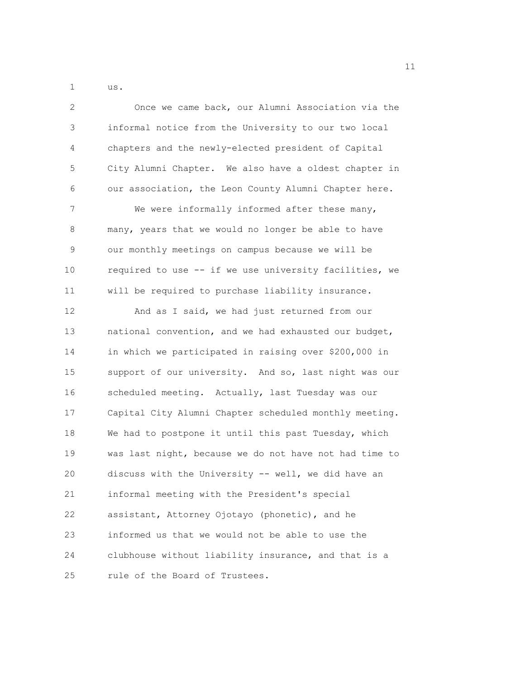1 us.

2 Once we came back, our Alumni Association via the 3 informal notice from the University to our two local 4 chapters and the newly-elected president of Capital 5 City Alumni Chapter. We also have a oldest chapter in 6 our association, the Leon County Alumni Chapter here. 7 We were informally informed after these many, 8 many, years that we would no longer be able to have 9 our monthly meetings on campus because we will be 10 required to use -- if we use university facilities, we 11 will be required to purchase liability insurance. 12 And as I said, we had just returned from our 13 national convention, and we had exhausted our budget, 14 in which we participated in raising over \$200,000 in 15 support of our university. And so, last night was our 16 scheduled meeting. Actually, last Tuesday was our 17 Capital City Alumni Chapter scheduled monthly meeting. 18 We had to postpone it until this past Tuesday, which 19 was last night, because we do not have not had time to 20 discuss with the University -- well, we did have an 21 informal meeting with the President's special 22 assistant, Attorney Ojotayo (phonetic), and he 23 informed us that we would not be able to use the 24 clubhouse without liability insurance, and that is a 25 rule of the Board of Trustees.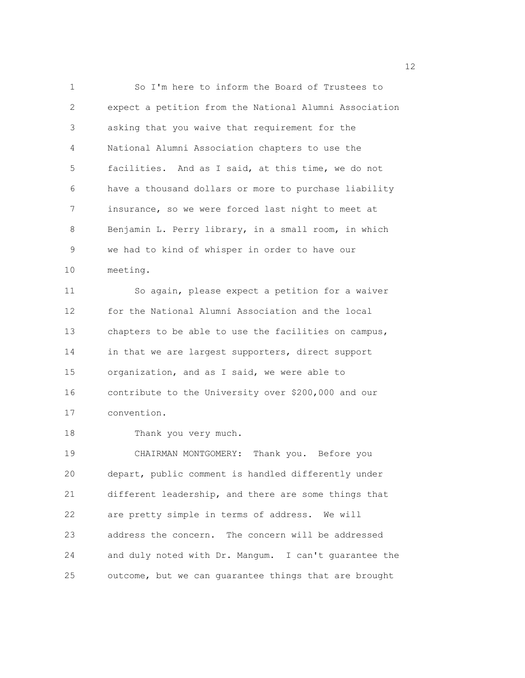1 So I'm here to inform the Board of Trustees to 2 expect a petition from the National Alumni Association 3 asking that you waive that requirement for the 4 National Alumni Association chapters to use the 5 facilities. And as I said, at this time, we do not 6 have a thousand dollars or more to purchase liability 7 insurance, so we were forced last night to meet at 8 Benjamin L. Perry library, in a small room, in which 9 we had to kind of whisper in order to have our 10 meeting. 11 So again, please expect a petition for a waiver

12 for the National Alumni Association and the local 13 chapters to be able to use the facilities on campus, 14 in that we are largest supporters, direct support 15 organization, and as I said, we were able to 16 contribute to the University over \$200,000 and our 17 convention.

18 Thank you very much.

19 CHAIRMAN MONTGOMERY: Thank you. Before you 20 depart, public comment is handled differently under 21 different leadership, and there are some things that 22 are pretty simple in terms of address. We will 23 address the concern. The concern will be addressed 24 and duly noted with Dr. Mangum. I can't guarantee the 25 outcome, but we can guarantee things that are brought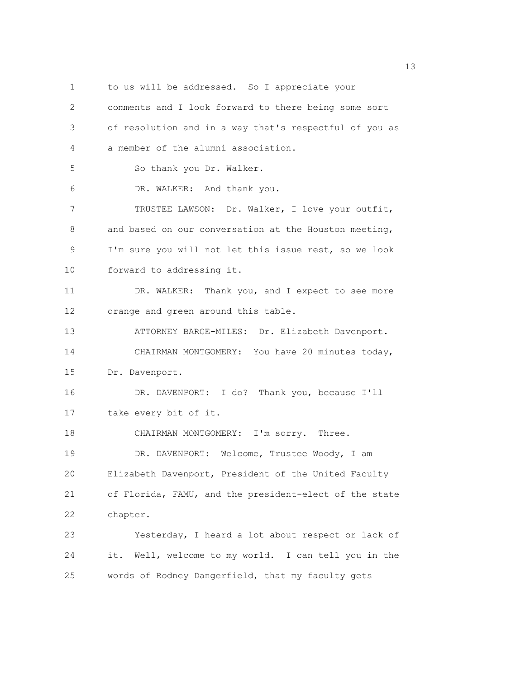1 to us will be addressed. So I appreciate your 2 comments and I look forward to there being some sort 3 of resolution and in a way that's respectful of you as 4 a member of the alumni association. 5 So thank you Dr. Walker. 6 DR. WALKER: And thank you. 7 TRUSTEE LAWSON: Dr. Walker, I love your outfit, 8 and based on our conversation at the Houston meeting, 9 I'm sure you will not let this issue rest, so we look 10 forward to addressing it. 11 DR. WALKER: Thank you, and I expect to see more 12 orange and green around this table. 13 ATTORNEY BARGE-MILES: Dr. Elizabeth Davenport. 14 CHAIRMAN MONTGOMERY: You have 20 minutes today, 15 Dr. Davenport. 16 DR. DAVENPORT: I do? Thank you, because I'll 17 take every bit of it. 18 CHAIRMAN MONTGOMERY: I'm sorry. Three. 19 DR. DAVENPORT: Welcome, Trustee Woody, I am 20 Elizabeth Davenport, President of the United Faculty 21 of Florida, FAMU, and the president-elect of the state 22 chapter. 23 Yesterday, I heard a lot about respect or lack of 24 it. Well, welcome to my world. I can tell you in the 25 words of Rodney Dangerfield, that my faculty gets

13 and 13 and 13 and 13 and 13 and 13 and 13 and 13 and 13 and 13 and 13 and 13 and 13 and 13 and 13 and 13 and 13 and 13 and 13 and 13 and 13 and 13 and 13 and 13 and 13 and 13 and 13 and 13 and 13 and 13 and 13 and 13 an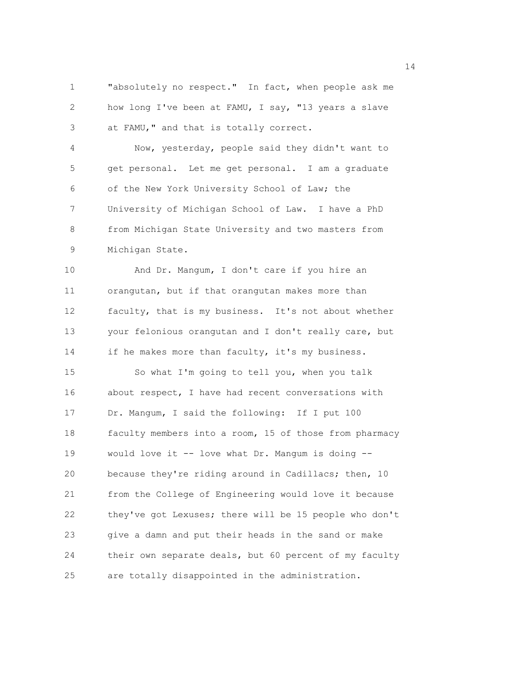1 "absolutely no respect." In fact, when people ask me 2 how long I've been at FAMU, I say, "13 years a slave 3 at FAMU," and that is totally correct.

4 Now, yesterday, people said they didn't want to 5 get personal. Let me get personal. I am a graduate 6 of the New York University School of Law; the 7 University of Michigan School of Law. I have a PhD 8 from Michigan State University and two masters from 9 Michigan State.

10 And Dr. Mangum, I don't care if you hire an 11 orangutan, but if that orangutan makes more than 12 faculty, that is my business. It's not about whether 13 your felonious orangutan and I don't really care, but 14 if he makes more than faculty, it's my business.

15 So what I'm going to tell you, when you talk 16 about respect, I have had recent conversations with 17 Dr. Mangum, I said the following: If I put 100 18 faculty members into a room, 15 of those from pharmacy 19 would love it -- love what Dr. Mangum is doing -- 20 because they're riding around in Cadillacs; then, 10 21 from the College of Engineering would love it because 22 they've got Lexuses; there will be 15 people who don't 23 give a damn and put their heads in the sand or make 24 their own separate deals, but 60 percent of my faculty 25 are totally disappointed in the administration.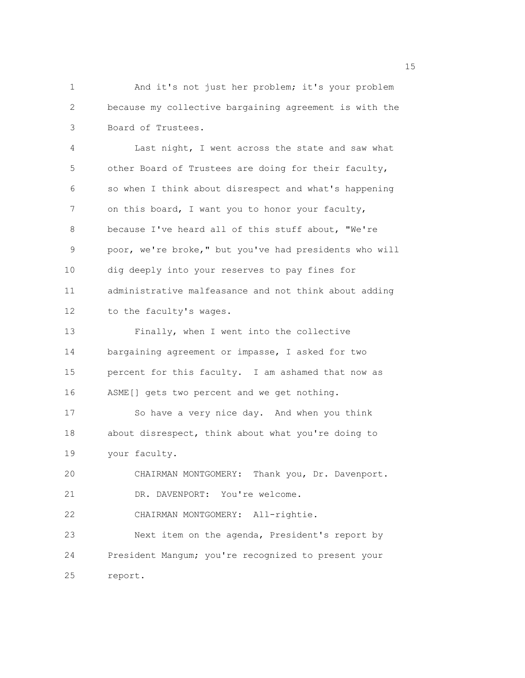1 And it's not just her problem; it's your problem 2 because my collective bargaining agreement is with the 3 Board of Trustees.

4 Last night, I went across the state and saw what 5 other Board of Trustees are doing for their faculty, 6 so when I think about disrespect and what's happening 7 on this board, I want you to honor your faculty, 8 because I've heard all of this stuff about, "We're 9 poor, we're broke," but you've had presidents who will 10 dig deeply into your reserves to pay fines for 11 administrative malfeasance and not think about adding 12 to the faculty's wages.

13 Finally, when I went into the collective 14 bargaining agreement or impasse, I asked for two 15 percent for this faculty. I am ashamed that now as 16 ASME[] gets two percent and we get nothing.

17 So have a very nice day. And when you think 18 about disrespect, think about what you're doing to 19 your faculty.

20 CHAIRMAN MONTGOMERY: Thank you, Dr. Davenport. 21 DR. DAVENPORT: You're welcome.

22 CHAIRMAN MONTGOMERY: All-rightie.

23 Next item on the agenda, President's report by 24 President Mangum; you're recognized to present your 25 report.

n 15 ann an 15 an t-Òire ann an 15 an t-Òire an t-Òire an t-Òire an t-Òire ann an 15 an t-Òire an t-Òire an t-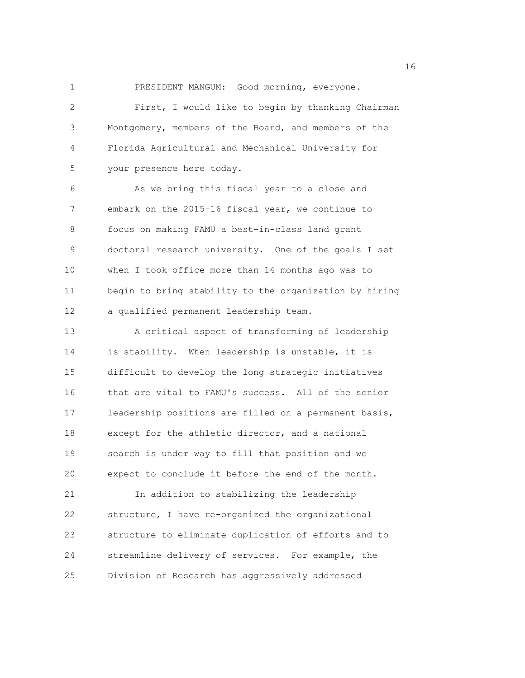1 PRESIDENT MANGUM: Good morning, everyone. 2 First, I would like to begin by thanking Chairman 3 Montgomery, members of the Board, and members of the 4 Florida Agricultural and Mechanical University for 5 your presence here today.

6 As we bring this fiscal year to a close and 7 embark on the 2015-16 fiscal year, we continue to 8 focus on making FAMU a best-in-class land grant 9 doctoral research university. One of the goals I set 10 when I took office more than 14 months ago was to 11 begin to bring stability to the organization by hiring 12 a qualified permanent leadership team.

13 A critical aspect of transforming of leadership 14 is stability. When leadership is unstable, it is 15 difficult to develop the long strategic initiatives 16 that are vital to FAMU's success. All of the senior 17 leadership positions are filled on a permanent basis, 18 except for the athletic director, and a national 19 search is under way to fill that position and we 20 expect to conclude it before the end of the month. 21 In addition to stabilizing the leadership 22 structure, I have re-organized the organizational 23 structure to eliminate duplication of efforts and to 24 streamline delivery of services. For example, the 25 Division of Research has aggressively addressed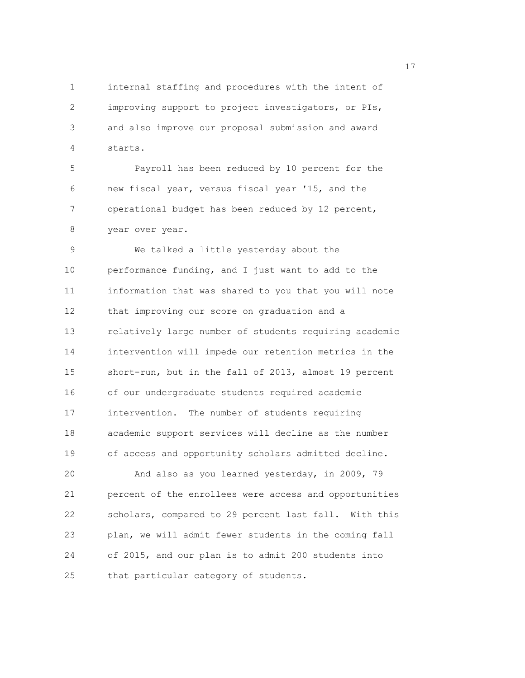1 internal staffing and procedures with the intent of 2 improving support to project investigators, or PIs, 3 and also improve our proposal submission and award 4 starts.

5 Payroll has been reduced by 10 percent for the 6 new fiscal year, versus fiscal year '15, and the 7 operational budget has been reduced by 12 percent, 8 year over year.

9 We talked a little yesterday about the 10 performance funding, and I just want to add to the 11 information that was shared to you that you will note 12 that improving our score on graduation and a 13 relatively large number of students requiring academic 14 intervention will impede our retention metrics in the 15 short-run, but in the fall of 2013, almost 19 percent 16 of our undergraduate students required academic 17 intervention. The number of students requiring 18 academic support services will decline as the number 19 of access and opportunity scholars admitted decline.

20 And also as you learned yesterday, in 2009, 79 21 percent of the enrollees were access and opportunities 22 scholars, compared to 29 percent last fall. With this 23 plan, we will admit fewer students in the coming fall 24 of 2015, and our plan is to admit 200 students into 25 that particular category of students.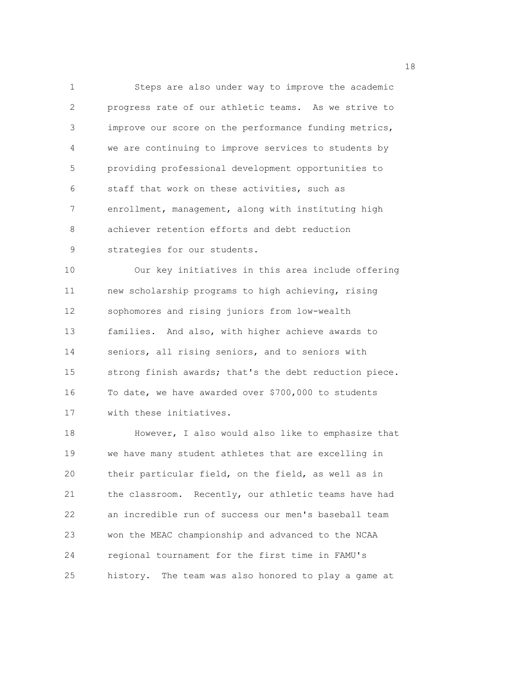1 Steps are also under way to improve the academic 2 progress rate of our athletic teams. As we strive to 3 improve our score on the performance funding metrics, 4 we are continuing to improve services to students by 5 providing professional development opportunities to 6 staff that work on these activities, such as 7 enrollment, management, along with instituting high 8 achiever retention efforts and debt reduction 9 strategies for our students. 10 Our key initiatives in this area include offering 11 new scholarship programs to high achieving, rising

12 sophomores and rising juniors from low-wealth 13 families. And also, with higher achieve awards to 14 seniors, all rising seniors, and to seniors with 15 strong finish awards; that's the debt reduction piece. 16 To date, we have awarded over \$700,000 to students 17 with these initiatives.

18 However, I also would also like to emphasize that 19 we have many student athletes that are excelling in 20 their particular field, on the field, as well as in 21 the classroom. Recently, our athletic teams have had 22 an incredible run of success our men's baseball team 23 won the MEAC championship and advanced to the NCAA 24 regional tournament for the first time in FAMU's 25 history. The team was also honored to play a game at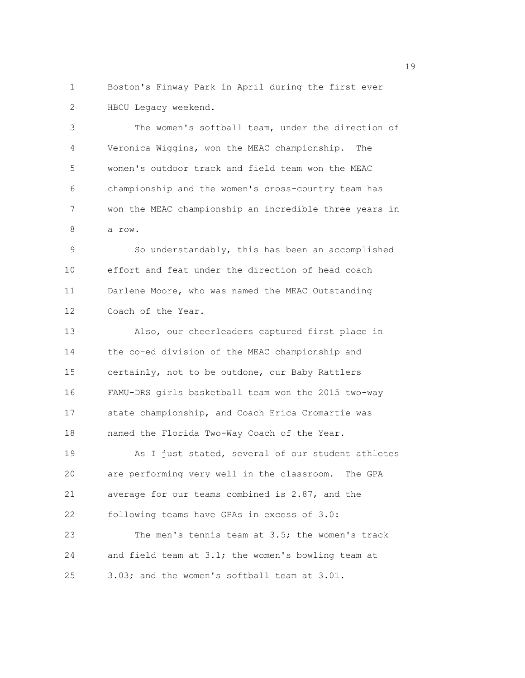1 Boston's Finway Park in April during the first ever 2 HBCU Legacy weekend.

3 The women's softball team, under the direction of 4 Veronica Wiggins, won the MEAC championship. The 5 women's outdoor track and field team won the MEAC 6 championship and the women's cross-country team has 7 won the MEAC championship an incredible three years in 8 a row.

9 So understandably, this has been an accomplished 10 effort and feat under the direction of head coach 11 Darlene Moore, who was named the MEAC Outstanding 12 Coach of the Year.

13 Also, our cheerleaders captured first place in 14 the co-ed division of the MEAC championship and 15 certainly, not to be outdone, our Baby Rattlers 16 FAMU-DRS girls basketball team won the 2015 two-way 17 state championship, and Coach Erica Cromartie was 18 named the Florida Two-Way Coach of the Year. 19 As I just stated, several of our student athletes 20 are performing very well in the classroom. The GPA 21 average for our teams combined is 2.87, and the 22 following teams have GPAs in excess of 3.0: 23 The men's tennis team at 3.5; the women's track 24 and field team at 3.1; the women's bowling team at 25 3.03; and the women's softball team at 3.01.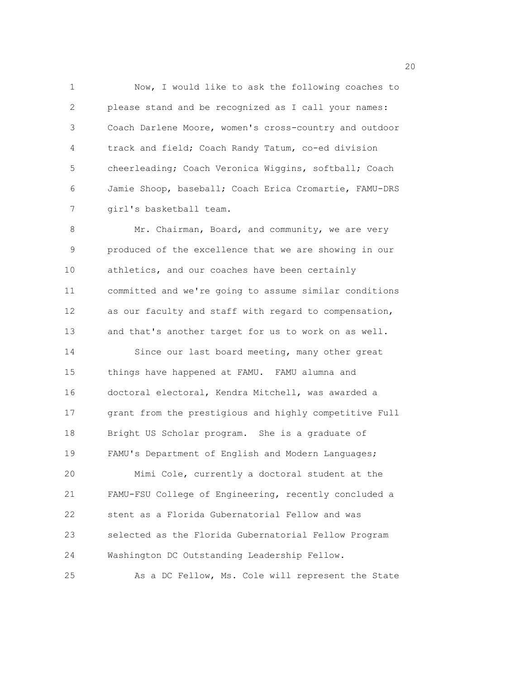1 Now, I would like to ask the following coaches to 2 please stand and be recognized as I call your names: 3 Coach Darlene Moore, women's cross-country and outdoor 4 track and field; Coach Randy Tatum, co-ed division 5 cheerleading; Coach Veronica Wiggins, softball; Coach 6 Jamie Shoop, baseball; Coach Erica Cromartie, FAMU-DRS 7 girl's basketball team.

8 Mr. Chairman, Board, and community, we are very 9 produced of the excellence that we are showing in our 10 athletics, and our coaches have been certainly 11 committed and we're going to assume similar conditions 12 as our faculty and staff with regard to compensation, 13 and that's another target for us to work on as well. 14 Since our last board meeting, many other great 15 things have happened at FAMU. FAMU alumna and 16 doctoral electoral, Kendra Mitchell, was awarded a 17 grant from the prestigious and highly competitive Full 18 Bright US Scholar program. She is a graduate of 19 FAMU's Department of English and Modern Languages; 20 Mimi Cole, currently a doctoral student at the 21 FAMU-FSU College of Engineering, recently concluded a 22 stent as a Florida Gubernatorial Fellow and was 23 selected as the Florida Gubernatorial Fellow Program 24 Washington DC Outstanding Leadership Fellow. 25 As a DC Fellow, Ms. Cole will represent the State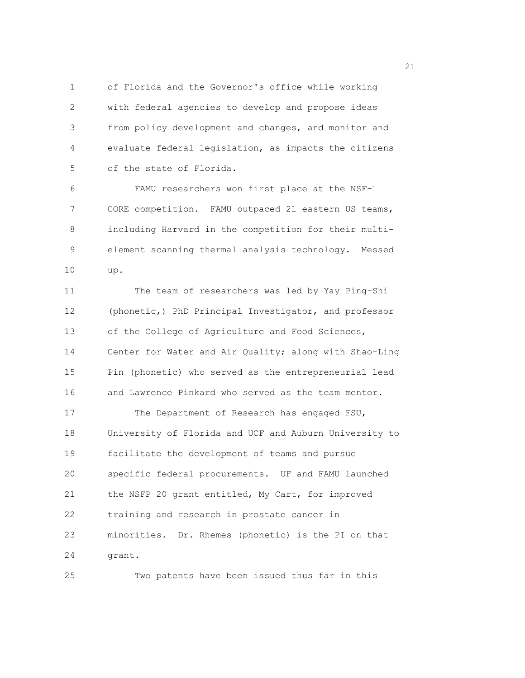1 of Florida and the Governor's office while working 2 with federal agencies to develop and propose ideas 3 from policy development and changes, and monitor and 4 evaluate federal legislation, as impacts the citizens 5 of the state of Florida.

6 FAMU researchers won first place at the NSF-1 7 CORE competition. FAMU outpaced 21 eastern US teams, 8 including Harvard in the competition for their multi-9 element scanning thermal analysis technology. Messed 10 up.

11 The team of researchers was led by Yay Ping-Shi 12 (phonetic,) PhD Principal Investigator, and professor 13 of the College of Agriculture and Food Sciences, 14 Center for Water and Air Quality; along with Shao-Ling 15 Pin (phonetic) who served as the entrepreneurial lead 16 and Lawrence Pinkard who served as the team mentor. 17 The Department of Research has engaged FSU, 18 University of Florida and UCF and Auburn University to 19 facilitate the development of teams and pursue 20 specific federal procurements. UF and FAMU launched 21 the NSFP 20 grant entitled, My Cart, for improved 22 training and research in prostate cancer in 23 minorities. Dr. Rhemes (phonetic) is the PI on that 24 grant.

25 Two patents have been issued thus far in this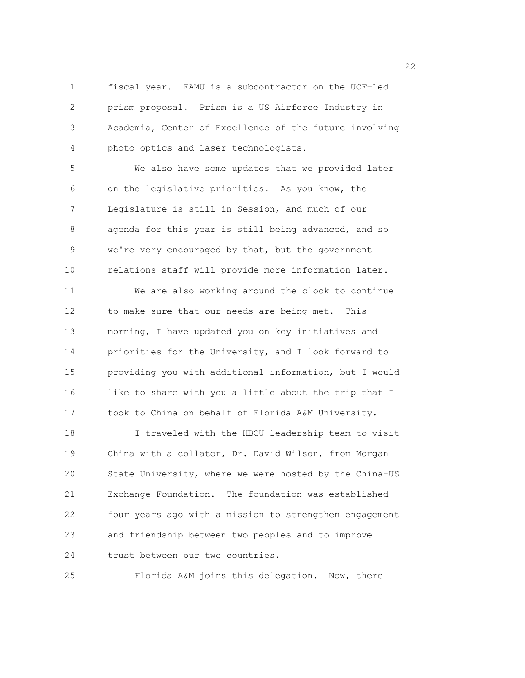1 fiscal year. FAMU is a subcontractor on the UCF-led 2 prism proposal. Prism is a US Airforce Industry in 3 Academia, Center of Excellence of the future involving 4 photo optics and laser technologists.

5 We also have some updates that we provided later 6 on the legislative priorities. As you know, the 7 Legislature is still in Session, and much of our 8 agenda for this year is still being advanced, and so 9 we're very encouraged by that, but the government 10 relations staff will provide more information later.

11 We are also working around the clock to continue 12 to make sure that our needs are being met. This 13 morning, I have updated you on key initiatives and 14 priorities for the University, and I look forward to 15 providing you with additional information, but I would 16 like to share with you a little about the trip that I 17 took to China on behalf of Florida A&M University.

18 I traveled with the HBCU leadership team to visit 19 China with a collator, Dr. David Wilson, from Morgan 20 State University, where we were hosted by the China-US 21 Exchange Foundation. The foundation was established 22 four years ago with a mission to strengthen engagement 23 and friendship between two peoples and to improve 24 trust between our two countries.

25 Florida A&M joins this delegation. Now, there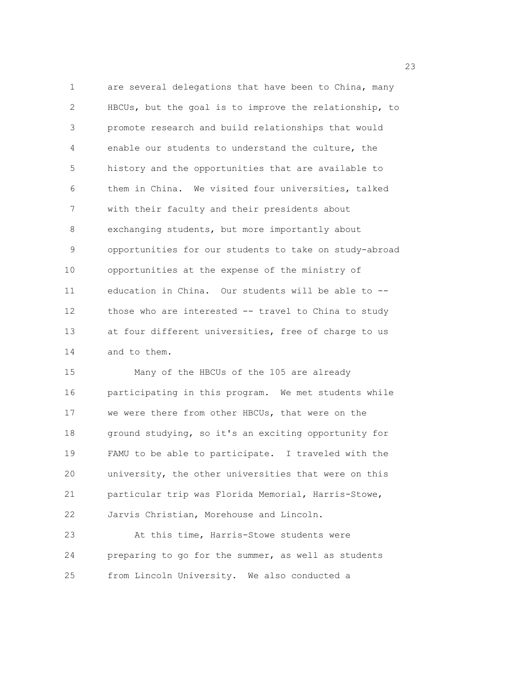1 are several delegations that have been to China, many 2 HBCUs, but the goal is to improve the relationship, to 3 promote research and build relationships that would 4 enable our students to understand the culture, the 5 history and the opportunities that are available to 6 them in China. We visited four universities, talked 7 with their faculty and their presidents about 8 exchanging students, but more importantly about 9 opportunities for our students to take on study-abroad 10 opportunities at the expense of the ministry of 11 education in China. Our students will be able to -- 12 those who are interested -- travel to China to study 13 at four different universities, free of charge to us 14 and to them.

15 Many of the HBCUs of the 105 are already 16 participating in this program. We met students while 17 we were there from other HBCUs, that were on the 18 ground studying, so it's an exciting opportunity for 19 FAMU to be able to participate. I traveled with the 20 university, the other universities that were on this 21 particular trip was Florida Memorial, Harris-Stowe, 22 Jarvis Christian, Morehouse and Lincoln.

23 At this time, Harris-Stowe students were 24 preparing to go for the summer, as well as students 25 from Lincoln University. We also conducted a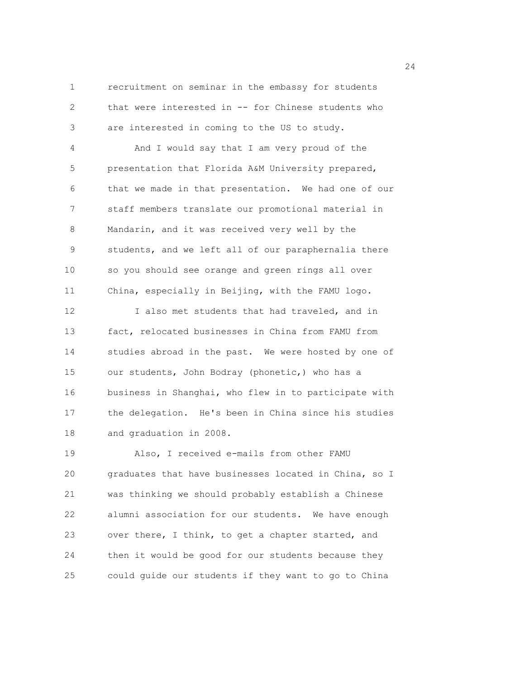1 recruitment on seminar in the embassy for students 2 that were interested in -- for Chinese students who 3 are interested in coming to the US to study.

4 And I would say that I am very proud of the 5 presentation that Florida A&M University prepared, 6 that we made in that presentation. We had one of our 7 staff members translate our promotional material in 8 Mandarin, and it was received very well by the 9 students, and we left all of our paraphernalia there 10 so you should see orange and green rings all over 11 China, especially in Beijing, with the FAMU logo.

12 I also met students that had traveled, and in 13 fact, relocated businesses in China from FAMU from 14 studies abroad in the past. We were hosted by one of 15 our students, John Bodray (phonetic,) who has a 16 business in Shanghai, who flew in to participate with 17 the delegation. He's been in China since his studies 18 and graduation in 2008.

19 Also, I received e-mails from other FAMU 20 graduates that have businesses located in China, so I 21 was thinking we should probably establish a Chinese 22 alumni association for our students. We have enough 23 over there, I think, to get a chapter started, and 24 then it would be good for our students because they 25 could guide our students if they want to go to China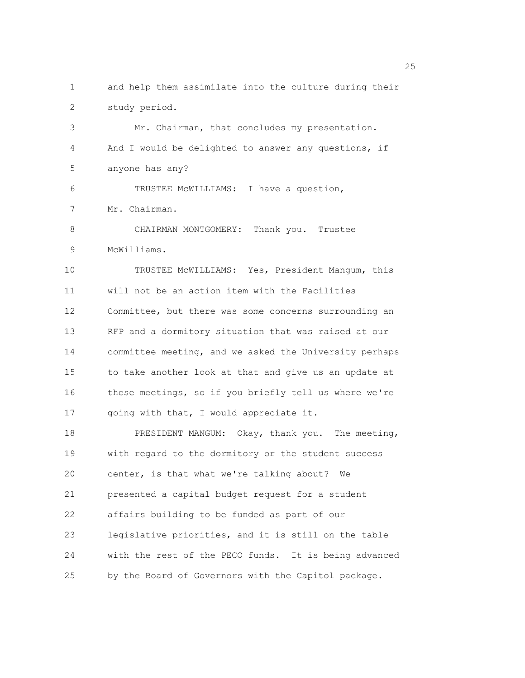1 and help them assimilate into the culture during their 2 study period. 3 Mr. Chairman, that concludes my presentation. 4 And I would be delighted to answer any questions, if 5 anyone has any? 6 TRUSTEE McWILLIAMS: I have a question, 7 Mr. Chairman. 8 CHAIRMAN MONTGOMERY: Thank you. Trustee 9 McWilliams. 10 TRUSTEE McWILLIAMS: Yes, President Mangum, this 11 will not be an action item with the Facilities 12 Committee, but there was some concerns surrounding an 13 RFP and a dormitory situation that was raised at our 14 committee meeting, and we asked the University perhaps 15 to take another look at that and give us an update at 16 these meetings, so if you briefly tell us where we're 17 going with that, I would appreciate it. 18 PRESIDENT MANGUM: Okay, thank you. The meeting, 19 with regard to the dormitory or the student success 20 center, is that what we're talking about? We 21 presented a capital budget request for a student 22 affairs building to be funded as part of our 23 legislative priorities, and it is still on the table 24 with the rest of the PECO funds. It is being advanced 25 by the Board of Governors with the Capitol package.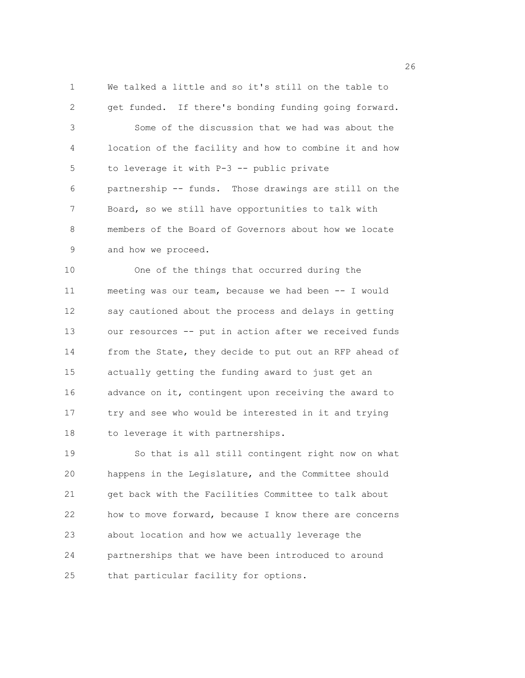1 We talked a little and so it's still on the table to 2 get funded. If there's bonding funding going forward. 3 Some of the discussion that we had was about the 4 location of the facility and how to combine it and how 5 to leverage it with P-3 -- public private 6 partnership -- funds. Those drawings are still on the 7 Board, so we still have opportunities to talk with 8 members of the Board of Governors about how we locate 9 and how we proceed. 10 One of the things that occurred during the

11 meeting was our team, because we had been -- I would 12 say cautioned about the process and delays in getting 13 our resources -- put in action after we received funds 14 from the State, they decide to put out an RFP ahead of 15 actually getting the funding award to just get an 16 advance on it, contingent upon receiving the award to 17 try and see who would be interested in it and trying 18 to leverage it with partnerships.

19 So that is all still contingent right now on what 20 happens in the Legislature, and the Committee should 21 get back with the Facilities Committee to talk about 22 how to move forward, because I know there are concerns 23 about location and how we actually leverage the 24 partnerships that we have been introduced to around 25 that particular facility for options.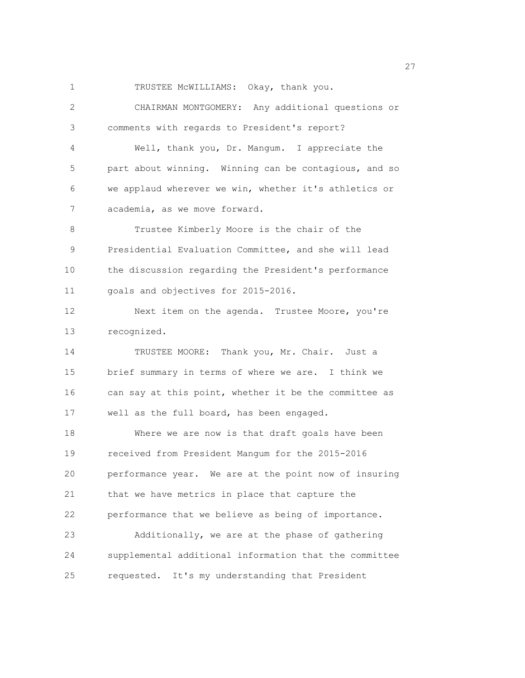1 TRUSTEE McWILLIAMS: Okay, thank you.

2 CHAIRMAN MONTGOMERY: Any additional questions or 3 comments with regards to President's report? 4 Well, thank you, Dr. Mangum. I appreciate the 5 part about winning. Winning can be contagious, and so 6 we applaud wherever we win, whether it's athletics or 7 academia, as we move forward. 8 Trustee Kimberly Moore is the chair of the 9 Presidential Evaluation Committee, and she will lead 10 the discussion regarding the President's performance 11 goals and objectives for 2015-2016. 12 Next item on the agenda. Trustee Moore, you're 13 recognized. 14 TRUSTEE MOORE: Thank you, Mr. Chair. Just a 15 brief summary in terms of where we are. I think we 16 can say at this point, whether it be the committee as 17 well as the full board, has been engaged. 18 Where we are now is that draft goals have been 19 received from President Mangum for the 2015-2016 20 performance year. We are at the point now of insuring 21 that we have metrics in place that capture the 22 performance that we believe as being of importance. 23 Additionally, we are at the phase of gathering 24 supplemental additional information that the committee 25 requested. It's my understanding that President

<u>27</u>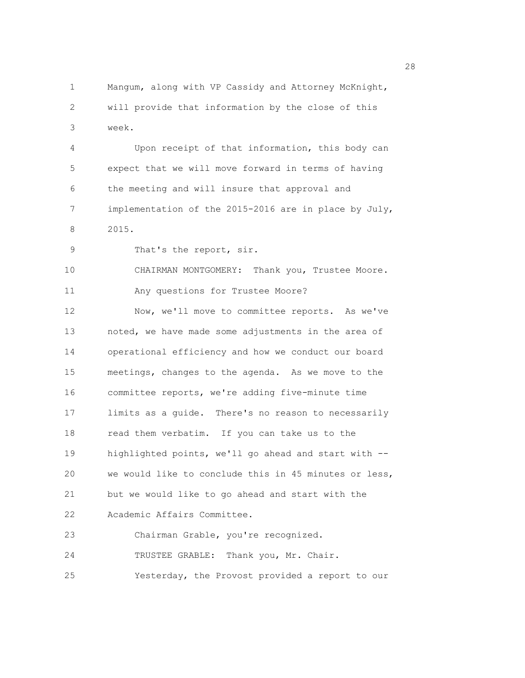1 Mangum, along with VP Cassidy and Attorney McKnight, 2 will provide that information by the close of this 3 week. 4 Upon receipt of that information, this body can 5 expect that we will move forward in terms of having 6 the meeting and will insure that approval and 7 implementation of the 2015-2016 are in place by July, 8 2015. 9 That's the report, sir. 10 CHAIRMAN MONTGOMERY: Thank you, Trustee Moore. 11 Any questions for Trustee Moore? 12 Now, we'll move to committee reports. As we've 13 noted, we have made some adjustments in the area of 14 operational efficiency and how we conduct our board 15 meetings, changes to the agenda. As we move to the 16 committee reports, we're adding five-minute time 17 limits as a guide. There's no reason to necessarily 18 read them verbatim. If you can take us to the 19 highlighted points, we'll go ahead and start with -- 20 we would like to conclude this in 45 minutes or less, 21 but we would like to go ahead and start with the 22 Academic Affairs Committee. 23 Chairman Grable, you're recognized. 24 TRUSTEE GRABLE: Thank you, Mr. Chair. 25 Yesterday, the Provost provided a report to our

28 and 28 and 28 and 28 and 28 and 28 and 28 and 28 and 28 and 28 and 28 and 28 and 28 and 28 and 28 and 28 and 28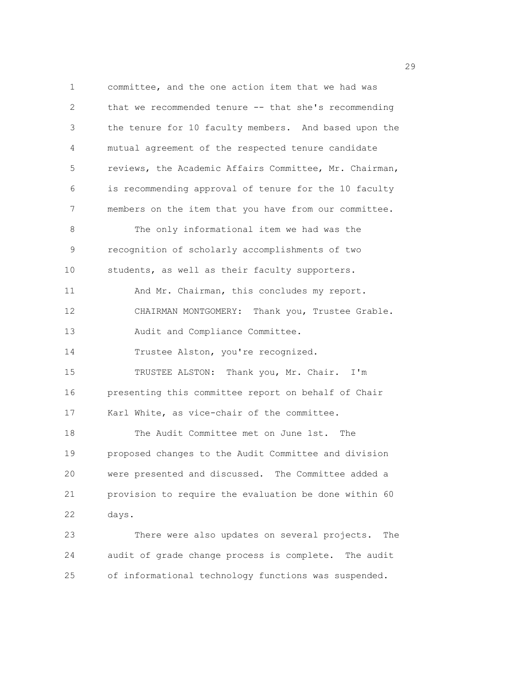1 committee, and the one action item that we had was 2 that we recommended tenure -- that she's recommending 3 the tenure for 10 faculty members. And based upon the 4 mutual agreement of the respected tenure candidate 5 reviews, the Academic Affairs Committee, Mr. Chairman, 6 is recommending approval of tenure for the 10 faculty 7 members on the item that you have from our committee. 8 The only informational item we had was the 9 recognition of scholarly accomplishments of two 10 students, as well as their faculty supporters. 11 And Mr. Chairman, this concludes my report. 12 CHAIRMAN MONTGOMERY: Thank you, Trustee Grable. 13 Audit and Compliance Committee. 14 Trustee Alston, you're recognized. 15 TRUSTEE ALSTON: Thank you, Mr. Chair. I'm 16 presenting this committee report on behalf of Chair 17 Karl White, as vice-chair of the committee. 18 The Audit Committee met on June 1st. The 19 proposed changes to the Audit Committee and division 20 were presented and discussed. The Committee added a 21 provision to require the evaluation be done within 60 22 days. 23 There were also updates on several projects. The 24 audit of grade change process is complete. The audit 25 of informational technology functions was suspended.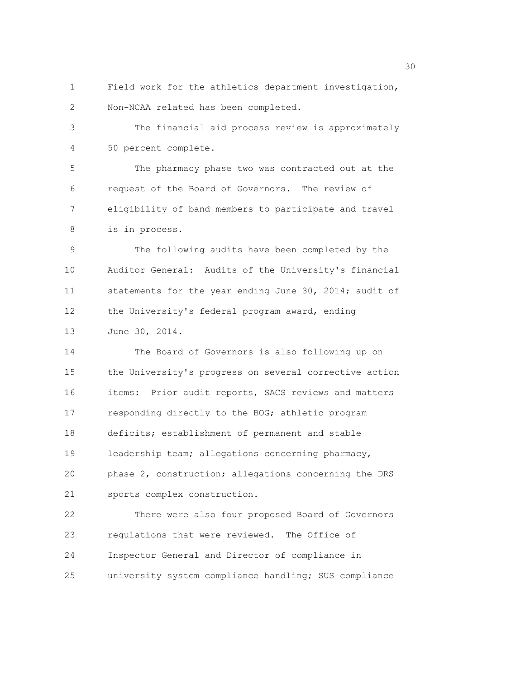1 Field work for the athletics department investigation, 2 Non-NCAA related has been completed.

3 The financial aid process review is approximately 4 50 percent complete.

5 The pharmacy phase two was contracted out at the 6 request of the Board of Governors. The review of 7 eligibility of band members to participate and travel 8 is in process.

9 The following audits have been completed by the 10 Auditor General: Audits of the University's financial 11 statements for the year ending June 30, 2014; audit of 12 the University's federal program award, ending 13 June 30, 2014.

14 The Board of Governors is also following up on 15 the University's progress on several corrective action 16 items: Prior audit reports, SACS reviews and matters 17 responding directly to the BOG; athletic program 18 deficits; establishment of permanent and stable 19 leadership team; allegations concerning pharmacy, 20 phase 2, construction; allegations concerning the DRS 21 sports complex construction.

22 There were also four proposed Board of Governors 23 regulations that were reviewed. The Office of 24 Inspector General and Director of compliance in 25 university system compliance handling; SUS compliance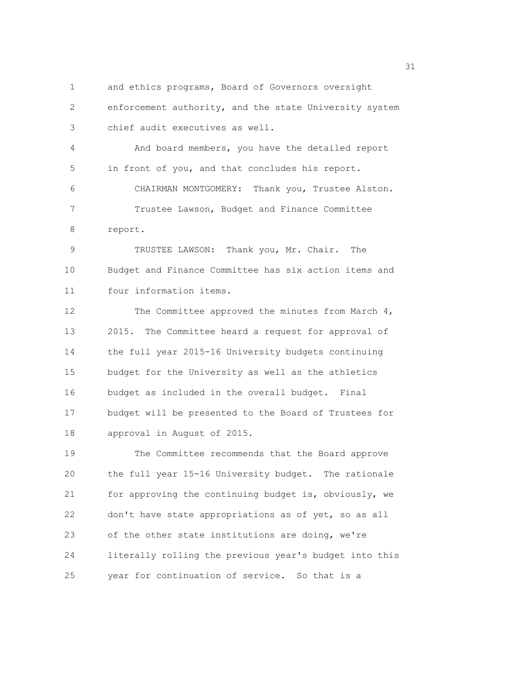1 and ethics programs, Board of Governors oversight 2 enforcement authority, and the state University system 3 chief audit executives as well. 4 And board members, you have the detailed report 5 in front of you, and that concludes his report. 6 CHAIRMAN MONTGOMERY: Thank you, Trustee Alston. 7 Trustee Lawson, Budget and Finance Committee 8 report. 9 TRUSTEE LAWSON: Thank you, Mr. Chair. The 10 Budget and Finance Committee has six action items and 11 four information items. 12 The Committee approved the minutes from March 4, 13 2015. The Committee heard a request for approval of 14 the full year 2015-16 University budgets continuing 15 budget for the University as well as the athletics 16 budget as included in the overall budget. Final 17 budget will be presented to the Board of Trustees for 18 approval in August of 2015. 19 The Committee recommends that the Board approve 20 the full year 15-16 University budget. The rationale 21 for approving the continuing budget is, obviously, we 22 don't have state appropriations as of yet, so as all 23 of the other state institutions are doing, we're 24 literally rolling the previous year's budget into this 25 year for continuation of service. So that is a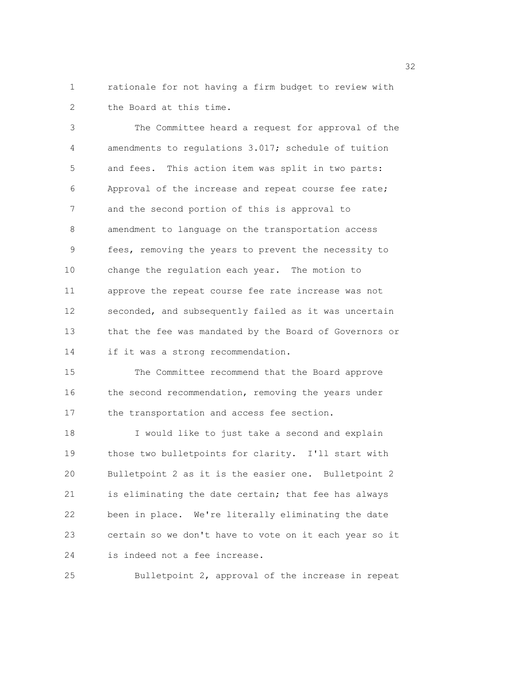1 rationale for not having a firm budget to review with 2 the Board at this time.

3 The Committee heard a request for approval of the 4 amendments to regulations 3.017; schedule of tuition 5 and fees. This action item was split in two parts: 6 Approval of the increase and repeat course fee rate; 7 and the second portion of this is approval to 8 amendment to language on the transportation access 9 fees, removing the years to prevent the necessity to 10 change the regulation each year. The motion to 11 approve the repeat course fee rate increase was not 12 seconded, and subsequently failed as it was uncertain 13 that the fee was mandated by the Board of Governors or 14 if it was a strong recommendation. 15 The Committee recommend that the Board approve 16 the second recommendation, removing the years under 17 the transportation and access fee section. 18 I would like to just take a second and explain 19 those two bulletpoints for clarity. I'll start with 20 Bulletpoint 2 as it is the easier one. Bulletpoint 2 21 is eliminating the date certain; that fee has always

22 been in place. We're literally eliminating the date 23 certain so we don't have to vote on it each year so it 24 is indeed not a fee increase.

25 Bulletpoint 2, approval of the increase in repeat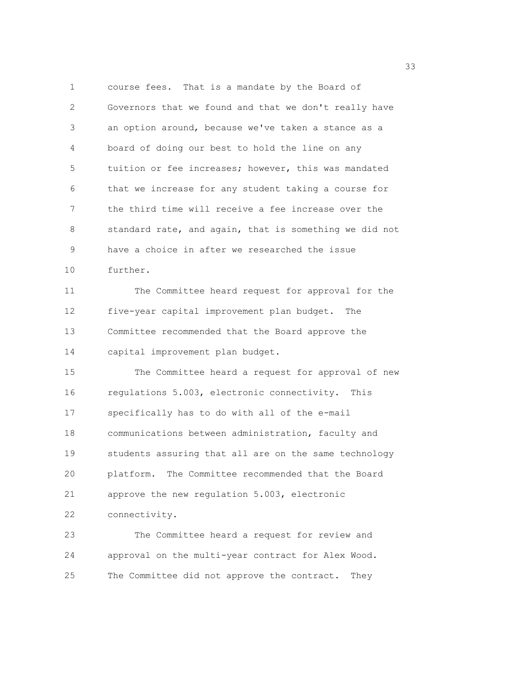1 course fees. That is a mandate by the Board of 2 Governors that we found and that we don't really have 3 an option around, because we've taken a stance as a 4 board of doing our best to hold the line on any 5 tuition or fee increases; however, this was mandated 6 that we increase for any student taking a course for 7 the third time will receive a fee increase over the 8 standard rate, and again, that is something we did not 9 have a choice in after we researched the issue 10 further. 11 The Committee heard request for approval for the 12 five-year capital improvement plan budget. The 13 Committee recommended that the Board approve the 14 capital improvement plan budget. 15 The Committee heard a request for approval of new 16 regulations 5.003, electronic connectivity. This 17 specifically has to do with all of the e-mail 18 communications between administration, faculty and 19 students assuring that all are on the same technology 20 platform. The Committee recommended that the Board 21 approve the new regulation 5.003, electronic 22 connectivity. 23 The Committee heard a request for review and 24 approval on the multi-year contract for Alex Wood.

25 The Committee did not approve the contract. They

<u>333</u> and the state of the state of the state of the state of the state of the state of the state of the state of the state of the state of the state of the state of the state of the state of the state of the state of the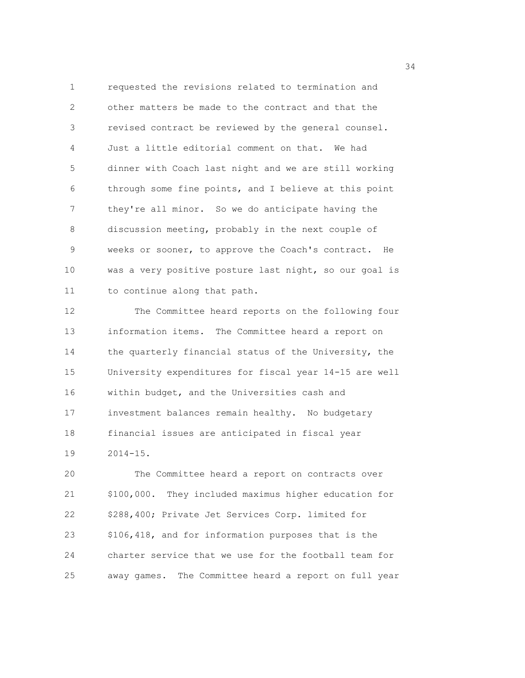1 requested the revisions related to termination and 2 other matters be made to the contract and that the 3 revised contract be reviewed by the general counsel. 4 Just a little editorial comment on that. We had 5 dinner with Coach last night and we are still working 6 through some fine points, and I believe at this point 7 they're all minor. So we do anticipate having the 8 discussion meeting, probably in the next couple of 9 weeks or sooner, to approve the Coach's contract. He 10 was a very positive posture last night, so our goal is 11 to continue along that path.

12 The Committee heard reports on the following four 13 information items. The Committee heard a report on 14 the quarterly financial status of the University, the 15 University expenditures for fiscal year 14-15 are well 16 within budget, and the Universities cash and 17 investment balances remain healthy. No budgetary 18 financial issues are anticipated in fiscal year 19 2014-15.

20 The Committee heard a report on contracts over 21 \$100,000. They included maximus higher education for 22 \$288,400; Private Jet Services Corp. limited for 23 \$106,418, and for information purposes that is the 24 charter service that we use for the football team for 25 away games. The Committee heard a report on full year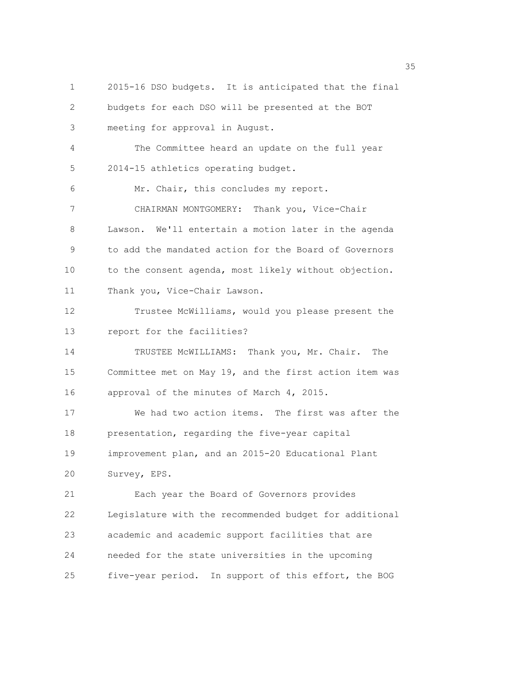1 2015-16 DSO budgets. It is anticipated that the final 2 budgets for each DSO will be presented at the BOT 3 meeting for approval in August. 4 The Committee heard an update on the full year 5 2014-15 athletics operating budget. 6 Mr. Chair, this concludes my report. 7 CHAIRMAN MONTGOMERY: Thank you, Vice-Chair 8 Lawson. We'll entertain a motion later in the agenda 9 to add the mandated action for the Board of Governors 10 to the consent agenda, most likely without objection. 11 Thank you, Vice-Chair Lawson. 12 Trustee McWilliams, would you please present the 13 report for the facilities? 14 TRUSTEE McWILLIAMS: Thank you, Mr. Chair. The 15 Committee met on May 19, and the first action item was 16 approval of the minutes of March 4, 2015. 17 We had two action items. The first was after the 18 presentation, regarding the five-year capital 19 improvement plan, and an 2015-20 Educational Plant 20 Survey, EPS. 21 Each year the Board of Governors provides 22 Legislature with the recommended budget for additional 23 academic and academic support facilities that are 24 needed for the state universities in the upcoming 25 five-year period. In support of this effort, the BOG

<u>35 September 2005 September 2005 September 2005 September 2005 September 2005 September 2005 September 2005 S</u>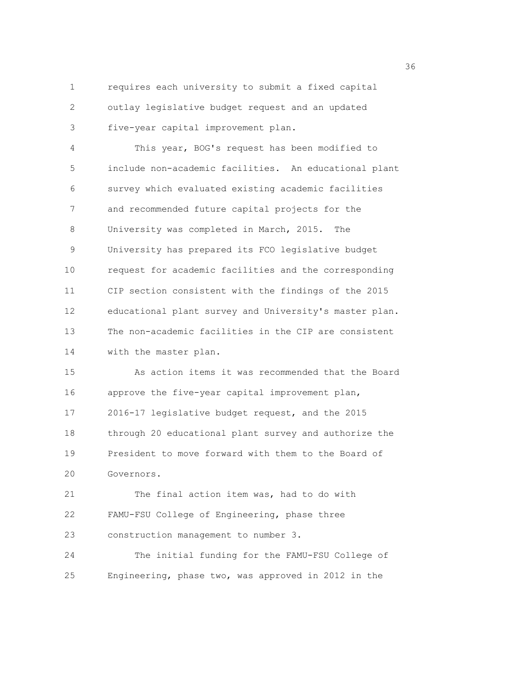1 requires each university to submit a fixed capital 2 outlay legislative budget request and an updated 3 five-year capital improvement plan.

4 This year, BOG's request has been modified to 5 include non-academic facilities. An educational plant 6 survey which evaluated existing academic facilities 7 and recommended future capital projects for the 8 University was completed in March, 2015. The 9 University has prepared its FCO legislative budget 10 request for academic facilities and the corresponding 11 CIP section consistent with the findings of the 2015 12 educational plant survey and University's master plan. 13 The non-academic facilities in the CIP are consistent 14 with the master plan.

15 As action items it was recommended that the Board 16 approve the five-year capital improvement plan, 17 2016-17 legislative budget request, and the 2015 18 through 20 educational plant survey and authorize the 19 President to move forward with them to the Board of 20 Governors.

21 The final action item was, had to do with 22 FAMU-FSU College of Engineering, phase three 23 construction management to number 3.

24 The initial funding for the FAMU-FSU College of 25 Engineering, phase two, was approved in 2012 in the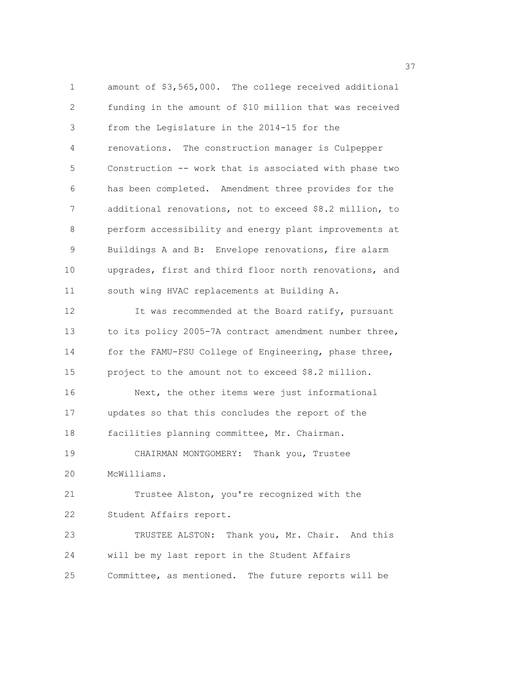1 amount of \$3,565,000. The college received additional 2 funding in the amount of \$10 million that was received 3 from the Legislature in the 2014-15 for the 4 renovations. The construction manager is Culpepper 5 Construction -- work that is associated with phase two 6 has been completed. Amendment three provides for the 7 additional renovations, not to exceed \$8.2 million, to 8 perform accessibility and energy plant improvements at 9 Buildings A and B: Envelope renovations, fire alarm 10 upgrades, first and third floor north renovations, and 11 south wing HVAC replacements at Building A. 12 It was recommended at the Board ratify, pursuant 13 to its policy 2005-7A contract amendment number three, 14 for the FAMU-FSU College of Engineering, phase three, 15 project to the amount not to exceed \$8.2 million. 16 Next, the other items were just informational 17 updates so that this concludes the report of the 18 facilities planning committee, Mr. Chairman. 19 CHAIRMAN MONTGOMERY: Thank you, Trustee 20 McWilliams. 21 Trustee Alston, you're recognized with the 22 Student Affairs report. 23 TRUSTEE ALSTON: Thank you, Mr. Chair. And this 24 will be my last report in the Student Affairs 25 Committee, as mentioned. The future reports will be

<u>37</u>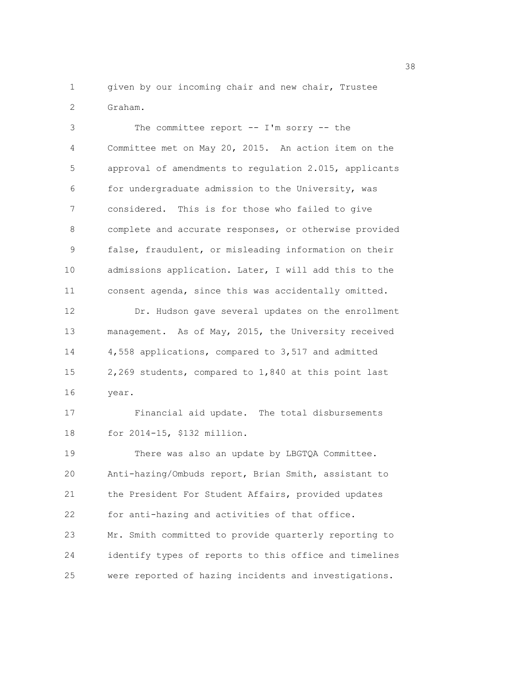1 given by our incoming chair and new chair, Trustee 2 Graham.

3 The committee report -- I'm sorry -- the 4 Committee met on May 20, 2015. An action item on the 5 approval of amendments to regulation 2.015, applicants 6 for undergraduate admission to the University, was 7 considered. This is for those who failed to give 8 complete and accurate responses, or otherwise provided 9 false, fraudulent, or misleading information on their 10 admissions application. Later, I will add this to the 11 consent agenda, since this was accidentally omitted. 12 Dr. Hudson gave several updates on the enrollment 13 management. As of May, 2015, the University received 14 4,558 applications, compared to 3,517 and admitted 15 2,269 students, compared to 1,840 at this point last 16 year. 17 Financial aid update. The total disbursements

19 There was also an update by LBGTQA Committee. 20 Anti-hazing/Ombuds report, Brian Smith, assistant to 21 the President For Student Affairs, provided updates 22 for anti-hazing and activities of that office. 23 Mr. Smith committed to provide quarterly reporting to 24 identify types of reports to this office and timelines 25 were reported of hazing incidents and investigations.

18 for 2014-15, \$132 million.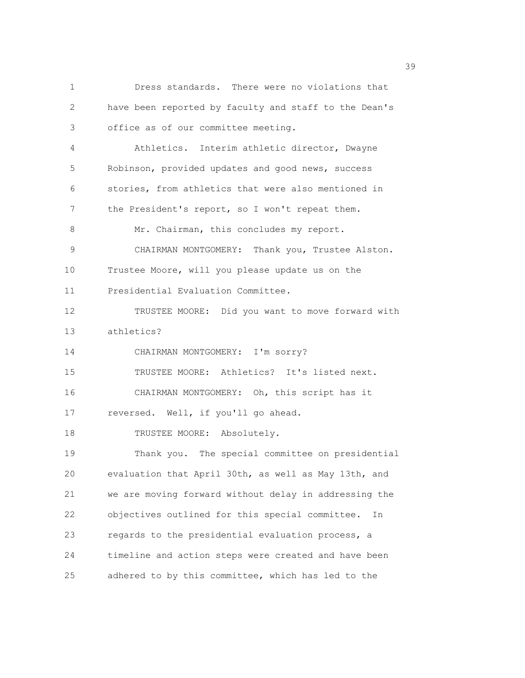1 Dress standards. There were no violations that 2 have been reported by faculty and staff to the Dean's 3 office as of our committee meeting. 4 Athletics. Interim athletic director, Dwayne 5 Robinson, provided updates and good news, success 6 stories, from athletics that were also mentioned in 7 the President's report, so I won't repeat them. 8 Mr. Chairman, this concludes my report. 9 CHAIRMAN MONTGOMERY: Thank you, Trustee Alston. 10 Trustee Moore, will you please update us on the 11 Presidential Evaluation Committee. 12 TRUSTEE MOORE: Did you want to move forward with 13 athletics? 14 CHAIRMAN MONTGOMERY: I'm sorry? 15 TRUSTEE MOORE: Athletics? It's listed next. 16 CHAIRMAN MONTGOMERY: Oh, this script has it 17 reversed. Well, if you'll go ahead. 18 TRUSTEE MOORE: Absolutely. 19 Thank you. The special committee on presidential 20 evaluation that April 30th, as well as May 13th, and 21 we are moving forward without delay in addressing the 22 objectives outlined for this special committee. In 23 regards to the presidential evaluation process, a 24 timeline and action steps were created and have been 25 adhered to by this committee, which has led to the

39 and 2012 and 2013 and 2013 and 2013 and 2013 and 2013 and 2013 and 2013 and 2013 and 2013 and 2013 and 2013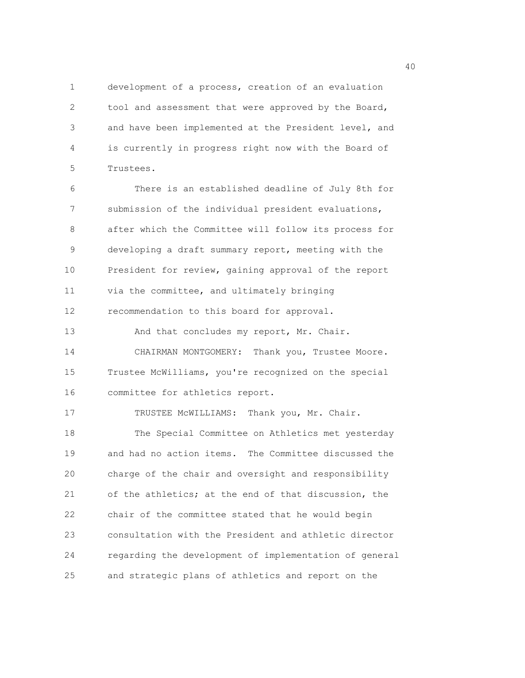1 development of a process, creation of an evaluation 2 tool and assessment that were approved by the Board, 3 and have been implemented at the President level, and 4 is currently in progress right now with the Board of 5 Trustees.

6 There is an established deadline of July 8th for 7 submission of the individual president evaluations, 8 after which the Committee will follow its process for 9 developing a draft summary report, meeting with the 10 President for review, gaining approval of the report 11 via the committee, and ultimately bringing 12 recommendation to this board for approval.

13 And that concludes my report, Mr. Chair. 14 CHAIRMAN MONTGOMERY: Thank you, Trustee Moore. 15 Trustee McWilliams, you're recognized on the special 16 committee for athletics report.

17 TRUSTEE MCWILLIAMS: Thank you, Mr. Chair. 18 The Special Committee on Athletics met yesterday 19 and had no action items. The Committee discussed the 20 charge of the chair and oversight and responsibility 21 of the athletics; at the end of that discussion, the 22 chair of the committee stated that he would begin 23 consultation with the President and athletic director 24 regarding the development of implementation of general 25 and strategic plans of athletics and report on the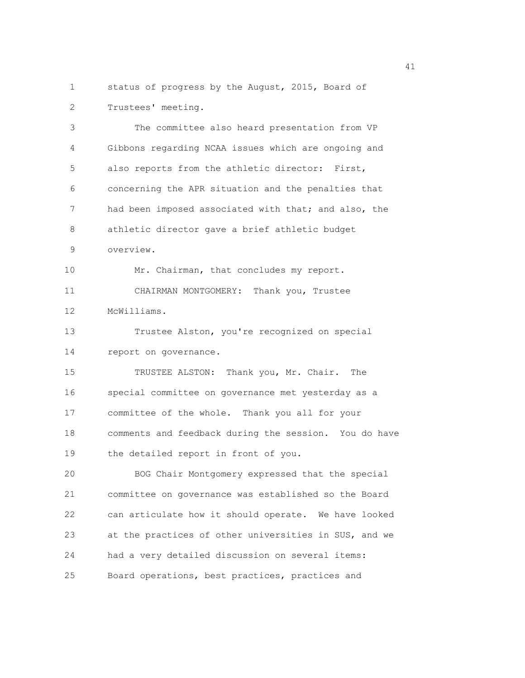1 status of progress by the August, 2015, Board of 2 Trustees' meeting.

3 The committee also heard presentation from VP 4 Gibbons regarding NCAA issues which are ongoing and 5 also reports from the athletic director: First, 6 concerning the APR situation and the penalties that 7 had been imposed associated with that; and also, the 8 athletic director gave a brief athletic budget 9 overview. 10 Mr. Chairman, that concludes my report. 11 CHAIRMAN MONTGOMERY: Thank you, Trustee 12 McWilliams. 13 Trustee Alston, you're recognized on special 14 report on governance. 15 TRUSTEE ALSTON: Thank you, Mr. Chair. The 16 special committee on governance met yesterday as a 17 committee of the whole. Thank you all for your 18 comments and feedback during the session. You do have 19 the detailed report in front of you. 20 BOG Chair Montgomery expressed that the special 21 committee on governance was established so the Board 22 can articulate how it should operate. We have looked 23 at the practices of other universities in SUS, and we 24 had a very detailed discussion on several items:

25 Board operations, best practices, practices and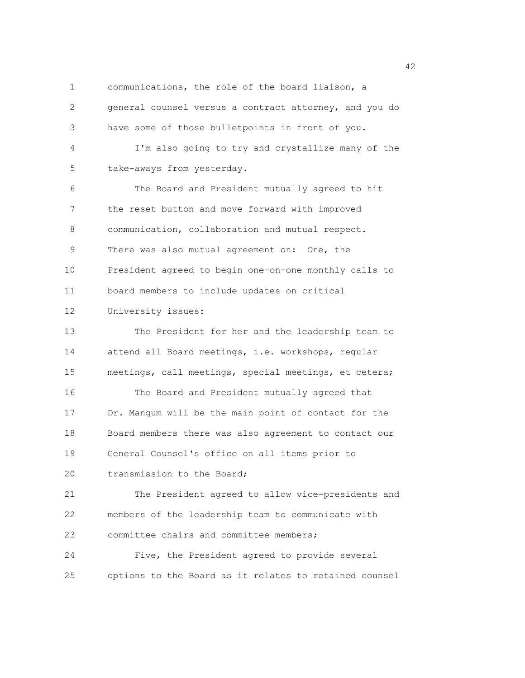1 communications, the role of the board liaison, a 2 general counsel versus a contract attorney, and you do 3 have some of those bulletpoints in front of you. 4 I'm also going to try and crystallize many of the 5 take-aways from yesterday. 6 The Board and President mutually agreed to hit 7 the reset button and move forward with improved 8 communication, collaboration and mutual respect. 9 There was also mutual agreement on: One, the 10 President agreed to begin one-on-one monthly calls to 11 board members to include updates on critical 12 University issues: 13 The President for her and the leadership team to 14 attend all Board meetings, i.e. workshops, regular 15 meetings, call meetings, special meetings, et cetera; 16 The Board and President mutually agreed that 17 Dr. Mangum will be the main point of contact for the 18 Board members there was also agreement to contact our 19 General Counsel's office on all items prior to 20 transmission to the Board: 21 The President agreed to allow vice-presidents and 22 members of the leadership team to communicate with 23 committee chairs and committee members; 24 Five, the President agreed to provide several 25 options to the Board as it relates to retained counsel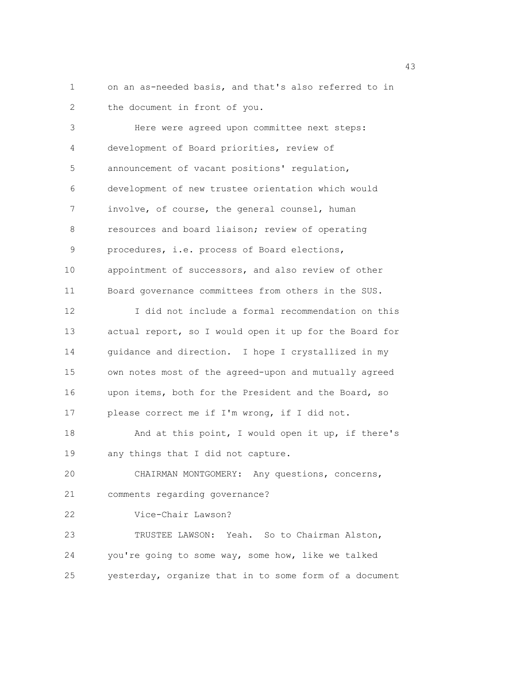1 on an as-needed basis, and that's also referred to in 2 the document in front of you.

3 Here were agreed upon committee next steps: 4 development of Board priorities, review of 5 announcement of vacant positions' regulation, 6 development of new trustee orientation which would 7 involve, of course, the general counsel, human 8 resources and board liaison; review of operating 9 procedures, i.e. process of Board elections, 10 appointment of successors, and also review of other 11 Board governance committees from others in the SUS. 12 I did not include a formal recommendation on this 13 actual report, so I would open it up for the Board for 14 guidance and direction. I hope I crystallized in my 15 own notes most of the agreed-upon and mutually agreed 16 upon items, both for the President and the Board, so 17 please correct me if I'm wrong, if I did not. 18 And at this point, I would open it up, if there's 19 any things that I did not capture. 20 CHAIRMAN MONTGOMERY: Any questions, concerns, 21 comments regarding governance? 22 Vice-Chair Lawson? 23 TRUSTEE LAWSON: Yeah. So to Chairman Alston, 24 you're going to some way, some how, like we talked 25 yesterday, organize that in to some form of a document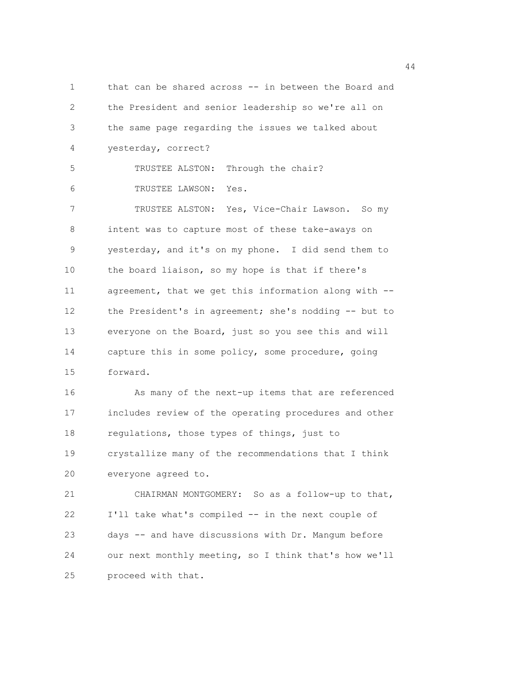1 that can be shared across -- in between the Board and 2 the President and senior leadership so we're all on 3 the same page regarding the issues we talked about 4 yesterday, correct? 5 TRUSTEE ALSTON: Through the chair? 6 TRUSTEE LAWSON: Yes. 7 TRUSTEE ALSTON: Yes, Vice-Chair Lawson. So my 8 intent was to capture most of these take-aways on 9 yesterday, and it's on my phone. I did send them to 10 the board liaison, so my hope is that if there's 11 agreement, that we get this information along with -- 12 the President's in agreement; she's nodding -- but to 13 everyone on the Board, just so you see this and will 14 capture this in some policy, some procedure, going 15 forward. 16 As many of the next-up items that are referenced 17 includes review of the operating procedures and other 18 regulations, those types of things, just to 19 crystallize many of the recommendations that I think 20 everyone agreed to. 21 CHAIRMAN MONTGOMERY: So as a follow-up to that, 22 I'll take what's compiled -- in the next couple of 23 days -- and have discussions with Dr. Mangum before 24 our next monthly meeting, so I think that's how we'll 25 proceed with that.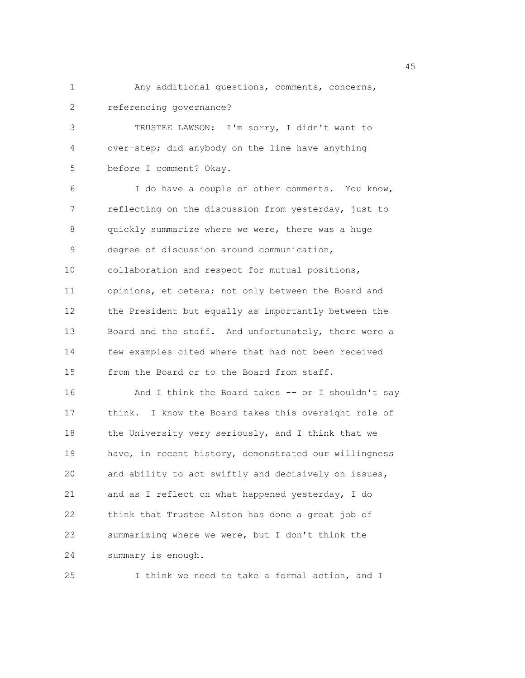1 Any additional questions, comments, concerns, 2 referencing governance?

3 TRUSTEE LAWSON: I'm sorry, I didn't want to 4 over-step; did anybody on the line have anything 5 before I comment? Okay.

6 I do have a couple of other comments. You know, 7 reflecting on the discussion from yesterday, just to 8 quickly summarize where we were, there was a huge 9 degree of discussion around communication, 10 collaboration and respect for mutual positions, 11 opinions, et cetera; not only between the Board and 12 the President but equally as importantly between the 13 Board and the staff. And unfortunately, there were a 14 few examples cited where that had not been received 15 from the Board or to the Board from staff. 16 And I think the Board takes -- or I shouldn't say 17 think. I know the Board takes this oversight role of

18 the University very seriously, and I think that we 19 have, in recent history, demonstrated our willingness 20 and ability to act swiftly and decisively on issues, 21 and as I reflect on what happened yesterday, I do 22 think that Trustee Alston has done a great job of 23 summarizing where we were, but I don't think the 24 summary is enough.

25 I think we need to take a formal action, and I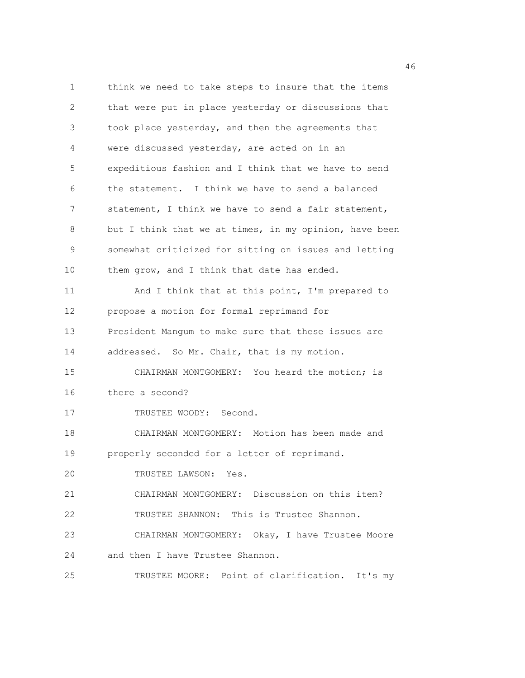1 think we need to take steps to insure that the items 2 that were put in place yesterday or discussions that 3 took place yesterday, and then the agreements that 4 were discussed yesterday, are acted on in an 5 expeditious fashion and I think that we have to send 6 the statement. I think we have to send a balanced 7 statement, I think we have to send a fair statement, 8 but I think that we at times, in my opinion, have been 9 somewhat criticized for sitting on issues and letting 10 them grow, and I think that date has ended. 11 And I think that at this point, I'm prepared to 12 propose a motion for formal reprimand for 13 President Mangum to make sure that these issues are 14 addressed. So Mr. Chair, that is my motion. 15 CHAIRMAN MONTGOMERY: You heard the motion; is 16 there a second? 17 TRUSTEE WOODY: Second. 18 CHAIRMAN MONTGOMERY: Motion has been made and 19 properly seconded for a letter of reprimand. 20 TRUSTEE LAWSON: Yes. 21 CHAIRMAN MONTGOMERY: Discussion on this item? 22 TRUSTEE SHANNON: This is Trustee Shannon. 23 CHAIRMAN MONTGOMERY: Okay, I have Trustee Moore 24 and then I have Trustee Shannon. 25 TRUSTEE MOORE: Point of clarification. It's my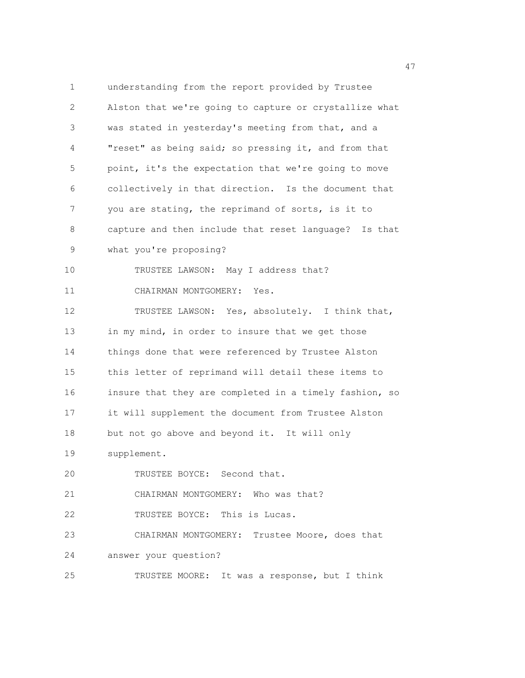1 understanding from the report provided by Trustee 2 Alston that we're going to capture or crystallize what 3 was stated in yesterday's meeting from that, and a 4 "reset" as being said; so pressing it, and from that 5 point, it's the expectation that we're going to move 6 collectively in that direction. Is the document that 7 you are stating, the reprimand of sorts, is it to 8 capture and then include that reset language? Is that 9 what you're proposing? 10 TRUSTEE LAWSON: May I address that? 11 CHAIRMAN MONTGOMERY: Yes. 12 TRUSTEE LAWSON: Yes, absolutely. I think that, 13 in my mind, in order to insure that we get those 14 things done that were referenced by Trustee Alston 15 this letter of reprimand will detail these items to 16 insure that they are completed in a timely fashion, so 17 it will supplement the document from Trustee Alston 18 but not go above and beyond it. It will only 19 supplement. 20 TRUSTEE BOYCE: Second that. 21 CHAIRMAN MONTGOMERY: Who was that? 22 TRUSTEE BOYCE: This is Lucas. 23 CHAIRMAN MONTGOMERY: Trustee Moore, does that 24 answer your question? 25 TRUSTEE MOORE: It was a response, but I think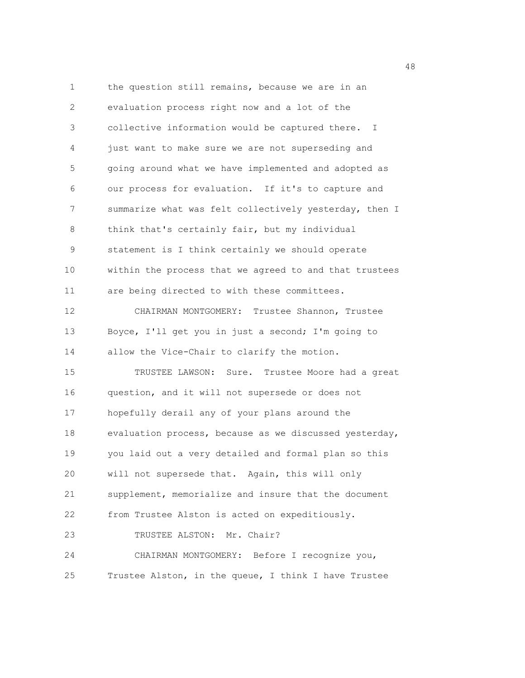1 the question still remains, because we are in an 2 evaluation process right now and a lot of the 3 collective information would be captured there. I 4 just want to make sure we are not superseding and 5 going around what we have implemented and adopted as 6 our process for evaluation. If it's to capture and 7 summarize what was felt collectively yesterday, then I 8 think that's certainly fair, but my individual 9 statement is I think certainly we should operate 10 within the process that we agreed to and that trustees 11 are being directed to with these committees. 12 CHAIRMAN MONTGOMERY: Trustee Shannon, Trustee 13 Boyce, I'll get you in just a second; I'm going to 14 allow the Vice-Chair to clarify the motion. 15 TRUSTEE LAWSON: Sure. Trustee Moore had a great 16 question, and it will not supersede or does not 17 hopefully derail any of your plans around the 18 evaluation process, because as we discussed yesterday, 19 you laid out a very detailed and formal plan so this 20 will not supersede that. Again, this will only 21 supplement, memorialize and insure that the document 22 from Trustee Alston is acted on expeditiously. 23 TRUSTEE ALSTON: Mr. Chair? 24 CHAIRMAN MONTGOMERY: Before I recognize you, 25 Trustee Alston, in the queue, I think I have Trustee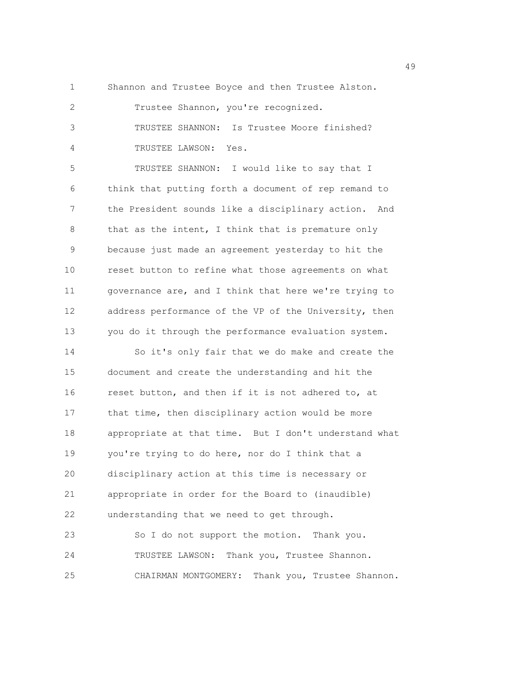1 Shannon and Trustee Boyce and then Trustee Alston.

2 Trustee Shannon, you're recognized. 3 TRUSTEE SHANNON: Is Trustee Moore finished? 4 TRUSTEE LAWSON: Yes.

5 TRUSTEE SHANNON: I would like to say that I 6 think that putting forth a document of rep remand to 7 the President sounds like a disciplinary action. And 8 that as the intent, I think that is premature only 9 because just made an agreement yesterday to hit the 10 reset button to refine what those agreements on what 11 governance are, and I think that here we're trying to 12 address performance of the VP of the University, then 13 you do it through the performance evaluation system. 14 So it's only fair that we do make and create the 15 document and create the understanding and hit the 16 reset button, and then if it is not adhered to, at 17 that time, then disciplinary action would be more 18 appropriate at that time. But I don't understand what 19 you're trying to do here, nor do I think that a 20 disciplinary action at this time is necessary or 21 appropriate in order for the Board to (inaudible) 22 understanding that we need to get through. 23 So I do not support the motion. Thank you. 24 TRUSTEE LAWSON: Thank you, Trustee Shannon. 25 CHAIRMAN MONTGOMERY: Thank you, Trustee Shannon.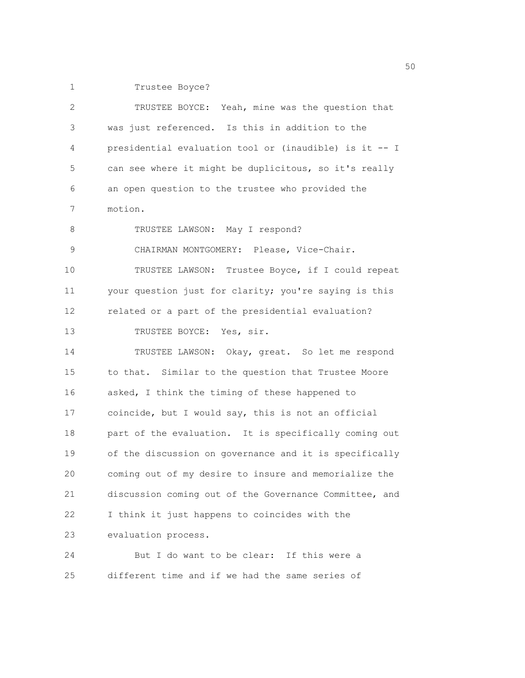1 Trustee Boyce?

| 2  | TRUSTEE BOYCE: Yeah, mine was the question that        |
|----|--------------------------------------------------------|
| 3  | was just referenced. Is this in addition to the        |
| 4  | presidential evaluation tool or (inaudible) is it -- I |
| 5  | can see where it might be duplicitous, so it's really  |
| 6  | an open question to the trustee who provided the       |
| 7  | motion.                                                |
| 8  | TRUSTEE LAWSON: May I respond?                         |
| 9  | CHAIRMAN MONTGOMERY: Please, Vice-Chair.               |
| 10 | TRUSTEE LAWSON: Trustee Boyce, if I could repeat       |
| 11 | your question just for clarity; you're saying is this  |
| 12 | related or a part of the presidential evaluation?      |
| 13 | TRUSTEE BOYCE: Yes, sir.                               |
| 14 | TRUSTEE LAWSON: Okay, great. So let me respond         |
| 15 | to that. Similar to the question that Trustee Moore    |
| 16 | asked, I think the timing of these happened to         |
| 17 | coincide, but I would say, this is not an official     |
| 18 | part of the evaluation. It is specifically coming out  |
| 19 | of the discussion on governance and it is specifically |
| 20 | coming out of my desire to insure and memorialize the  |
| 21 | discussion coming out of the Governance Committee, and |
| 22 | I think it just happens to coincides with the          |
| 23 | evaluation process.                                    |
| 24 | But I do want to be clear: If this were a              |

25 different time and if we had the same series of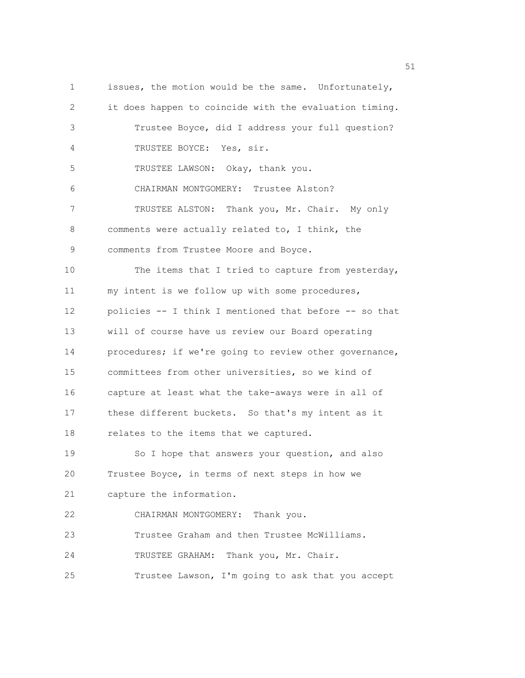1 issues, the motion would be the same. Unfortunately, 2 it does happen to coincide with the evaluation timing. 3 Trustee Boyce, did I address your full question? 4 TRUSTEE BOYCE: Yes, sir. 5 TRUSTEE LAWSON: Okay, thank you. 6 CHAIRMAN MONTGOMERY: Trustee Alston? 7 TRUSTEE ALSTON: Thank you, Mr. Chair. My only 8 comments were actually related to, I think, the 9 comments from Trustee Moore and Boyce. 10 The items that I tried to capture from yesterday, 11 my intent is we follow up with some procedures, 12 policies -- I think I mentioned that before -- so that 13 will of course have us review our Board operating 14 procedures; if we're going to review other governance, 15 committees from other universities, so we kind of 16 capture at least what the take-aways were in all of 17 these different buckets. So that's my intent as it 18 relates to the items that we captured. 19 So I hope that answers your question, and also 20 Trustee Boyce, in terms of next steps in how we 21 capture the information. 22 CHAIRMAN MONTGOMERY: Thank you. 23 Trustee Graham and then Trustee McWilliams. 24 TRUSTEE GRAHAM: Thank you, Mr. Chair. 25 Trustee Lawson, I'm going to ask that you accept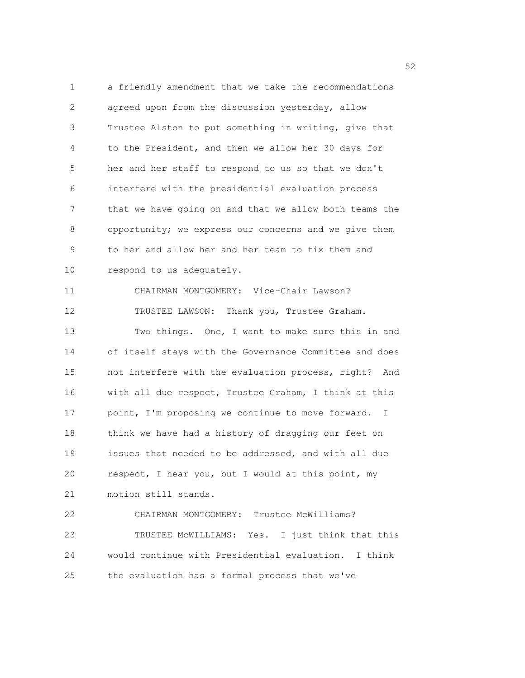1 a friendly amendment that we take the recommendations 2 agreed upon from the discussion yesterday, allow 3 Trustee Alston to put something in writing, give that 4 to the President, and then we allow her 30 days for 5 her and her staff to respond to us so that we don't 6 interfere with the presidential evaluation process 7 that we have going on and that we allow both teams the 8 opportunity; we express our concerns and we give them 9 to her and allow her and her team to fix them and 10 respond to us adequately. 11 CHAIRMAN MONTGOMERY: Vice-Chair Lawson? 12 TRUSTEE LAWSON: Thank you, Trustee Graham. 13 Two things. One, I want to make sure this in and 14 of itself stays with the Governance Committee and does 15 not interfere with the evaluation process, right? And 16 with all due respect, Trustee Graham, I think at this 17 point, I'm proposing we continue to move forward. I 18 think we have had a history of dragging our feet on 19 issues that needed to be addressed, and with all due 20 respect, I hear you, but I would at this point, my 21 motion still stands. 22 CHAIRMAN MONTGOMERY: Trustee McWilliams? 23 TRUSTEE McWILLIAMS: Yes. I just think that this

25 the evaluation has a formal process that we've

24 would continue with Presidential evaluation. I think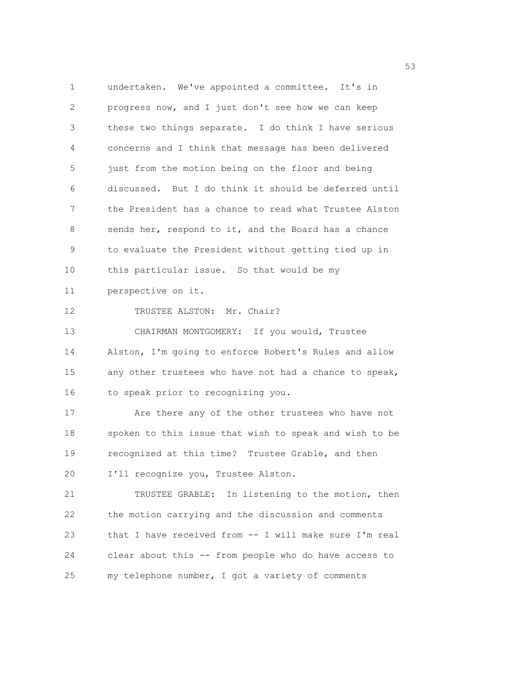1 undertaken. We've appointed a committee. It's in 2 progress now, and I just don't see how we can keep 3 these two things separate. I do think I have serious 4 concerns and I think that message has been delivered 5 just from the motion being on the floor and being 6 discussed. But I do think it should be deferred until 7 the President has a chance to read what Trustee Alston 8 sends her, respond to it, and the Board has a chance 9 to evaluate the President without getting tied up in 10 this particular issue. So that would be my 11 perspective on it. 12 TRUSTEE ALSTON: Mr. Chair? 13 CHAIRMAN MONTGOMERY: If you would, Trustee

14 Alston, I'm going to enforce Robert's Rules and allow 15 any other trustees who have not had a chance to speak, 16 to speak prior to recognizing you.

17 Are there any of the other trustees who have not 18 spoken to this issue that wish to speak and wish to be 19 recognized at this time? Trustee Grable, and then 20 I'll recognize you, Trustee Alston.

21 TRUSTEE GRABLE: In listening to the motion, then 22 the motion carrying and the discussion and comments 23 that I have received from -- I will make sure I'm real 24 clear about this -- from people who do have access to 25 my telephone number, I got a variety of comments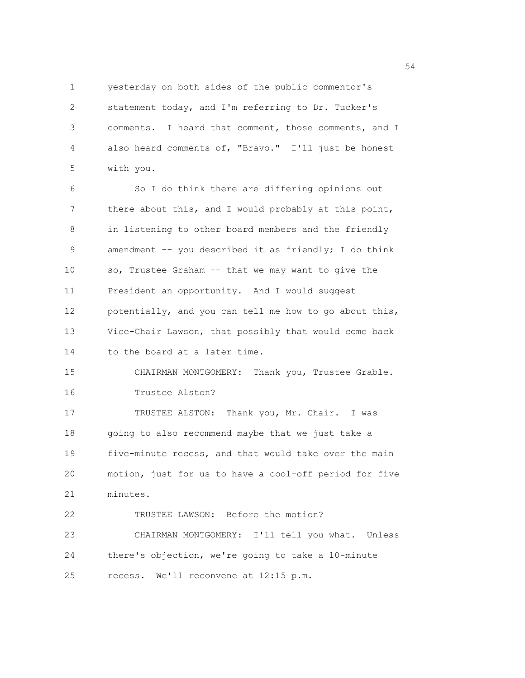1 yesterday on both sides of the public commentor's 2 statement today, and I'm referring to Dr. Tucker's 3 comments. I heard that comment, those comments, and I 4 also heard comments of, "Bravo." I'll just be honest 5 with you.

6 So I do think there are differing opinions out 7 there about this, and I would probably at this point, 8 in listening to other board members and the friendly 9 amendment -- you described it as friendly; I do think 10 so, Trustee Graham -- that we may want to give the 11 President an opportunity. And I would suggest 12 potentially, and you can tell me how to go about this, 13 Vice-Chair Lawson, that possibly that would come back 14 to the board at a later time. 15 CHAIRMAN MONTGOMERY: Thank you, Trustee Grable. 16 Trustee Alston? 17 TRUSTEE ALSTON: Thank you, Mr. Chair. I was 18 going to also recommend maybe that we just take a 19 five-minute recess, and that would take over the main 20 motion, just for us to have a cool-off period for five

21 minutes.

22 TRUSTEE LAWSON: Before the motion? 23 CHAIRMAN MONTGOMERY: I'll tell you what. Unless 24 there's objection, we're going to take a 10-minute 25 recess. We'll reconvene at 12:15 p.m.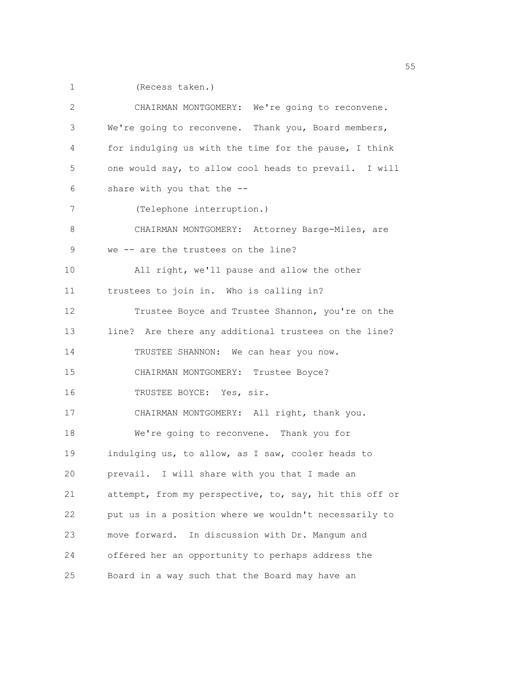1 (Recess taken.)

| 2           | CHAIRMAN MONTGOMERY: We're going to reconvene.         |
|-------------|--------------------------------------------------------|
| 3           | We're going to reconvene. Thank you, Board members,    |
| 4           | for indulging us with the time for the pause, I think  |
| 5           | one would say, to allow cool heads to prevail. I will  |
| 6           | share with you that the --                             |
| 7           | (Telephone interruption.)                              |
| 8           | CHAIRMAN MONTGOMERY: Attorney Barge-Miles, are         |
| $\mathsf 9$ | we -- are the trustees on the line?                    |
| 10          | All right, we'll pause and allow the other             |
| 11          | trustees to join in. Who is calling in?                |
| 12          | Trustee Boyce and Trustee Shannon, you're on the       |
| 13          | line? Are there any additional trustees on the line?   |
| 14          | TRUSTEE SHANNON: We can hear you now.                  |
| 15          | CHAIRMAN MONTGOMERY: Trustee Boyce?                    |
| 16          | TRUSTEE BOYCE: Yes, sir.                               |
| 17          | CHAIRMAN MONTGOMERY: All right, thank you.             |
| 18          | We're going to reconvene. Thank you for                |
| 19          | indulging us, to allow, as I saw, cooler heads to      |
| 20          | prevail. I will share with you that I made an          |
| 21          | attempt, from my perspective, to, say, hit this off or |
| 22          | put us in a position where we wouldn't necessarily to  |
| 23          | move forward.<br>In discussion with Dr. Mangum and     |
| 24          | offered her an opportunity to perhaps address the      |
| 25          | Board in a way such that the Board may have an         |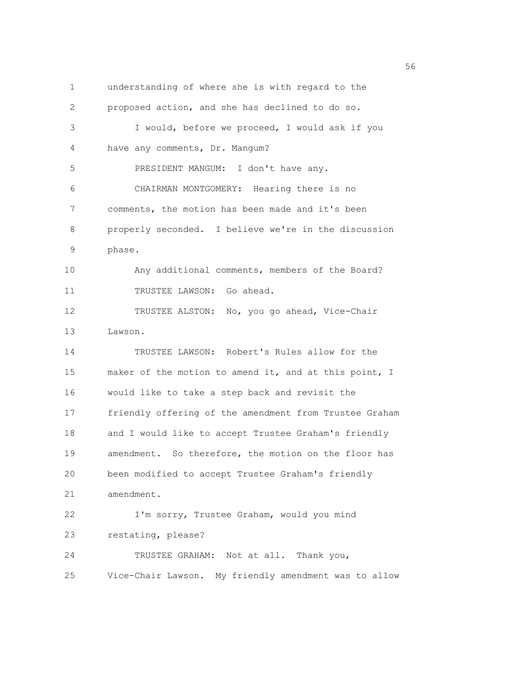1 understanding of where she is with regard to the 2 proposed action, and she has declined to do so. 3 I would, before we proceed, I would ask if you 4 have any comments, Dr. Mangum? 5 PRESIDENT MANGUM: I don't have any. 6 CHAIRMAN MONTGOMERY: Hearing there is no 7 comments, the motion has been made and it's been 8 properly seconded. I believe we're in the discussion 9 phase. 10 Any additional comments, members of the Board? 11 TRUSTEE LAWSON: Go ahead. 12 TRUSTEE ALSTON: No, you go ahead, Vice-Chair 13 Lawson. 14 TRUSTEE LAWSON: Robert's Rules allow for the 15 maker of the motion to amend it, and at this point, I 16 would like to take a step back and revisit the 17 friendly offering of the amendment from Trustee Graham 18 and I would like to accept Trustee Graham's friendly 19 amendment. So therefore, the motion on the floor has 20 been modified to accept Trustee Graham's friendly 21 amendment. 22 I'm sorry, Trustee Graham, would you mind 23 restating, please? 24 TRUSTEE GRAHAM: Not at all. Thank you, 25 Vice-Chair Lawson. My friendly amendment was to allow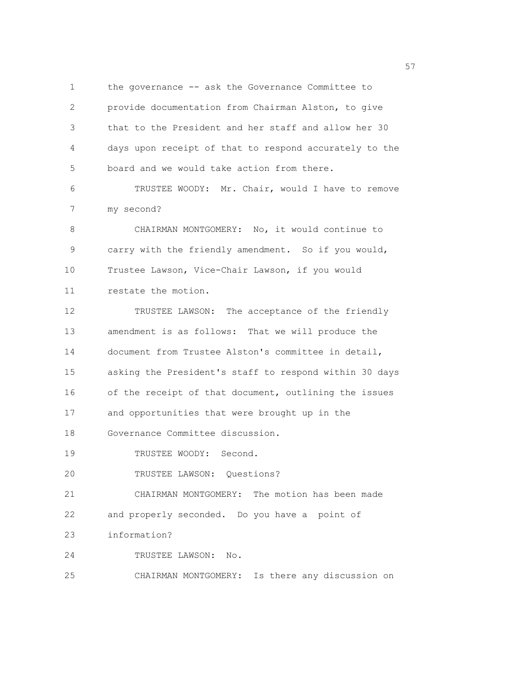1 the governance -- ask the Governance Committee to 2 provide documentation from Chairman Alston, to give 3 that to the President and her staff and allow her 30 4 days upon receipt of that to respond accurately to the 5 board and we would take action from there. 6 TRUSTEE WOODY: Mr. Chair, would I have to remove 7 my second? 8 CHAIRMAN MONTGOMERY: No, it would continue to 9 carry with the friendly amendment. So if you would, 10 Trustee Lawson, Vice-Chair Lawson, if you would 11 restate the motion. 12 TRUSTEE LAWSON: The acceptance of the friendly 13 amendment is as follows: That we will produce the 14 document from Trustee Alston's committee in detail, 15 asking the President's staff to respond within 30 days 16 of the receipt of that document, outlining the issues 17 and opportunities that were brought up in the 18 Governance Committee discussion. 19 TRUSTEE WOODY: Second. 20 TRUSTEE LAWSON: Questions? 21 CHAIRMAN MONTGOMERY: The motion has been made 22 and properly seconded. Do you have a point of 23 information? 24 TRUSTEE LAWSON: No. 25 CHAIRMAN MONTGOMERY: Is there any discussion on

<u>57</u>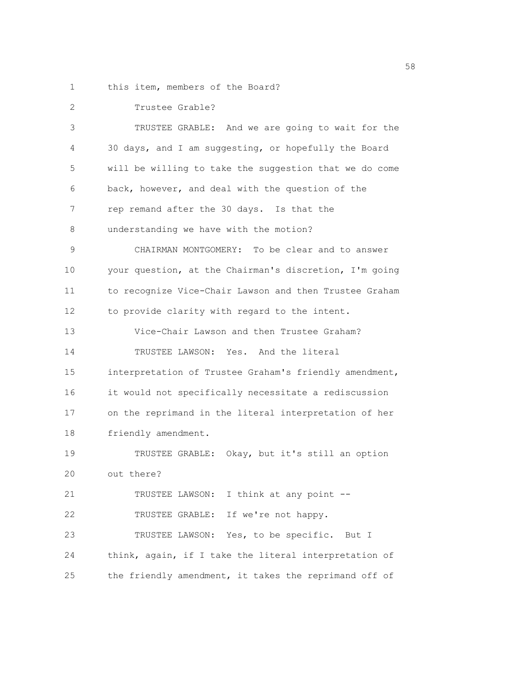1 this item, members of the Board?

| 2  | Trustee Grable?                                        |
|----|--------------------------------------------------------|
| 3  | TRUSTEE GRABLE: And we are going to wait for the       |
| 4  | 30 days, and I am suggesting, or hopefully the Board   |
| 5  | will be willing to take the suggestion that we do come |
| 6  | back, however, and deal with the question of the       |
| 7  | rep remand after the 30 days. Is that the              |
| 8  | understanding we have with the motion?                 |
| 9  | CHAIRMAN MONTGOMERY: To be clear and to answer         |
| 10 | your question, at the Chairman's discretion, I'm going |
| 11 | to recognize Vice-Chair Lawson and then Trustee Graham |
| 12 | to provide clarity with regard to the intent.          |
| 13 | Vice-Chair Lawson and then Trustee Graham?             |
| 14 | TRUSTEE LAWSON: Yes. And the literal                   |
| 15 | interpretation of Trustee Graham's friendly amendment, |
| 16 | it would not specifically necessitate a rediscussion   |
| 17 | on the reprimand in the literal interpretation of her  |
| 18 | friendly amendment.                                    |
| 19 | TRUSTEE GRABLE: Okay, but it's still an option         |
| 20 | out there?                                             |
| 21 | TRUSTEE LAWSON: I think at any point --                |
| 22 | If we're not happy.<br>TRUSTEE GRABLE:                 |
| 23 | TRUSTEE LAWSON: Yes, to be specific. But I             |
| 24 | think, again, if I take the literal interpretation of  |
| 25 | the friendly amendment, it takes the reprimand off of  |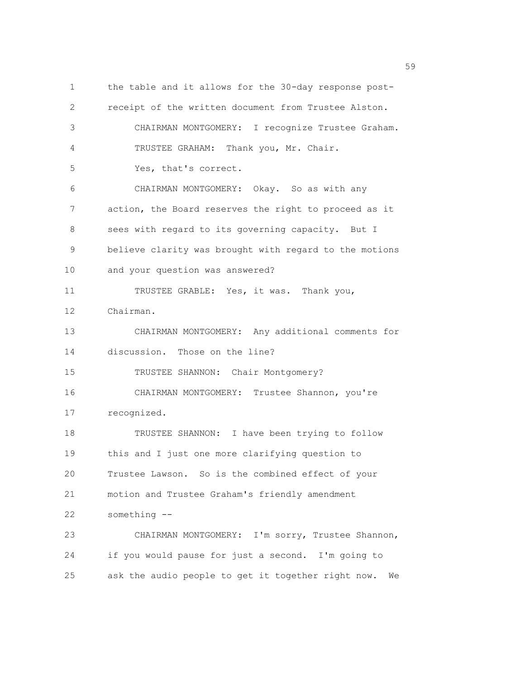1 the table and it allows for the 30-day response post-2 receipt of the written document from Trustee Alston. 3 CHAIRMAN MONTGOMERY: I recognize Trustee Graham. 4 TRUSTEE GRAHAM: Thank you, Mr. Chair. 5 Yes, that's correct. 6 CHAIRMAN MONTGOMERY: Okay. So as with any 7 action, the Board reserves the right to proceed as it 8 sees with regard to its governing capacity. But I 9 believe clarity was brought with regard to the motions 10 and your question was answered? 11 TRUSTEE GRABLE: Yes, it was. Thank you, 12 Chairman. 13 CHAIRMAN MONTGOMERY: Any additional comments for 14 discussion. Those on the line? 15 TRUSTEE SHANNON: Chair Montgomery? 16 CHAIRMAN MONTGOMERY: Trustee Shannon, you're 17 recognized. 18 TRUSTEE SHANNON: I have been trying to follow 19 this and I just one more clarifying question to 20 Trustee Lawson. So is the combined effect of your 21 motion and Trustee Graham's friendly amendment 22 something -- 23 CHAIRMAN MONTGOMERY: I'm sorry, Trustee Shannon, 24 if you would pause for just a second. I'm going to 25 ask the audio people to get it together right now. We

 $59<sub>59</sub>$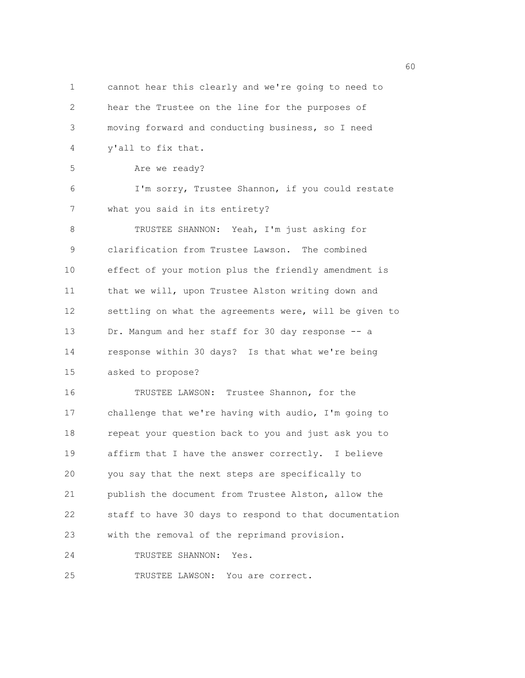1 cannot hear this clearly and we're going to need to 2 hear the Trustee on the line for the purposes of 3 moving forward and conducting business, so I need 4 y'all to fix that. 5 Are we ready? 6 I'm sorry, Trustee Shannon, if you could restate 7 what you said in its entirety? 8 TRUSTEE SHANNON: Yeah, I'm just asking for 9 clarification from Trustee Lawson. The combined 10 effect of your motion plus the friendly amendment is 11 that we will, upon Trustee Alston writing down and 12 settling on what the agreements were, will be given to 13 Dr. Mangum and her staff for 30 day response -- a 14 response within 30 days? Is that what we're being 15 asked to propose? 16 TRUSTEE LAWSON: Trustee Shannon, for the 17 challenge that we're having with audio, I'm going to 18 repeat your question back to you and just ask you to 19 affirm that I have the answer correctly. I believe 20 you say that the next steps are specifically to 21 publish the document from Trustee Alston, allow the 22 staff to have 30 days to respond to that documentation 23 with the removal of the reprimand provision. 24 TRUSTEE SHANNON: Yes. 25 TRUSTEE LAWSON: You are correct.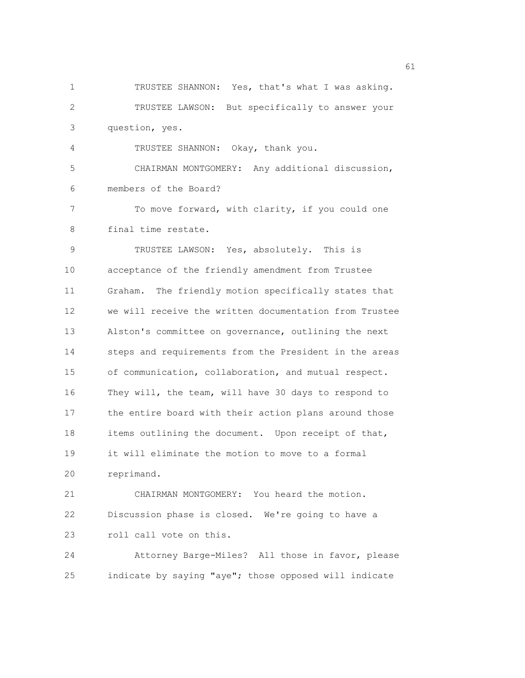1 TRUSTEE SHANNON: Yes, that's what I was asking. 2 TRUSTEE LAWSON: But specifically to answer your 3 question, yes. 4 TRUSTEE SHANNON: Okay, thank you. 5 CHAIRMAN MONTGOMERY: Any additional discussion, 6 members of the Board? 7 To move forward, with clarity, if you could one 8 final time restate. 9 TRUSTEE LAWSON: Yes, absolutely. This is 10 acceptance of the friendly amendment from Trustee 11 Graham. The friendly motion specifically states that 12 we will receive the written documentation from Trustee 13 Alston's committee on governance, outlining the next 14 steps and requirements from the President in the areas 15 of communication, collaboration, and mutual respect. 16 They will, the team, will have 30 days to respond to 17 the entire board with their action plans around those 18 items outlining the document. Upon receipt of that, 19 it will eliminate the motion to move to a formal 20 reprimand. 21 CHAIRMAN MONTGOMERY: You heard the motion. 22 Discussion phase is closed. We're going to have a 23 roll call vote on this. 24 Attorney Barge-Miles? All those in favor, please 25 indicate by saying "aye"; those opposed will indicate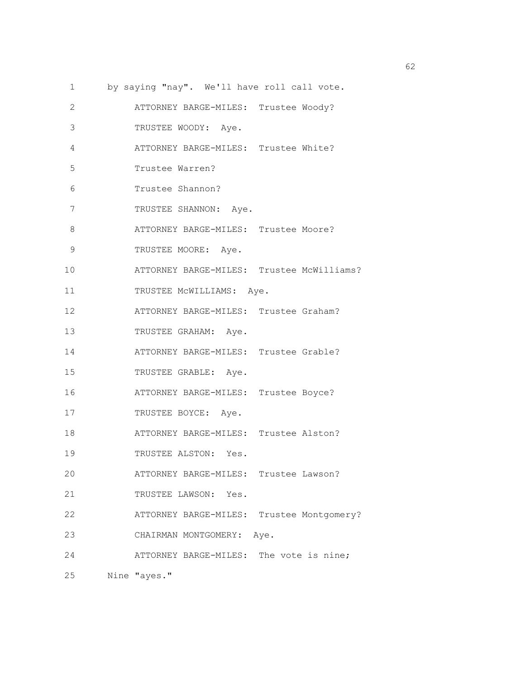1 by saying "nay". We'll have roll call vote. 2 ATTORNEY BARGE-MILES: Trustee Woody? 3 TRUSTEE WOODY: Aye. 4 ATTORNEY BARGE-MILES: Trustee White? 5 Trustee Warren? 6 Trustee Shannon? 7 TRUSTEE SHANNON: Aye. 8 **ATTORNEY BARGE-MILES:** Trustee Moore? 9 TRUSTEE MOORE: Aye. 10 ATTORNEY BARGE-MILES: Trustee McWilliams? 11 TRUSTEE MCWILLIAMS: Aye. 12 ATTORNEY BARGE-MILES: Trustee Graham? 13 TRUSTEE GRAHAM: Aye. 14 ATTORNEY BARGE-MILES: Trustee Grable? 15 TRUSTEE GRABLE: Aye. 16 ATTORNEY BARGE-MILES: Trustee Boyce? 17 TRUSTEE BOYCE: Aye. 18 ATTORNEY BARGE-MILES: Trustee Alston? 19 TRUSTEE ALSTON: Yes. 20 ATTORNEY BARGE-MILES: Trustee Lawson? 21 TRUSTEE LAWSON: Yes. 22 ATTORNEY BARGE-MILES: Trustee Montgomery? 23 CHAIRMAN MONTGOMERY: Aye. 24 ATTORNEY BARGE-MILES: The vote is nine; 25 Nine "ayes."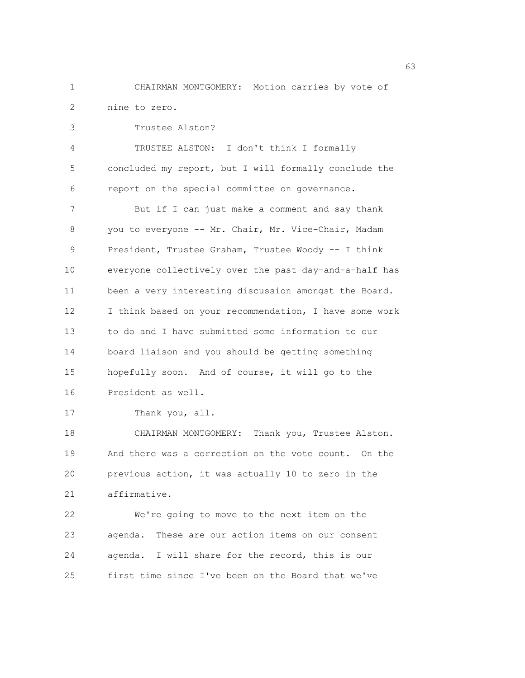1 CHAIRMAN MONTGOMERY: Motion carries by vote of 2 nine to zero.

3 Trustee Alston? 4 TRUSTEE ALSTON: I don't think I formally 5 concluded my report, but I will formally conclude the 6 report on the special committee on governance. 7 But if I can just make a comment and say thank 8 you to everyone -- Mr. Chair, Mr. Vice-Chair, Madam 9 President, Trustee Graham, Trustee Woody -- I think 10 everyone collectively over the past day-and-a-half has 11 been a very interesting discussion amongst the Board. 12 I think based on your recommendation, I have some work 13 to do and I have submitted some information to our 14 board liaison and you should be getting something 15 hopefully soon. And of course, it will go to the 16 President as well. 17 Thank you, all.

18 CHAIRMAN MONTGOMERY: Thank you, Trustee Alston. 19 And there was a correction on the vote count. On the 20 previous action, it was actually 10 to zero in the 21 affirmative.

22 We're going to move to the next item on the 23 agenda. These are our action items on our consent 24 agenda. I will share for the record, this is our 25 first time since I've been on the Board that we've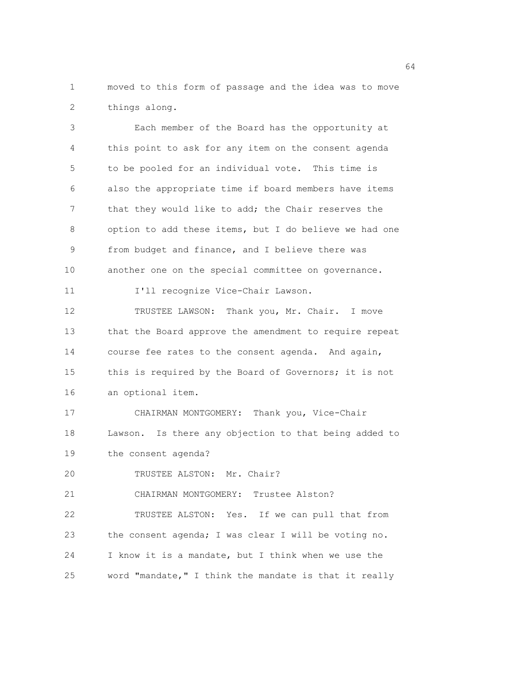1 moved to this form of passage and the idea was to move 2 things along.

3 Each member of the Board has the opportunity at 4 this point to ask for any item on the consent agenda 5 to be pooled for an individual vote. This time is 6 also the appropriate time if board members have items 7 that they would like to add; the Chair reserves the 8 option to add these items, but I do believe we had one 9 from budget and finance, and I believe there was 10 another one on the special committee on governance. 11 I'll recognize Vice-Chair Lawson. 12 TRUSTEE LAWSON: Thank you, Mr. Chair. I move 13 that the Board approve the amendment to require repeat 14 course fee rates to the consent agenda. And again, 15 this is required by the Board of Governors; it is not 16 an optional item. 17 CHAIRMAN MONTGOMERY: Thank you, Vice-Chair 18 Lawson. Is there any objection to that being added to 19 the consent agenda? 20 TRUSTEE ALSTON: Mr. Chair? 21 CHAIRMAN MONTGOMERY: Trustee Alston? 22 TRUSTEE ALSTON: Yes. If we can pull that from 23 the consent agenda; I was clear I will be voting no. 24 I know it is a mandate, but I think when we use the 25 word "mandate," I think the mandate is that it really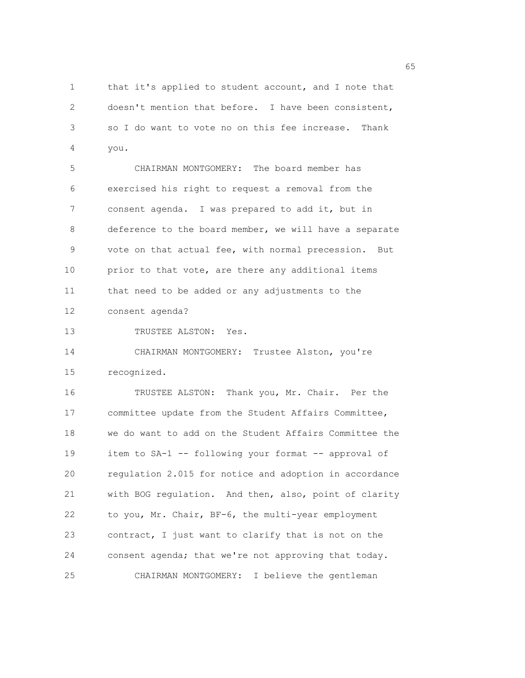1 that it's applied to student account, and I note that 2 doesn't mention that before. I have been consistent, 3 so I do want to vote no on this fee increase. Thank 4 you.

5 CHAIRMAN MONTGOMERY: The board member has 6 exercised his right to request a removal from the 7 consent agenda. I was prepared to add it, but in 8 deference to the board member, we will have a separate 9 vote on that actual fee, with normal precession. But 10 prior to that vote, are there any additional items 11 that need to be added or any adjustments to the 12 consent agenda?

13 TRUSTEE ALSTON: Yes.

14 CHAIRMAN MONTGOMERY: Trustee Alston, you're 15 recognized.

16 TRUSTEE ALSTON: Thank you, Mr. Chair. Per the 17 committee update from the Student Affairs Committee, 18 we do want to add on the Student Affairs Committee the 19 item to SA-1 -- following your format -- approval of 20 regulation 2.015 for notice and adoption in accordance 21 with BOG regulation. And then, also, point of clarity 22 to you, Mr. Chair, BF-6, the multi-year employment 23 contract, I just want to clarify that is not on the 24 consent agenda; that we're not approving that today. 25 CHAIRMAN MONTGOMERY: I believe the gentleman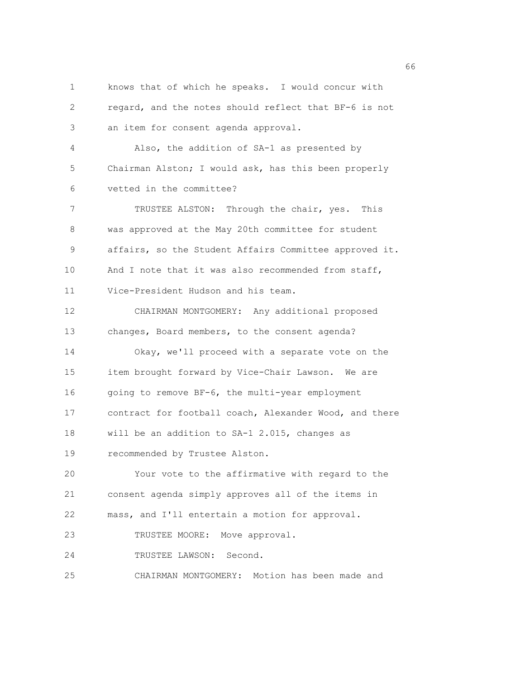1 knows that of which he speaks. I would concur with 2 regard, and the notes should reflect that BF-6 is not 3 an item for consent agenda approval. 4 Also, the addition of SA-1 as presented by 5 Chairman Alston; I would ask, has this been properly 6 vetted in the committee? 7 TRUSTEE ALSTON: Through the chair, yes. This 8 was approved at the May 20th committee for student 9 affairs, so the Student Affairs Committee approved it. 10 And I note that it was also recommended from staff, 11 Vice-President Hudson and his team. 12 CHAIRMAN MONTGOMERY: Any additional proposed 13 changes, Board members, to the consent agenda? 14 Okay, we'll proceed with a separate vote on the 15 item brought forward by Vice-Chair Lawson. We are 16 going to remove BF-6, the multi-year employment 17 contract for football coach, Alexander Wood, and there 18 will be an addition to SA-1 2.015, changes as 19 recommended by Trustee Alston. 20 Your vote to the affirmative with regard to the 21 consent agenda simply approves all of the items in 22 mass, and I'll entertain a motion for approval. 23 TRUSTEE MOORE: Move approval. 24 TRUSTEE LAWSON: Second. 25 CHAIRMAN MONTGOMERY: Motion has been made and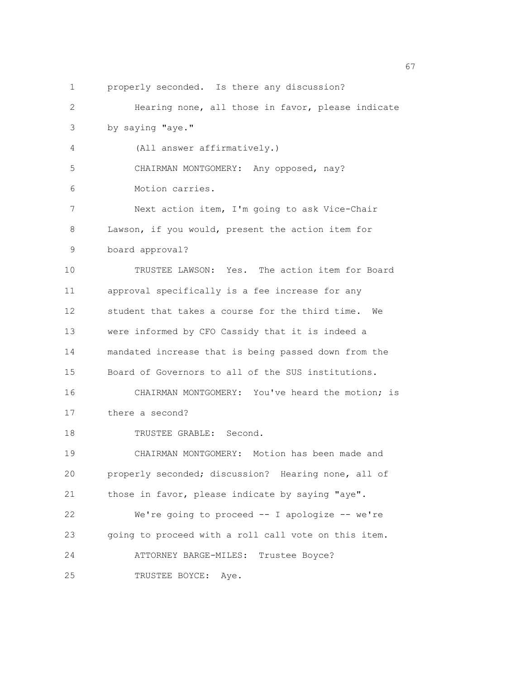1 properly seconded. Is there any discussion? 2 Hearing none, all those in favor, please indicate 3 by saying "aye." 4 (All answer affirmatively.) 5 CHAIRMAN MONTGOMERY: Any opposed, nay? 6 Motion carries. 7 Next action item, I'm going to ask Vice-Chair 8 Lawson, if you would, present the action item for 9 board approval? 10 TRUSTEE LAWSON: Yes. The action item for Board 11 approval specifically is a fee increase for any 12 student that takes a course for the third time. We 13 were informed by CFO Cassidy that it is indeed a 14 mandated increase that is being passed down from the 15 Board of Governors to all of the SUS institutions. 16 CHAIRMAN MONTGOMERY: You've heard the motion; is 17 there a second? 18 TRUSTEE GRABLE: Second. 19 CHAIRMAN MONTGOMERY: Motion has been made and 20 properly seconded; discussion? Hearing none, all of 21 those in favor, please indicate by saying "aye". 22 We're going to proceed -- I apologize -- we're 23 going to proceed with a roll call vote on this item. 24 ATTORNEY BARGE-MILES: Trustee Boyce? 25 TRUSTEE BOYCE: Aye.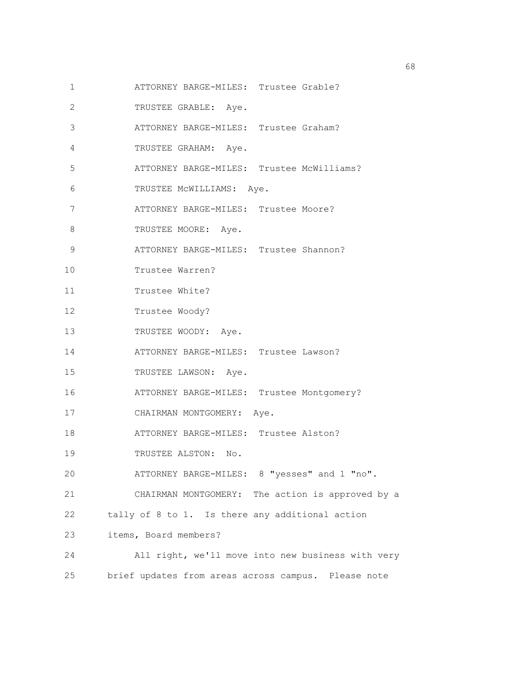- 1 ATTORNEY BARGE-MILES: Trustee Grable?
- 2 TRUSTEE GRABLE: Aye.
- 3 ATTORNEY BARGE-MILES: Trustee Graham?
- 4 TRUSTEE GRAHAM: Aye.
- 5 ATTORNEY BARGE-MILES: Trustee McWilliams?
- 6 TRUSTEE McWILLIAMS: Aye.
- 7 ATTORNEY BARGE-MILES: Trustee Moore?
- 8 TRUSTEE MOORE: Aye.
- 9 ATTORNEY BARGE-MILES: Trustee Shannon?
- 10 Trustee Warren?
- 11 Trustee White?
- 12 Trustee Woody?
- 13 TRUSTEE WOODY: Aye.
- 14 ATTORNEY BARGE-MILES: Trustee Lawson?
- 15 TRUSTEE LAWSON: Aye.
- 16 ATTORNEY BARGE-MILES: Trustee Montgomery?
- 17 CHAIRMAN MONTGOMERY: Aye.
- 18 ATTORNEY BARGE-MILES: Trustee Alston?
- 19 TRUSTEE ALSTON: No.
- 20 ATTORNEY BARGE-MILES: 8 "yesses" and 1 "no".
- 21 CHAIRMAN MONTGOMERY: The action is approved by a
- 22 tally of 8 to 1. Is there any additional action
- 23 items, Board members?
- 24 All right, we'll move into new business with very 25 brief updates from areas across campus. Please note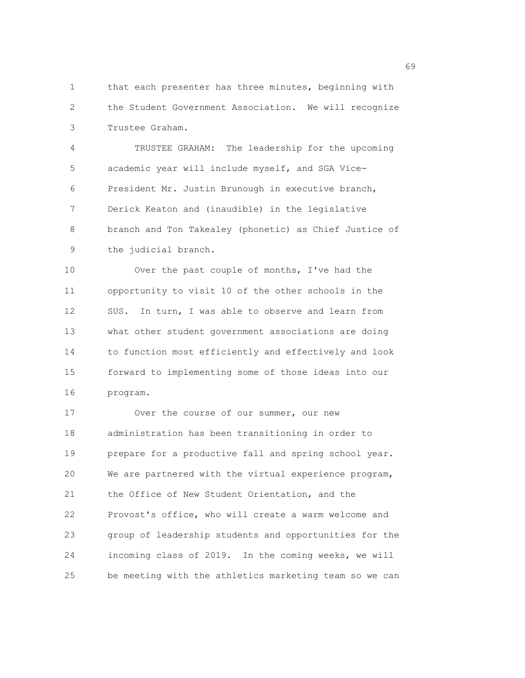1 that each presenter has three minutes, beginning with 2 the Student Government Association. We will recognize 3 Trustee Graham.

4 TRUSTEE GRAHAM: The leadership for the upcoming 5 academic year will include myself, and SGA Vice-6 President Mr. Justin Brunough in executive branch, 7 Derick Keaton and (inaudible) in the legislative 8 branch and Ton Takealey (phonetic) as Chief Justice of 9 the judicial branch.

10 Over the past couple of months, I've had the 11 opportunity to visit 10 of the other schools in the 12 SUS. In turn, I was able to observe and learn from 13 what other student government associations are doing 14 to function most efficiently and effectively and look 15 forward to implementing some of those ideas into our 16 program.

17 Over the course of our summer, our new 18 administration has been transitioning in order to 19 prepare for a productive fall and spring school year. 20 We are partnered with the virtual experience program, 21 the Office of New Student Orientation, and the 22 Provost's office, who will create a warm welcome and 23 group of leadership students and opportunities for the 24 incoming class of 2019. In the coming weeks, we will 25 be meeting with the athletics marketing team so we can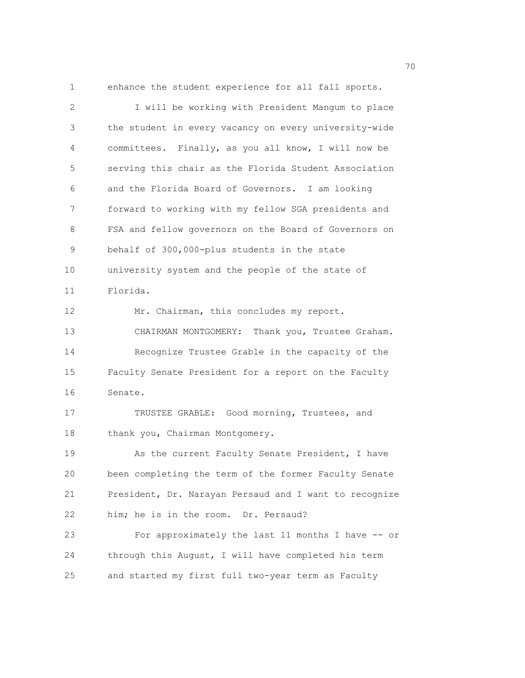1 enhance the student experience for all fall sports.

2 I will be working with President Mangum to place 3 the student in every vacancy on every university-wide 4 committees. Finally, as you all know, I will now be 5 serving this chair as the Florida Student Association 6 and the Florida Board of Governors. I am looking 7 forward to working with my fellow SGA presidents and 8 FSA and fellow governors on the Board of Governors on 9 behalf of 300,000-plus students in the state 10 university system and the people of the state of 11 Florida. 12 Mr. Chairman, this concludes my report. 13 CHAIRMAN MONTGOMERY: Thank you, Trustee Graham. 14 Recognize Trustee Grable in the capacity of the 15 Faculty Senate President for a report on the Faculty 16 Senate. 17 TRUSTEE GRABLE: Good morning, Trustees, and 18 thank you, Chairman Montgomery. 19 As the current Faculty Senate President, I have 20 been completing the term of the former Faculty Senate 21 President, Dr. Narayan Persaud and I want to recognize 22 him; he is in the room. Dr. Persaud? 23 For approximately the last 11 months I have -- or 24 through this August, I will have completed his term 25 and started my first full two-year term as Faculty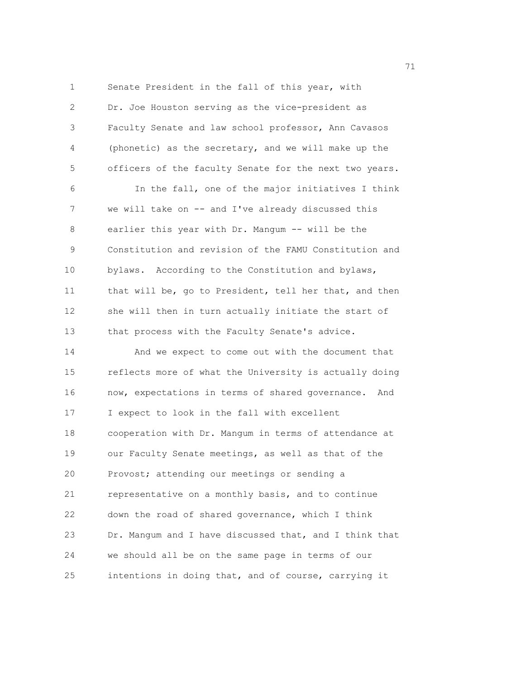1 Senate President in the fall of this year, with 2 Dr. Joe Houston serving as the vice-president as 3 Faculty Senate and law school professor, Ann Cavasos 4 (phonetic) as the secretary, and we will make up the 5 officers of the faculty Senate for the next two years. 6 In the fall, one of the major initiatives I think 7 we will take on -- and I've already discussed this 8 earlier this year with Dr. Mangum -- will be the 9 Constitution and revision of the FAMU Constitution and 10 bylaws. According to the Constitution and bylaws, 11 that will be, go to President, tell her that, and then 12 she will then in turn actually initiate the start of 13 that process with the Faculty Senate's advice. 14 And we expect to come out with the document that 15 reflects more of what the University is actually doing 16 now, expectations in terms of shared governance. And 17 I expect to look in the fall with excellent 18 cooperation with Dr. Mangum in terms of attendance at 19 our Faculty Senate meetings, as well as that of the 20 Provost; attending our meetings or sending a 21 representative on a monthly basis, and to continue 22 down the road of shared governance, which I think 23 Dr. Mangum and I have discussed that, and I think that 24 we should all be on the same page in terms of our 25 intentions in doing that, and of course, carrying it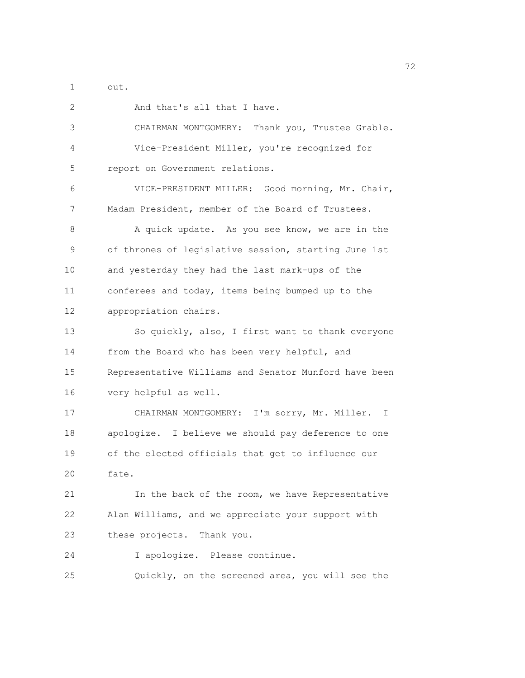1 out.

| 2  | And that's all that I have.                           |
|----|-------------------------------------------------------|
| 3  | CHAIRMAN MONTGOMERY: Thank you, Trustee Grable.       |
| 4  | Vice-President Miller, you're recognized for          |
| 5  | report on Government relations.                       |
| 6  | VICE-PRESIDENT MILLER: Good morning, Mr. Chair,       |
| 7  | Madam President, member of the Board of Trustees.     |
| 8  | A quick update. As you see know, we are in the        |
| 9  | of thrones of legislative session, starting June 1st  |
| 10 | and yesterday they had the last mark-ups of the       |
| 11 | conferees and today, items being bumped up to the     |
| 12 | appropriation chairs.                                 |
| 13 | So quickly, also, I first want to thank everyone      |
| 14 | from the Board who has been very helpful, and         |
| 15 | Representative Williams and Senator Munford have been |
| 16 | very helpful as well.                                 |
| 17 | CHAIRMAN MONTGOMERY: I'm sorry, Mr. Miller. I         |
| 18 | apologize. I believe we should pay deference to one   |
| 19 | of the elected officials that get to influence our    |
| 20 | fate.                                                 |
| 21 | In the back of the room, we have Representative       |
| 22 | Alan Williams, and we appreciate your support with    |
| 23 | these projects. Thank you.                            |
| 24 | I apologize. Please continue.                         |
| 25 | Quickly, on the screened area, you will see the       |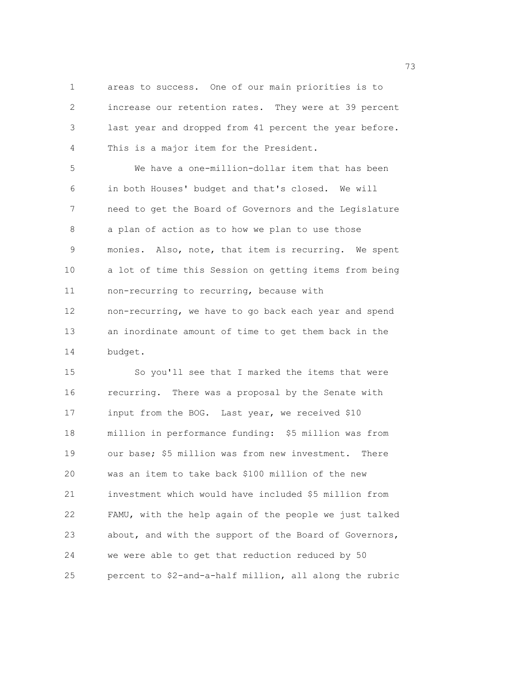1 areas to success. One of our main priorities is to 2 increase our retention rates. They were at 39 percent 3 last year and dropped from 41 percent the year before. 4 This is a major item for the President.

5 We have a one-million-dollar item that has been 6 in both Houses' budget and that's closed. We will 7 need to get the Board of Governors and the Legislature 8 a plan of action as to how we plan to use those 9 monies. Also, note, that item is recurring. We spent 10 a lot of time this Session on getting items from being 11 non-recurring to recurring, because with 12 non-recurring, we have to go back each year and spend 13 an inordinate amount of time to get them back in the 14 budget.

15 So you'll see that I marked the items that were 16 recurring. There was a proposal by the Senate with 17 input from the BOG. Last year, we received \$10 18 million in performance funding: \$5 million was from 19 our base; \$5 million was from new investment. There 20 was an item to take back \$100 million of the new 21 investment which would have included \$5 million from 22 FAMU, with the help again of the people we just talked 23 about, and with the support of the Board of Governors, 24 we were able to get that reduction reduced by 50 25 percent to \$2-and-a-half million, all along the rubric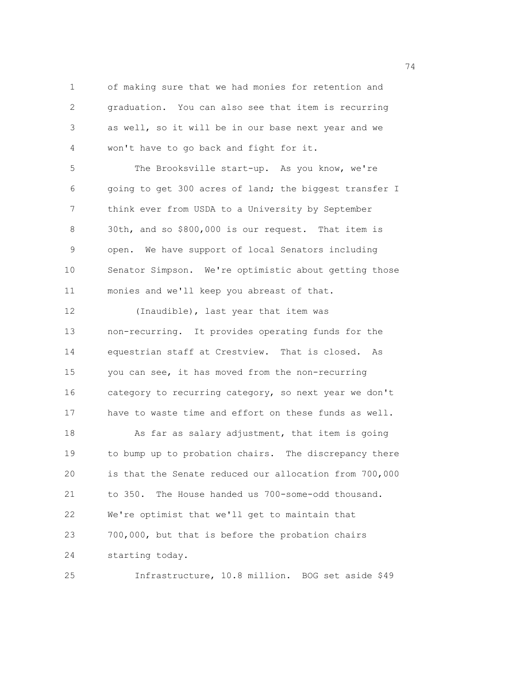1 of making sure that we had monies for retention and 2 graduation. You can also see that item is recurring 3 as well, so it will be in our base next year and we 4 won't have to go back and fight for it. 5 The Brooksville start-up. As you know, we're 6 going to get 300 acres of land; the biggest transfer I 7 think ever from USDA to a University by September 8 30th, and so \$800,000 is our request. That item is 9 open. We have support of local Senators including 10 Senator Simpson. We're optimistic about getting those 11 monies and we'll keep you abreast of that. 12 (Inaudible), last year that item was 13 non-recurring. It provides operating funds for the 14 equestrian staff at Crestview. That is closed. As 15 you can see, it has moved from the non-recurring 16 category to recurring category, so next year we don't 17 have to waste time and effort on these funds as well. 18 As far as salary adjustment, that item is going 19 to bump up to probation chairs. The discrepancy there 20 is that the Senate reduced our allocation from 700,000 21 to 350. The House handed us 700-some-odd thousand. 22 We're optimist that we'll get to maintain that 23 700,000, but that is before the probation chairs 24 starting today.

25 Infrastructure, 10.8 million. BOG set aside \$49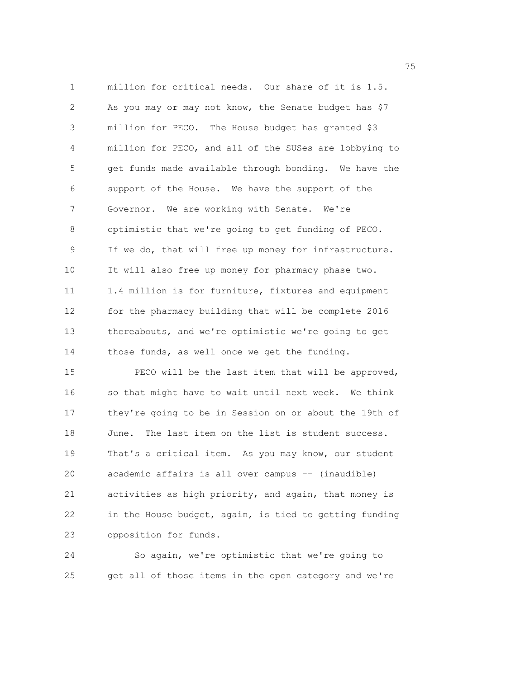1 million for critical needs. Our share of it is 1.5. 2 As you may or may not know, the Senate budget has \$7 3 million for PECO. The House budget has granted \$3 4 million for PECO, and all of the SUSes are lobbying to 5 get funds made available through bonding. We have the 6 support of the House. We have the support of the 7 Governor. We are working with Senate. We're 8 optimistic that we're going to get funding of PECO. 9 If we do, that will free up money for infrastructure. 10 It will also free up money for pharmacy phase two. 11 1.4 million is for furniture, fixtures and equipment 12 for the pharmacy building that will be complete 2016 13 thereabouts, and we're optimistic we're going to get 14 those funds, as well once we get the funding. 15 PECO will be the last item that will be approved, 16 so that might have to wait until next week. We think 17 they're going to be in Session on or about the 19th of

19 That's a critical item. As you may know, our student 20 academic affairs is all over campus -- (inaudible) 21 activities as high priority, and again, that money is 22 in the House budget, again, is tied to getting funding 23 opposition for funds.

18 June. The last item on the list is student success.

24 So again, we're optimistic that we're going to 25 get all of those items in the open category and we're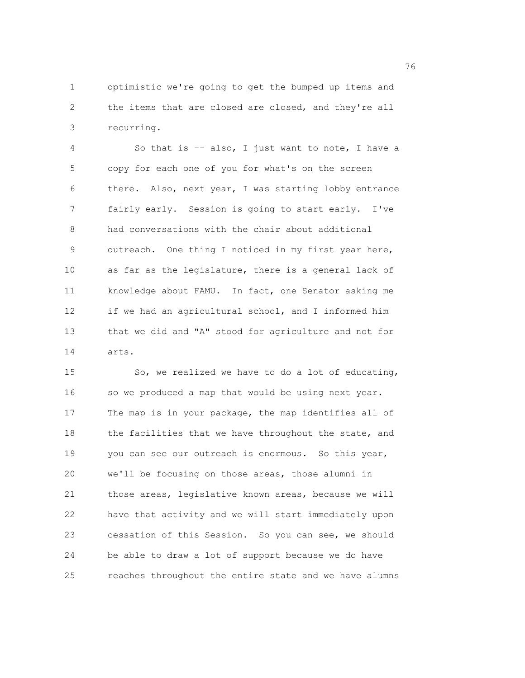1 optimistic we're going to get the bumped up items and 2 the items that are closed are closed, and they're all 3 recurring.

4 So that is -- also, I just want to note, I have a 5 copy for each one of you for what's on the screen 6 there. Also, next year, I was starting lobby entrance 7 fairly early. Session is going to start early. I've 8 had conversations with the chair about additional 9 outreach. One thing I noticed in my first year here, 10 as far as the legislature, there is a general lack of 11 knowledge about FAMU. In fact, one Senator asking me 12 if we had an agricultural school, and I informed him 13 that we did and "A" stood for agriculture and not for 14 arts.

15 So, we realized we have to do a lot of educating, 16 so we produced a map that would be using next year. 17 The map is in your package, the map identifies all of 18 the facilities that we have throughout the state, and 19 you can see our outreach is enormous. So this year, 20 we'll be focusing on those areas, those alumni in 21 those areas, legislative known areas, because we will 22 have that activity and we will start immediately upon 23 cessation of this Session. So you can see, we should 24 be able to draw a lot of support because we do have 25 reaches throughout the entire state and we have alumns

<u>2001 - Johann Stein, amerikan ing kabupatèn Inggris di Bandaran Inggris di Bandaran Inggris di Bandaran Inggris di</u>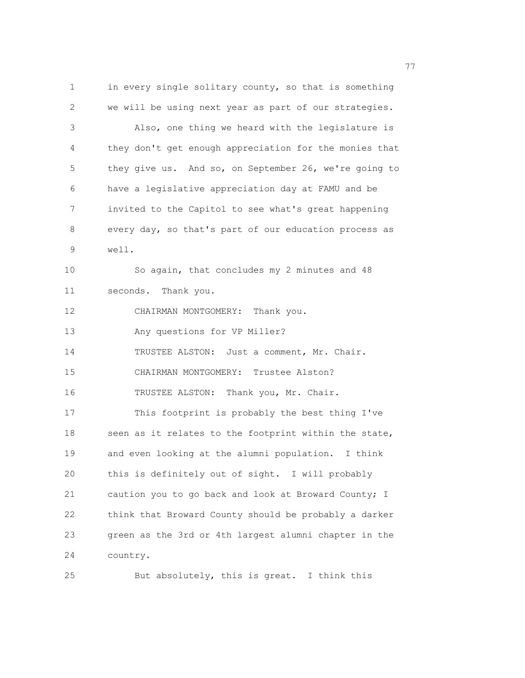1 in every single solitary county, so that is something 2 we will be using next year as part of our strategies. 3 Also, one thing we heard with the legislature is 4 they don't get enough appreciation for the monies that 5 they give us. And so, on September 26, we're going to 6 have a legislative appreciation day at FAMU and be 7 invited to the Capitol to see what's great happening 8 every day, so that's part of our education process as 9 well. 10 So again, that concludes my 2 minutes and 48 11 seconds. Thank you. 12 CHAIRMAN MONTGOMERY: Thank you. 13 Any questions for VP Miller? 14 TRUSTEE ALSTON: Just a comment, Mr. Chair. 15 CHAIRMAN MONTGOMERY: Trustee Alston? 16 TRUSTEE ALSTON: Thank you, Mr. Chair. 17 This footprint is probably the best thing I've 18 seen as it relates to the footprint within the state, 19 and even looking at the alumni population. I think 20 this is definitely out of sight. I will probably 21 caution you to go back and look at Broward County; I 22 think that Broward County should be probably a darker 23 green as the 3rd or 4th largest alumni chapter in the 24 country.

25 But absolutely, this is great. I think this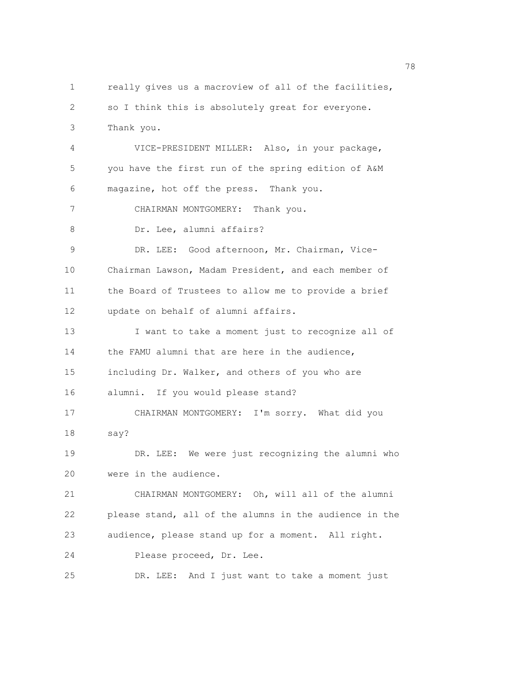1 really gives us a macroview of all of the facilities, 2 so I think this is absolutely great for everyone. 3 Thank you. 4 VICE-PRESIDENT MILLER: Also, in your package, 5 you have the first run of the spring edition of A&M 6 magazine, hot off the press. Thank you. 7 CHAIRMAN MONTGOMERY: Thank you. 8 Dr. Lee, alumni affairs? 9 DR. LEE: Good afternoon, Mr. Chairman, Vice-10 Chairman Lawson, Madam President, and each member of 11 the Board of Trustees to allow me to provide a brief 12 update on behalf of alumni affairs. 13 I want to take a moment just to recognize all of 14 the FAMU alumni that are here in the audience, 15 including Dr. Walker, and others of you who are 16 alumni. If you would please stand? 17 CHAIRMAN MONTGOMERY: I'm sorry. What did you 18 say? 19 DR. LEE: We were just recognizing the alumni who 20 were in the audience. 21 CHAIRMAN MONTGOMERY: Oh, will all of the alumni 22 please stand, all of the alumns in the audience in the 23 audience, please stand up for a moment. All right. 24 Please proceed, Dr. Lee. 25 DR. LEE: And I just want to take a moment just

na matsay na matsay na matsay na matsay na matsay na matsay na matsay na matsay na matsay na matsay na matsay<br>Matsay na matsay na matsay na matsay na matsay na matsay na matsay na matsay na matsay na matsay na matsay na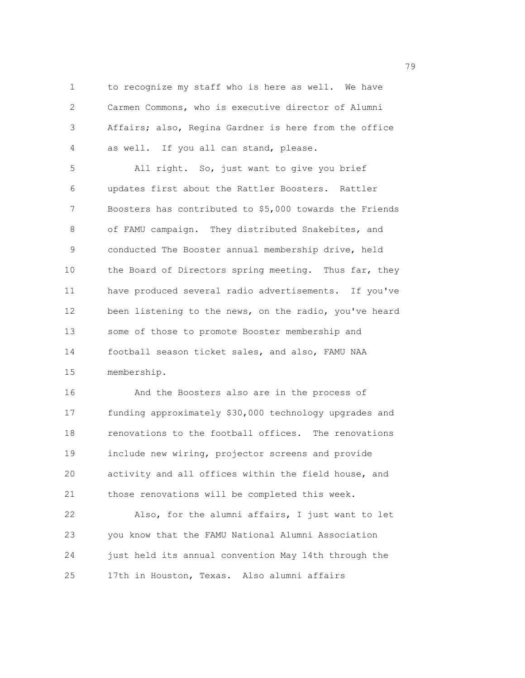1 to recognize my staff who is here as well. We have 2 Carmen Commons, who is executive director of Alumni 3 Affairs; also, Regina Gardner is here from the office 4 as well. If you all can stand, please.

5 All right. So, just want to give you brief 6 updates first about the Rattler Boosters. Rattler 7 Boosters has contributed to \$5,000 towards the Friends 8 of FAMU campaign. They distributed Snakebites, and 9 conducted The Booster annual membership drive, held 10 the Board of Directors spring meeting. Thus far, they 11 have produced several radio advertisements. If you've 12 been listening to the news, on the radio, you've heard 13 some of those to promote Booster membership and 14 football season ticket sales, and also, FAMU NAA 15 membership.

16 And the Boosters also are in the process of 17 funding approximately \$30,000 technology upgrades and 18 renovations to the football offices. The renovations 19 include new wiring, projector screens and provide 20 activity and all offices within the field house, and 21 those renovations will be completed this week.

22 Also, for the alumni affairs, I just want to let 23 you know that the FAMU National Alumni Association 24 just held its annual convention May 14th through the 25 17th in Houston, Texas. Also alumni affairs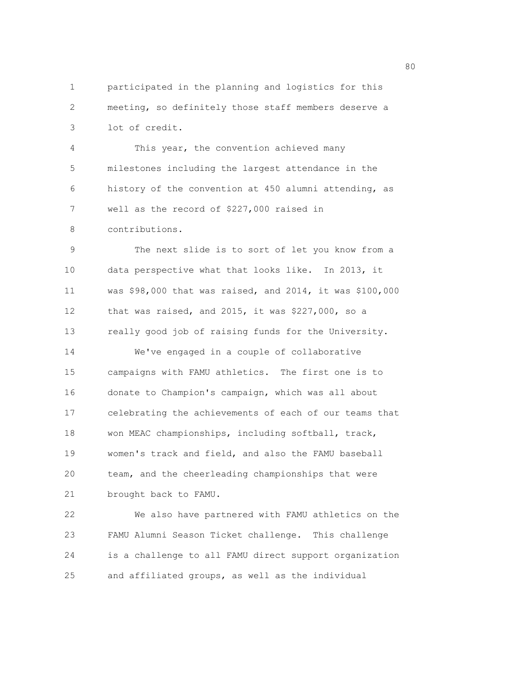1 participated in the planning and logistics for this 2 meeting, so definitely those staff members deserve a 3 lot of credit.

4 This year, the convention achieved many 5 milestones including the largest attendance in the 6 history of the convention at 450 alumni attending, as 7 well as the record of \$227,000 raised in

8 contributions.

9 The next slide is to sort of let you know from a 10 data perspective what that looks like. In 2013, it 11 was \$98,000 that was raised, and 2014, it was \$100,000 12 that was raised, and 2015, it was \$227,000, so a 13 really good job of raising funds for the University. 14 We've engaged in a couple of collaborative 15 campaigns with FAMU athletics. The first one is to 16 donate to Champion's campaign, which was all about 17 celebrating the achievements of each of our teams that 18 won MEAC championships, including softball, track, 19 women's track and field, and also the FAMU baseball 20 team, and the cheerleading championships that were 21 brought back to FAMU.

22 We also have partnered with FAMU athletics on the 23 FAMU Alumni Season Ticket challenge. This challenge 24 is a challenge to all FAMU direct support organization 25 and affiliated groups, as well as the individual

en de la construction de la construction de la construction de la construction de la construction de la constr<br>1980 : le construction de la construction de la construction de la construction de la construction de la const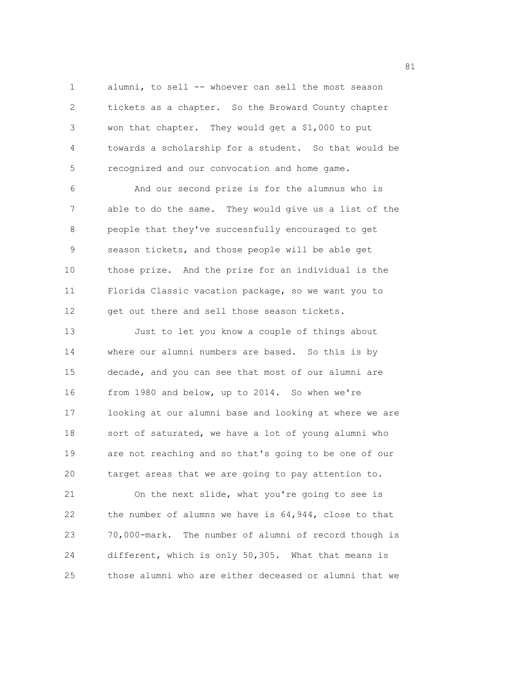1 alumni, to sell -- whoever can sell the most season 2 tickets as a chapter. So the Broward County chapter 3 won that chapter. They would get a \$1,000 to put 4 towards a scholarship for a student. So that would be 5 recognized and our convocation and home game.

6 And our second prize is for the alumnus who is 7 able to do the same. They would give us a list of the 8 people that they've successfully encouraged to get 9 season tickets, and those people will be able get 10 those prize. And the prize for an individual is the 11 Florida Classic vacation package, so we want you to 12 get out there and sell those season tickets.

13 Just to let you know a couple of things about 14 where our alumni numbers are based. So this is by 15 decade, and you can see that most of our alumni are 16 from 1980 and below, up to 2014. So when we're 17 looking at our alumni base and looking at where we are 18 sort of saturated, we have a lot of young alumni who 19 are not reaching and so that's going to be one of our 20 target areas that we are going to pay attention to.

21 On the next slide, what you're going to see is 22 the number of alumns we have is 64,944, close to that 23 70,000-mark. The number of alumni of record though is 24 different, which is only 50,305. What that means is 25 those alumni who are either deceased or alumni that we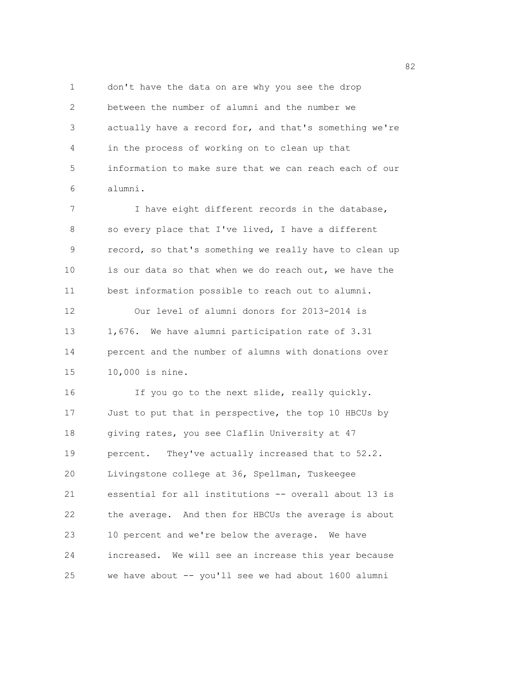1 don't have the data on are why you see the drop 2 between the number of alumni and the number we 3 actually have a record for, and that's something we're 4 in the process of working on to clean up that 5 information to make sure that we can reach each of our 6 alumni.

7 I have eight different records in the database, 8 so every place that I've lived, I have a different 9 record, so that's something we really have to clean up 10 is our data so that when we do reach out, we have the 11 best information possible to reach out to alumni. 12 Our level of alumni donors for 2013-2014 is 13 1,676. We have alumni participation rate of 3.31 14 percent and the number of alumns with donations over 15 10,000 is nine.

16 If you go to the next slide, really quickly. 17 Just to put that in perspective, the top 10 HBCUs by 18 giving rates, you see Claflin University at 47 19 percent. They've actually increased that to 52.2. 20 Livingstone college at 36, Spellman, Tuskeegee 21 essential for all institutions -- overall about 13 is 22 the average. And then for HBCUs the average is about 23 10 percent and we're below the average. We have 24 increased. We will see an increase this year because 25 we have about -- you'll see we had about 1600 alumni

en and the state of the state of the state of the state of the state of the state of the state of the state of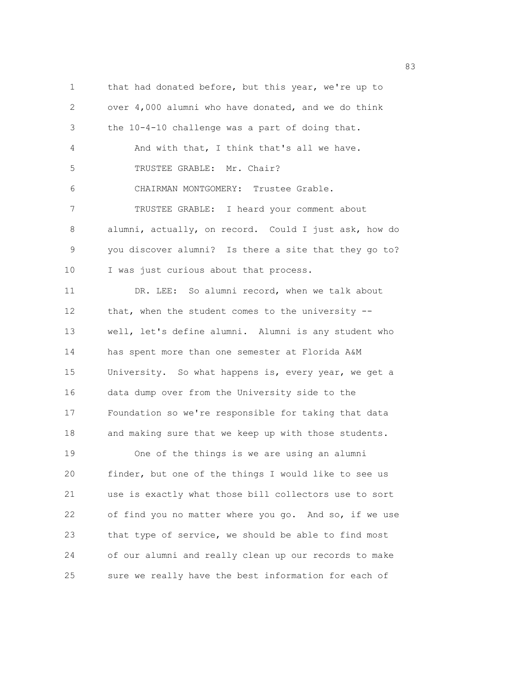1 that had donated before, but this year, we're up to 2 over 4,000 alumni who have donated, and we do think 3 the 10-4-10 challenge was a part of doing that. 4 And with that, I think that's all we have. 5 TRUSTEE GRABLE: Mr. Chair? 6 CHAIRMAN MONTGOMERY: Trustee Grable. 7 TRUSTEE GRABLE: I heard your comment about 8 alumni, actually, on record. Could I just ask, how do 9 you discover alumni? Is there a site that they go to? 10 I was just curious about that process. 11 DR. LEE: So alumni record, when we talk about 12 that, when the student comes to the university --13 well, let's define alumni. Alumni is any student who 14 has spent more than one semester at Florida A&M 15 University. So what happens is, every year, we get a 16 data dump over from the University side to the 17 Foundation so we're responsible for taking that data 18 and making sure that we keep up with those students. 19 One of the things is we are using an alumni 20 finder, but one of the things I would like to see us 21 use is exactly what those bill collectors use to sort 22 of find you no matter where you go. And so, if we use 23 that type of service, we should be able to find most 24 of our alumni and really clean up our records to make 25 sure we really have the best information for each of

en 1982 en 1982 en 1983 en 1983 en 1983 en 1983 en 1983 en 1984 en 1983 en 1984 en 1983 en 1984 en 1984 en 19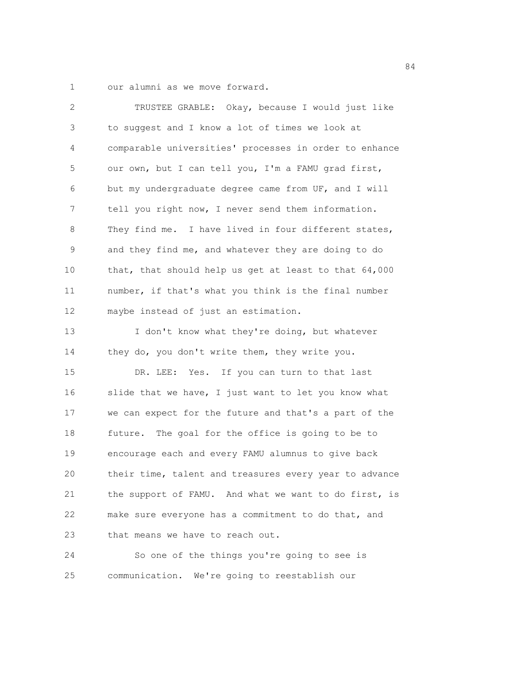1 our alumni as we move forward.

| $\overline{2}$ | TRUSTEE GRABLE: Okay, because I would just like        |
|----------------|--------------------------------------------------------|
| 3              | to suggest and I know a lot of times we look at        |
| 4              | comparable universities' processes in order to enhance |
| 5              | our own, but I can tell you, I'm a FAMU grad first,    |
| 6              | but my undergraduate degree came from UF, and I will   |
| 7              | tell you right now, I never send them information.     |
| 8              | They find me. I have lived in four different states,   |
| 9              | and they find me, and whatever they are doing to do    |
| 10             | that, that should help us get at least to that 64,000  |
| 11             | number, if that's what you think is the final number   |
| 12             | maybe instead of just an estimation.                   |
| 13             | I don't know what they're doing, but whatever          |
| 14             | they do, you don't write them, they write you.         |
| 15             | Yes. If you can turn to that last<br>DR. LEE:          |
| 16             | slide that we have, I just want to let you know what   |
| 17             | we can expect for the future and that's a part of the  |
| 18             | future. The goal for the office is going to be to      |
| 19             | encourage each and every FAMU alumnus to give back     |
| 20             | their time, talent and treasures every year to advance |
| 21             | the support of FAMU. And what we want to do first, is  |
| 22             | make sure everyone has a commitment to do that, and    |
| 23             | that means we have to reach out.                       |
| 24             | So one of the things you're going to see is            |

25 communication. We're going to reestablish our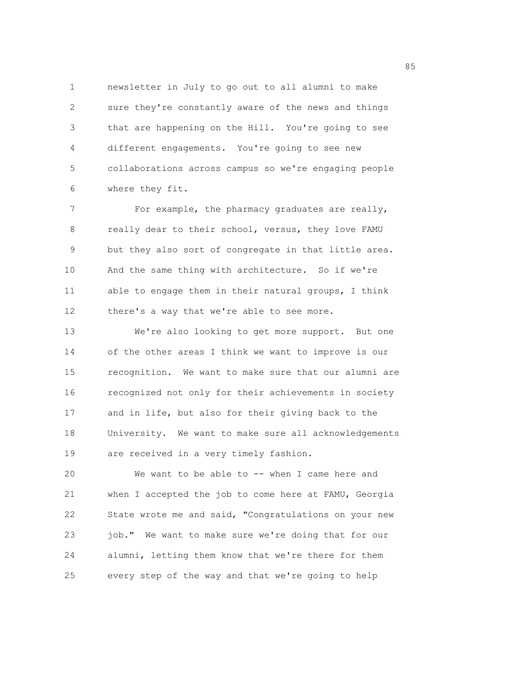1 newsletter in July to go out to all alumni to make 2 sure they're constantly aware of the news and things 3 that are happening on the Hill. You're going to see 4 different engagements. You're going to see new 5 collaborations across campus so we're engaging people 6 where they fit.

7 For example, the pharmacy graduates are really, 8 really dear to their school, versus, they love FAMU 9 but they also sort of congregate in that little area. 10 And the same thing with architecture. So if we're 11 able to engage them in their natural groups, I think 12 there's a way that we're able to see more.

13 We're also looking to get more support. But one 14 of the other areas I think we want to improve is our 15 recognition. We want to make sure that our alumni are 16 recognized not only for their achievements in society 17 and in life, but also for their giving back to the 18 University. We want to make sure all acknowledgements 19 are received in a very timely fashion.

20 We want to be able to -- when I came here and 21 when I accepted the job to come here at FAMU, Georgia 22 State wrote me and said, "Congratulations on your new 23 job." We want to make sure we're doing that for our 24 alumni, letting them know that we're there for them 25 every step of the way and that we're going to help

<u>85 September 2006 September 2006 September 2006 September 2006 September 2006 September 2006 September 2006 S</u>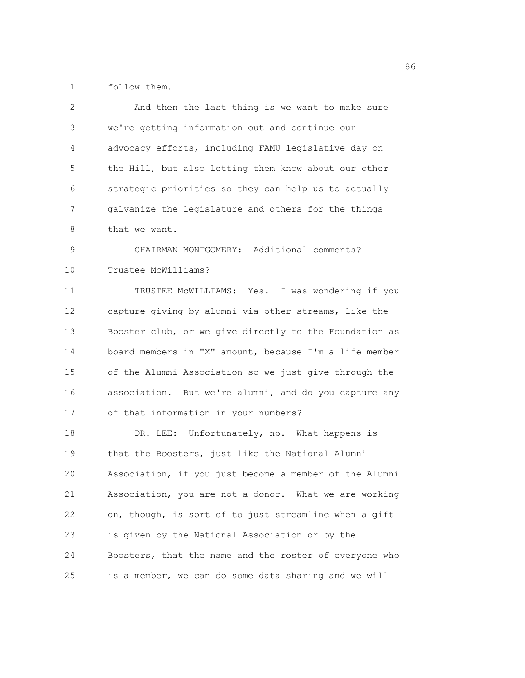1 follow them.

| $\mathbf{2}$ | And then the last thing is we want to make sure        |
|--------------|--------------------------------------------------------|
| 3            | we're getting information out and continue our         |
| 4            | advocacy efforts, including FAMU legislative day on    |
| 5            | the Hill, but also letting them know about our other   |
| 6            | strategic priorities so they can help us to actually   |
| 7            | galvanize the legislature and others for the things    |
| 8            | that we want.                                          |
| 9            | CHAIRMAN MONTGOMERY: Additional comments?              |
| 10           | Trustee McWilliams?                                    |
| 11           | TRUSTEE MCWILLIAMS: Yes. I was wondering if you        |
| 12           | capture giving by alumni via other streams, like the   |
| 13           | Booster club, or we give directly to the Foundation as |
| 14           | board members in "X" amount, because I'm a life member |
| 15           | of the Alumni Association so we just give through the  |
| 16           | association. But we're alumni, and do you capture any  |
| 17           | of that information in your numbers?                   |
| 18           | DR. LEE: Unfortunately, no. What happens is            |
| 19           | that the Boosters, just like the National Alumni       |
| 20           | Association, if you just become a member of the Alumni |
| 21           | Association, you are not a donor. What we are working  |
| 22           | on, though, is sort of to just streamline when a gift  |
| 23           | is given by the National Association or by the         |
| 24           | Boosters, that the name and the roster of everyone who |
| 25           | is a member, we can do some data sharing and we will   |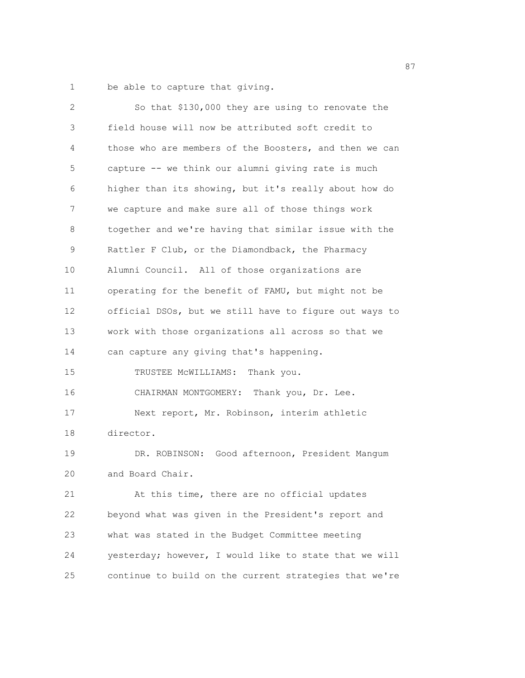1 be able to capture that giving.

| 2           | So that \$130,000 they are using to renovate the       |
|-------------|--------------------------------------------------------|
| $\mathsf 3$ | field house will now be attributed soft credit to      |
| 4           | those who are members of the Boosters, and then we can |
| 5           | capture -- we think our alumni giving rate is much     |
| 6           | higher than its showing, but it's really about how do  |
| 7           | we capture and make sure all of those things work      |
| 8           | together and we're having that similar issue with the  |
| 9           | Rattler F Club, or the Diamondback, the Pharmacy       |
| 10          | Alumni Council. All of those organizations are         |
| 11          | operating for the benefit of FAMU, but might not be    |
| 12          | official DSOs, but we still have to figure out ways to |
| 13          | work with those organizations all across so that we    |
| 14          | can capture any giving that's happening.               |
| 15          | TRUSTEE MCWILLIAMS: Thank you.                         |
| 16          | CHAIRMAN MONTGOMERY: Thank you, Dr. Lee.               |
| 17          | Next report, Mr. Robinson, interim athletic            |
| 18          | director.                                              |
| 19          | DR. ROBINSON: Good afternoon, President Manqum         |
| 20          | and Board Chair.                                       |
| 21          | At this time, there are no official updates            |
| 22          | beyond what was given in the President's report and    |
| 23          | what was stated in the Budget Committee meeting        |
| 24          | yesterday; however, I would like to state that we will |
| 25          | continue to build on the current strategies that we're |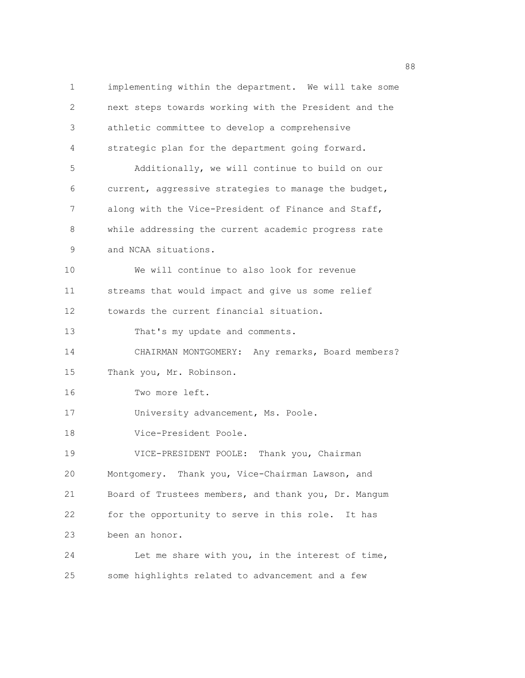1 implementing within the department. We will take some 2 next steps towards working with the President and the 3 athletic committee to develop a comprehensive 4 strategic plan for the department going forward. 5 Additionally, we will continue to build on our 6 current, aggressive strategies to manage the budget, 7 along with the Vice-President of Finance and Staff, 8 while addressing the current academic progress rate 9 and NCAA situations. 10 We will continue to also look for revenue 11 streams that would impact and give us some relief 12 towards the current financial situation. 13 That's my update and comments. 14 CHAIRMAN MONTGOMERY: Any remarks, Board members? 15 Thank you, Mr. Robinson. 16 Two more left. 17 University advancement, Ms. Poole. 18 Vice-President Poole. 19 VICE-PRESIDENT POOLE: Thank you, Chairman 20 Montgomery. Thank you, Vice-Chairman Lawson, and 21 Board of Trustees members, and thank you, Dr. Mangum 22 for the opportunity to serve in this role. It has 23 been an honor. 24 Let me share with you, in the interest of time, 25 some highlights related to advancement and a few

en de la construction de la construction de la construction de la construction de la construction de la constr<br>1888 : le construction de la construction de la construction de la construction de la construction de la const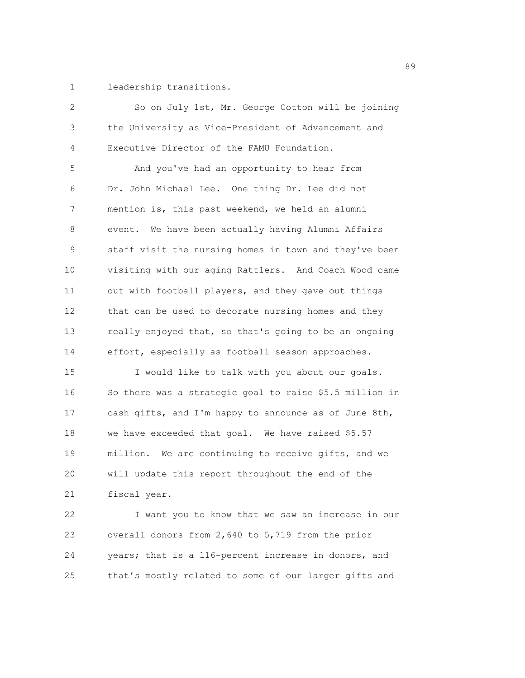1 leadership transitions.

| 2  | So on July 1st, Mr. George Cotton will be joining       |
|----|---------------------------------------------------------|
| 3  | the University as Vice-President of Advancement and     |
| 4  | Executive Director of the FAMU Foundation.              |
| 5  | And you've had an opportunity to hear from              |
| 6  | Dr. John Michael Lee. One thing Dr. Lee did not         |
| 7  | mention is, this past weekend, we held an alumni        |
| 8  | event. We have been actually having Alumni Affairs      |
| 9  | staff visit the nursing homes in town and they've been  |
| 10 | visiting with our aging Rattlers. And Coach Wood came   |
| 11 | out with football players, and they gave out things     |
| 12 | that can be used to decorate nursing homes and they     |
| 13 | really enjoyed that, so that's going to be an ongoing   |
| 14 | effort, especially as football season approaches.       |
| 15 | I would like to talk with you about our goals.          |
| 16 | So there was a strategic goal to raise \$5.5 million in |
| 17 | cash gifts, and I'm happy to announce as of June 8th,   |
| 18 | we have exceeded that goal. We have raised \$5.57       |
| 19 | million. We are continuing to receive gifts, and we     |
| 20 | will update this report throughout the end of the       |
| 21 | fiscal year.                                            |
| 22 | I want you to know that we saw an increase in our       |
| 23 | overall donors from 2,640 to 5,719 from the prior       |
| 24 | years; that is a 116-percent increase in donors, and    |
| 25 | that's mostly related to some of our larger gifts and   |

en de la construction de la construction de la construction de la construction de la construction de la construction de la construction de la construction de la construction de la construction de la construction de la cons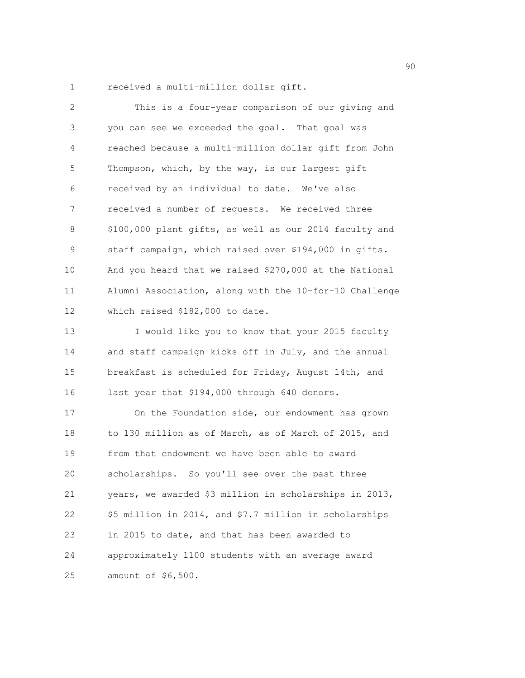1 received a multi-million dollar gift.

| 2  | This is a four-year comparison of our giving and       |
|----|--------------------------------------------------------|
| 3  | you can see we exceeded the goal. That goal was        |
| 4  | reached because a multi-million dollar gift from John  |
| 5  | Thompson, which, by the way, is our largest gift       |
| 6  | received by an individual to date. We've also          |
| 7  | received a number of requests. We received three       |
| 8  | \$100,000 plant gifts, as well as our 2014 faculty and |
| 9  | staff campaign, which raised over \$194,000 in gifts.  |
| 10 | And you heard that we raised \$270,000 at the National |
| 11 | Alumni Association, along with the 10-for-10 Challenge |
| 12 | which raised \$182,000 to date.                        |
| 13 | I would like you to know that your 2015 faculty        |
| 14 | and staff campaign kicks off in July, and the annual   |
| 15 | breakfast is scheduled for Friday, August 14th, and    |
| 16 | last year that \$194,000 through 640 donors.           |
| 17 | On the Foundation side, our endowment has grown        |
| 18 | to 130 million as of March, as of March of 2015, and   |
| 19 | from that endowment we have been able to award         |
| 20 | scholarships. So you'll see over the past three        |
| 21 | years, we awarded \$3 million in scholarships in 2013, |
| 22 | \$5 million in 2014, and \$7.7 million in scholarships |
| 23 | in 2015 to date, and that has been awarded to          |
| 24 | approximately 1100 students with an average award      |
| 25 | amount of \$6,500.                                     |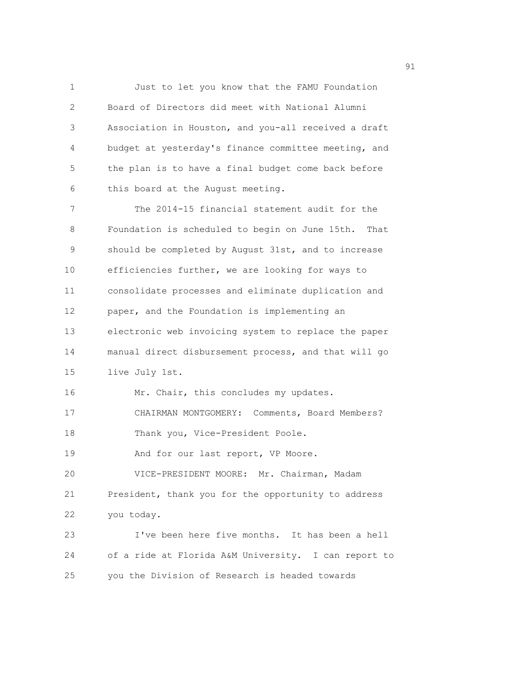1 Just to let you know that the FAMU Foundation 2 Board of Directors did meet with National Alumni 3 Association in Houston, and you-all received a draft 4 budget at yesterday's finance committee meeting, and 5 the plan is to have a final budget come back before 6 this board at the August meeting.

7 The 2014-15 financial statement audit for the 8 Foundation is scheduled to begin on June 15th. That 9 should be completed by August 31st, and to increase 10 efficiencies further, we are looking for ways to 11 consolidate processes and eliminate duplication and 12 paper, and the Foundation is implementing an 13 electronic web invoicing system to replace the paper 14 manual direct disbursement process, and that will go 15 live July 1st. 16 Mr. Chair, this concludes my updates. 17 CHAIRMAN MONTGOMERY: Comments, Board Members? 18 Thank you, Vice-President Poole. 19 And for our last report, VP Moore. 20 VICE-PRESIDENT MOORE: Mr. Chairman, Madam 21 President, thank you for the opportunity to address 22 you today. 23 I've been here five months. It has been a hell

24 of a ride at Florida A&M University. I can report to 25 you the Division of Research is headed towards

experience of the state of the state of the state of the state of the state of the state of the state of the s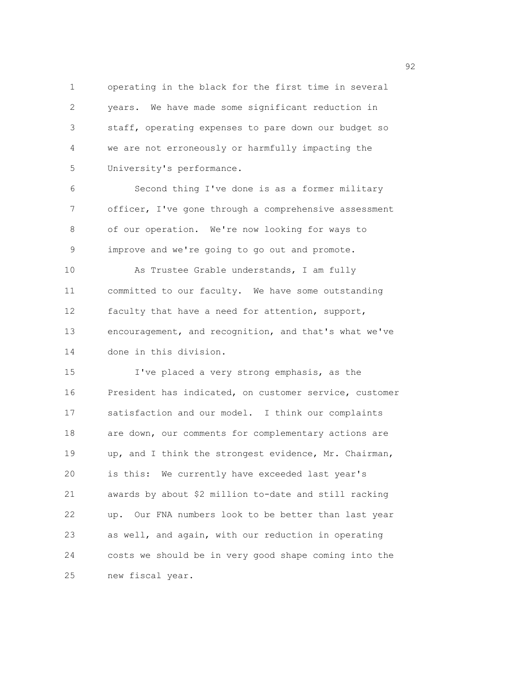1 operating in the black for the first time in several 2 years. We have made some significant reduction in 3 staff, operating expenses to pare down our budget so 4 we are not erroneously or harmfully impacting the 5 University's performance.

6 Second thing I've done is as a former military 7 officer, I've gone through a comprehensive assessment 8 of our operation. We're now looking for ways to 9 improve and we're going to go out and promote. 10 As Trustee Grable understands, I am fully 11 committed to our faculty. We have some outstanding 12 faculty that have a need for attention, support, 13 encouragement, and recognition, and that's what we've 14 done in this division.

15 I've placed a very strong emphasis, as the 16 President has indicated, on customer service, customer 17 satisfaction and our model. I think our complaints 18 are down, our comments for complementary actions are 19 up, and I think the strongest evidence, Mr. Chairman, 20 is this: We currently have exceeded last year's 21 awards by about \$2 million to-date and still racking 22 up. Our FNA numbers look to be better than last year 23 as well, and again, with our reduction in operating 24 costs we should be in very good shape coming into the 25 new fiscal year.

 $\sim$  92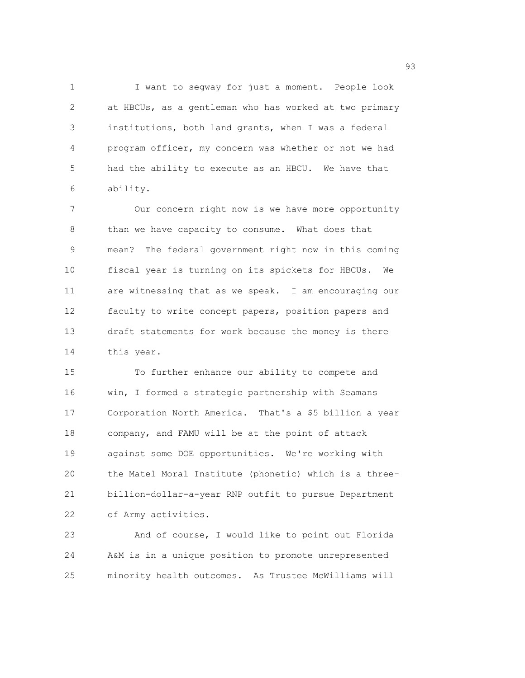1 I want to segway for just a moment. People look 2 at HBCUs, as a gentleman who has worked at two primary 3 institutions, both land grants, when I was a federal 4 program officer, my concern was whether or not we had 5 had the ability to execute as an HBCU. We have that 6 ability.

7 Our concern right now is we have more opportunity 8 than we have capacity to consume. What does that 9 mean? The federal government right now in this coming 10 fiscal year is turning on its spickets for HBCUs. We 11 are witnessing that as we speak. I am encouraging our 12 faculty to write concept papers, position papers and 13 draft statements for work because the money is there 14 this year.

15 To further enhance our ability to compete and 16 win, I formed a strategic partnership with Seamans 17 Corporation North America. That's a \$5 billion a year 18 company, and FAMU will be at the point of attack 19 against some DOE opportunities. We're working with 20 the Matel Moral Institute (phonetic) which is a three-21 billion-dollar-a-year RNP outfit to pursue Department 22 of Army activities.

23 And of course, I would like to point out Florida 24 A&M is in a unique position to promote unrepresented 25 minority health outcomes. As Trustee McWilliams will

en 1992 en 1993 en 1993 en 1993 en 1993 en 1993 en 1993 en 1993 en 1993 en 1993 en 1993 en 1993 en 1993 en 19<br>1993 en 1993 en 1993 en 1993 en 1993 en 1993 en 1993 en 1993 en 1993 en 1993 en 1993 en 1993 en 1993 en 1993 e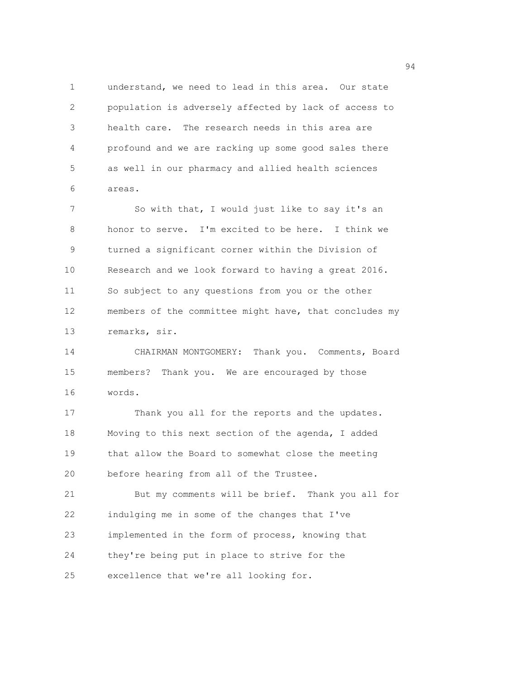1 understand, we need to lead in this area. Our state 2 population is adversely affected by lack of access to 3 health care. The research needs in this area are 4 profound and we are racking up some good sales there 5 as well in our pharmacy and allied health sciences 6 areas.

7 So with that, I would just like to say it's an 8 honor to serve. I'm excited to be here. I think we 9 turned a significant corner within the Division of 10 Research and we look forward to having a great 2016. 11 So subject to any questions from you or the other 12 members of the committee might have, that concludes my 13 remarks, sir.

14 CHAIRMAN MONTGOMERY: Thank you. Comments, Board 15 members? Thank you. We are encouraged by those 16 words.

17 Thank you all for the reports and the updates. 18 Moving to this next section of the agenda, I added 19 that allow the Board to somewhat close the meeting 20 before hearing from all of the Trustee. 21 But my comments will be brief. Thank you all for

22 indulging me in some of the changes that I've 23 implemented in the form of process, knowing that 24 they're being put in place to strive for the 25 excellence that we're all looking for.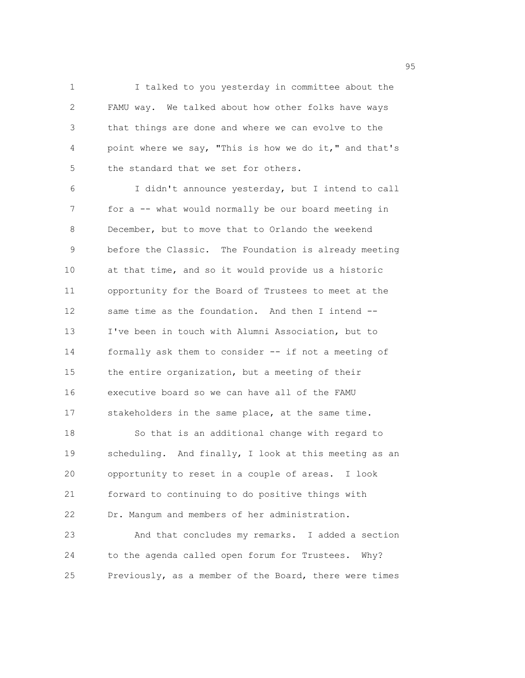1 I talked to you yesterday in committee about the 2 FAMU way. We talked about how other folks have ways 3 that things are done and where we can evolve to the 4 point where we say, "This is how we do it," and that's 5 the standard that we set for others.

6 I didn't announce yesterday, but I intend to call 7 for a -- what would normally be our board meeting in 8 December, but to move that to Orlando the weekend 9 before the Classic. The Foundation is already meeting 10 at that time, and so it would provide us a historic 11 opportunity for the Board of Trustees to meet at the 12 same time as the foundation. And then I intend -- 13 I've been in touch with Alumni Association, but to 14 formally ask them to consider -- if not a meeting of 15 the entire organization, but a meeting of their 16 executive board so we can have all of the FAMU 17 stakeholders in the same place, at the same time. 18 So that is an additional change with regard to 19 scheduling. And finally, I look at this meeting as an 20 opportunity to reset in a couple of areas. I look 21 forward to continuing to do positive things with 22 Dr. Mangum and members of her administration. 23 And that concludes my remarks. I added a section 24 to the agenda called open forum for Trustees. Why?

25 Previously, as a member of the Board, there were times

en 1995 en 1996 en 1996 en 1997 en 1998 en 1998 en 1999 en 1999 en 1999 en 1999 en 1999 en 1999 en 1999 en 19<br>De grote en 1999 en 1999 en 1999 en 1999 en 1999 en 1999 en 1999 en 1999 en 1999 en 1999 en 1999 en 1999 en 19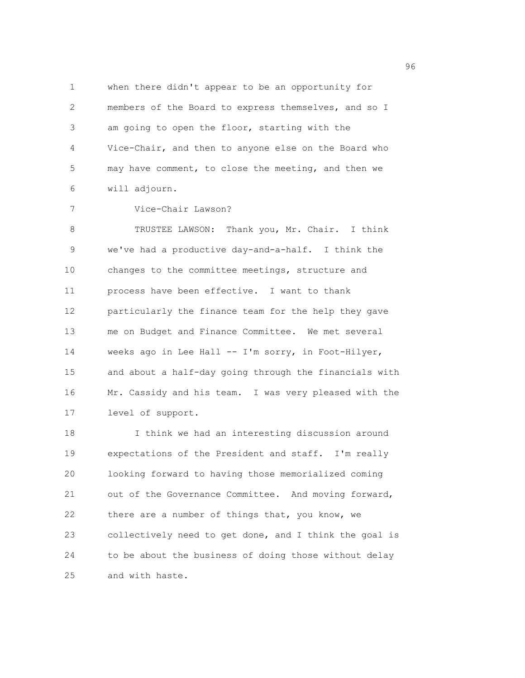1 when there didn't appear to be an opportunity for 2 members of the Board to express themselves, and so I 3 am going to open the floor, starting with the 4 Vice-Chair, and then to anyone else on the Board who 5 may have comment, to close the meeting, and then we 6 will adjourn.

7 Vice-Chair Lawson?

8 TRUSTEE LAWSON: Thank you, Mr. Chair. I think 9 we've had a productive day-and-a-half. I think the 10 changes to the committee meetings, structure and 11 process have been effective. I want to thank 12 particularly the finance team for the help they gave 13 me on Budget and Finance Committee. We met several 14 weeks ago in Lee Hall -- I'm sorry, in Foot-Hilyer, 15 and about a half-day going through the financials with 16 Mr. Cassidy and his team. I was very pleased with the 17 level of support.

18 I think we had an interesting discussion around 19 expectations of the President and staff. I'm really 20 looking forward to having those memorialized coming 21 out of the Governance Committee. And moving forward, 22 there are a number of things that, you know, we 23 collectively need to get done, and I think the goal is 24 to be about the business of doing those without delay 25 and with haste.

<u>96 September 2005 September 2006 September 2006 September 2006 September 2006 September 2006 September 2006 S</u>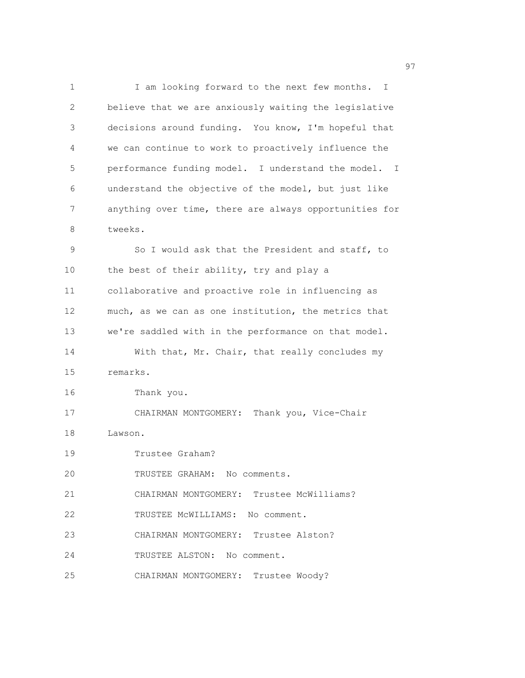1 I am looking forward to the next few months. I 2 believe that we are anxiously waiting the legislative 3 decisions around funding. You know, I'm hopeful that 4 we can continue to work to proactively influence the 5 performance funding model. I understand the model. I 6 understand the objective of the model, but just like 7 anything over time, there are always opportunities for 8 tweeks. 9 So I would ask that the President and staff, to 10 the best of their ability, try and play a 11 collaborative and proactive role in influencing as 12 much, as we can as one institution, the metrics that 13 we're saddled with in the performance on that model. 14 With that, Mr. Chair, that really concludes my 15 remarks. 16 Thank you. 17 CHAIRMAN MONTGOMERY: Thank you, Vice-Chair 18 Lawson. 19 Trustee Graham? 20 TRUSTEE GRAHAM: No comments. 21 CHAIRMAN MONTGOMERY: Trustee McWilliams? 22 TRUSTEE McWILLIAMS: No comment. 23 CHAIRMAN MONTGOMERY: Trustee Alston? 24 TRUSTEE ALSTON: No comment. 25 CHAIRMAN MONTGOMERY: Trustee Woody?

experience of the contract of the contract of the contract of the contract of the contract of the contract of the contract of the contract of the contract of the contract of the contract of the contract of the contract of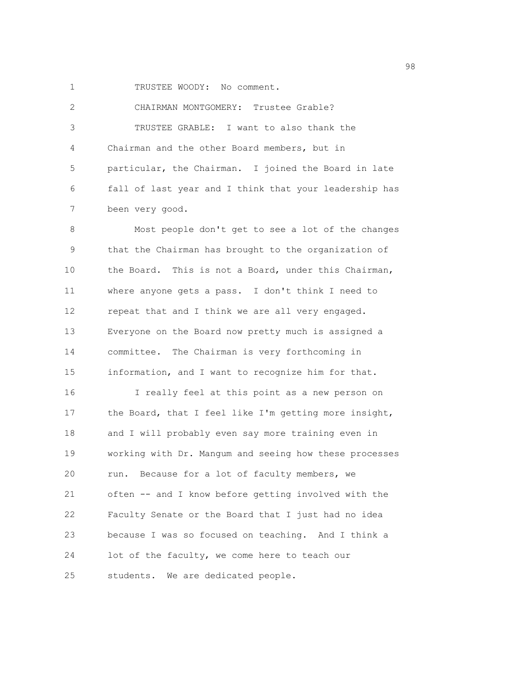1 TRUSTEE WOODY: No comment.

2 CHAIRMAN MONTGOMERY: Trustee Grable? 3 TRUSTEE GRABLE: I want to also thank the 4 Chairman and the other Board members, but in 5 particular, the Chairman. I joined the Board in late 6 fall of last year and I think that your leadership has 7 been very good.

8 Most people don't get to see a lot of the changes 9 that the Chairman has brought to the organization of 10 the Board. This is not a Board, under this Chairman, 11 where anyone gets a pass. I don't think I need to 12 repeat that and I think we are all very engaged. 13 Everyone on the Board now pretty much is assigned a 14 committee. The Chairman is very forthcoming in 15 information, and I want to recognize him for that. 16 I really feel at this point as a new person on 17 the Board, that I feel like I'm getting more insight, 18 and I will probably even say more training even in 19 working with Dr. Mangum and seeing how these processes 20 run. Because for a lot of faculty members, we 21 often -- and I know before getting involved with the 22 Faculty Senate or the Board that I just had no idea 23 because I was so focused on teaching. And I think a 24 lot of the faculty, we come here to teach our 25 students. We are dedicated people.

en 1980 en 1980 en 1980 en 1980 en 1980 en 1980 en 1980 en 1980 en 1980 en 1980 en 1980 en 1980 en 1980 en 19<br>De grote en 1980 en 1980 en 1980 en 1980 en 1980 en 1980 en 1980 en 1980 en 1980 en 1980 en 1980 en 1980 en 19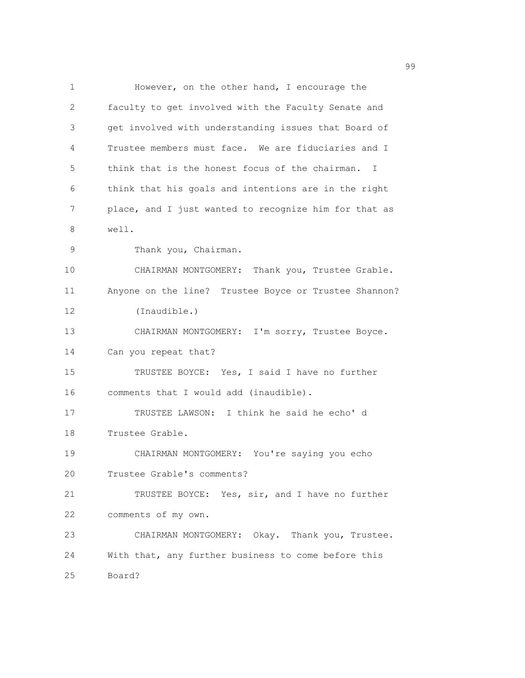1 However, on the other hand, I encourage the 2 faculty to get involved with the Faculty Senate and 3 get involved with understanding issues that Board of 4 Trustee members must face. We are fiduciaries and I 5 think that is the honest focus of the chairman. I 6 think that his goals and intentions are in the right 7 place, and I just wanted to recognize him for that as 8 well. 9 Thank you, Chairman. 10 CHAIRMAN MONTGOMERY: Thank you, Trustee Grable. 11 Anyone on the line? Trustee Boyce or Trustee Shannon? 12 (Inaudible.) 13 CHAIRMAN MONTGOMERY: I'm sorry, Trustee Boyce. 14 Can you repeat that? 15 TRUSTEE BOYCE: Yes, I said I have no further 16 comments that I would add (inaudible). 17 TRUSTEE LAWSON: I think he said he echo' d 18 Trustee Grable. 19 CHAIRMAN MONTGOMERY: You're saying you echo 20 Trustee Grable's comments? 21 TRUSTEE BOYCE: Yes, sir, and I have no further 22 comments of my own. 23 CHAIRMAN MONTGOMERY: Okay. Thank you, Trustee. 24 With that, any further business to come before this 25 Board?

99 and 2012 and 2012 and 2012 and 2012 and 2012 and 2012 and 2012 and 2012 and 2012 and 2012 and 201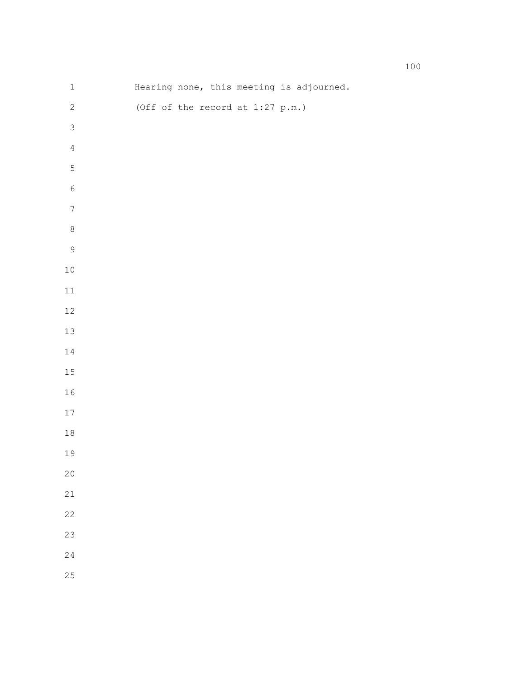| $\ensuremath{\mathbbm{1}}$ |                                    | Hearing none, this meeting is adjourned. |  |
|----------------------------|------------------------------------|------------------------------------------|--|
| $\sqrt{2}$                 | (Off of the record at $1:27$ p.m.) |                                          |  |
| $\mathfrak{Z}$             |                                    |                                          |  |
| $\sqrt{4}$                 |                                    |                                          |  |
| $\overline{5}$             |                                    |                                          |  |
| $\,$ $\,$ $\,$             |                                    |                                          |  |
| $\boldsymbol{7}$           |                                    |                                          |  |
| $\,8\,$                    |                                    |                                          |  |
| $\mathcal{G}$              |                                    |                                          |  |
| $1\,0$                     |                                    |                                          |  |
| $11\,$                     |                                    |                                          |  |
| $12\,$                     |                                    |                                          |  |
| $13\,$                     |                                    |                                          |  |
| $1\,4$                     |                                    |                                          |  |
| $15\,$                     |                                    |                                          |  |
| $16\,$                     |                                    |                                          |  |
| $17\,$                     |                                    |                                          |  |
| $1\,8$                     |                                    |                                          |  |
| 19                         |                                    |                                          |  |
| $20$                       |                                    |                                          |  |
| $21\,$                     |                                    |                                          |  |
| 22                         |                                    |                                          |  |
| 23                         |                                    |                                          |  |
| $2\sqrt{4}$                |                                    |                                          |  |
| 25                         |                                    |                                          |  |